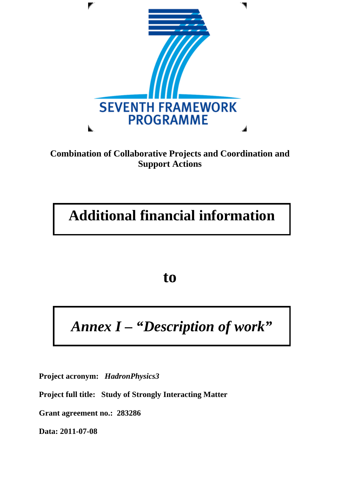

### **Combination of Collaborative Projects and Coordination and Support Actions**

# **Additional financial information**

**to** 

# *Annex I – "Description of work"*

**Project acronym:** *HadronPhysics3* 

**Project full title: Study of Strongly Interacting Matter** 

**Grant agreement no.: 283286** 

**Data: 2011-07-08**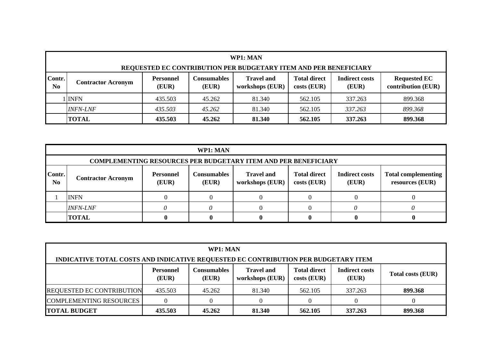|                                                                         | WP1: MAN                                                                                                                                                                                                                                             |         |        |        |         |         |         |  |  |  |  |
|-------------------------------------------------------------------------|------------------------------------------------------------------------------------------------------------------------------------------------------------------------------------------------------------------------------------------------------|---------|--------|--------|---------|---------|---------|--|--|--|--|
| <b>REQUESTED EC CONTRIBUTION PER BUDGETARY ITEM AND PER BENEFICIARY</b> |                                                                                                                                                                                                                                                      |         |        |        |         |         |         |  |  |  |  |
| Contr.<br>N <sub>0</sub>                                                | <b>Travel and</b><br><b>Requested EC</b><br><b>Personnel</b><br><b>Total direct</b><br><b>Consumables</b><br><b>Indirect costs</b><br><b>Contractor Acronym</b><br>contribution (EUR)<br>(EUR)<br>(EUR)<br>workshops (EUR)<br>$costs$ (EUR)<br>(EUR) |         |        |        |         |         |         |  |  |  |  |
|                                                                         | 1 INFN                                                                                                                                                                                                                                               | 435.503 | 45.262 | 81.340 | 562.105 | 337.263 | 899.368 |  |  |  |  |
|                                                                         | <i><b>INFN-LNF</b></i>                                                                                                                                                                                                                               | 435.503 | 45.262 | 81.340 | 562.105 | 337.263 | 899.368 |  |  |  |  |
|                                                                         | <b>TOTAL</b>                                                                                                                                                                                                                                         | 435.503 | 45.262 | 81.340 | 562.105 | 337.263 | 899.368 |  |  |  |  |

|                                                                       | WP1: MAN                                                                                                                                                                                                                                               |  |  |  |  |  |  |  |  |  |  |  |
|-----------------------------------------------------------------------|--------------------------------------------------------------------------------------------------------------------------------------------------------------------------------------------------------------------------------------------------------|--|--|--|--|--|--|--|--|--|--|--|
| <b>COMPLEMENTING RESOURCES PER BUDGETARY ITEM AND PER BENEFICIARY</b> |                                                                                                                                                                                                                                                        |  |  |  |  |  |  |  |  |  |  |  |
| Contr.<br>N <sub>0</sub>                                              | <b>Total direct</b><br><b>Indirect costs</b><br><b>Consumables</b><br><b>Travel and</b><br><b>Total complementing</b><br><b>Personnel</b><br><b>Contractor Acronym</b><br>workshops (EUR)<br>(EUR)<br>costs (EUR)<br>resources (EUR)<br>(EUR)<br>(EUR) |  |  |  |  |  |  |  |  |  |  |  |
|                                                                       | <b>INFN</b>                                                                                                                                                                                                                                            |  |  |  |  |  |  |  |  |  |  |  |
|                                                                       | <b>INFN-LNF</b>                                                                                                                                                                                                                                        |  |  |  |  |  |  |  |  |  |  |  |
|                                                                       | <b>TOTAL</b>                                                                                                                                                                                                                                           |  |  |  |  |  |  |  |  |  |  |  |

| WP1: MAN                                                                                                                                                                                               |                                                              |        |        |         |         |         |  |  |  |  |  |
|--------------------------------------------------------------------------------------------------------------------------------------------------------------------------------------------------------|--------------------------------------------------------------|--------|--------|---------|---------|---------|--|--|--|--|--|
| INDICATIVE TOTAL COSTS AND INDICATIVE REQUESTED EC CONTRIBUTION PER BUDGETARY ITEM                                                                                                                     |                                                              |        |        |         |         |         |  |  |  |  |  |
| <b>Total direct</b><br><b>Travel and</b><br><b>Indirect costs</b><br><b>Consumables</b><br><b>Personnel</b><br><b>Total costs (EUR)</b><br>workshops (EUR)<br>$costs$ (EUR)<br>(EUR)<br>(EUR)<br>(EUR) |                                                              |        |        |         |         |         |  |  |  |  |  |
| <b>REQUESTED EC CONTRIBUTION</b>                                                                                                                                                                       | 435.503                                                      | 45.262 | 81.340 | 562.105 | 337.263 | 899.368 |  |  |  |  |  |
| <b>COMPLEMENTING RESOURCES</b>                                                                                                                                                                         | $\Omega$<br>$\theta$                                         |        |        |         |         |         |  |  |  |  |  |
| <b>TOTAL BUDGET</b>                                                                                                                                                                                    | 435.503<br>45.262<br>81.340<br>562.105<br>337.263<br>899.368 |        |        |         |         |         |  |  |  |  |  |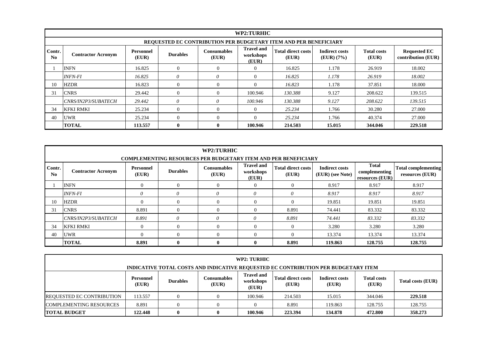|                                                                                                  | WP2:TURHIC                                                                                                                                                                                                                                                                                            |         |              |              |          |         |        |         |         |  |  |  |
|--------------------------------------------------------------------------------------------------|-------------------------------------------------------------------------------------------------------------------------------------------------------------------------------------------------------------------------------------------------------------------------------------------------------|---------|--------------|--------------|----------|---------|--------|---------|---------|--|--|--|
| <b>REQUESTED EC CONTRIBUTION PER BUDGETARY ITEM AND PER BENEFICIARY</b>                          |                                                                                                                                                                                                                                                                                                       |         |              |              |          |         |        |         |         |  |  |  |
| Contr.<br>N <sub>0</sub>                                                                         | <b>Travel and</b><br><b>Total direct costs</b><br><b>Indirect costs</b><br><b>Total costs</b><br><b>Requested EC</b><br><b>Consumables</b><br>Personnel<br><b>Durables</b><br><b>Contractor Acronym</b><br>workshops<br>contribution (EUR)<br>(EUR)<br>(EUR)<br>(EUR)<br>(EUR) (7%)<br>(EUR)<br>(EUR) |         |              |              |          |         |        |         |         |  |  |  |
| <b>INFN</b><br>18.002<br>16.825<br>16.825<br>1.178<br>$\theta$<br>$\Omega$<br>26.919<br>$\theta$ |                                                                                                                                                                                                                                                                                                       |         |              |              |          |         |        |         |         |  |  |  |
|                                                                                                  | <i><b>INFN-FI</b></i>                                                                                                                                                                                                                                                                                 | 16.825  | 0            | 0            | $\theta$ | 16.825  | 1.178  | 26.919  | 18.002  |  |  |  |
| 10                                                                                               | <b>HZDR</b>                                                                                                                                                                                                                                                                                           | 16.823  | $\theta$     | $\theta$     | $\Omega$ | 16.823  | 1.178  | 37.851  | 18.000  |  |  |  |
| 31                                                                                               | <b>CNRS</b>                                                                                                                                                                                                                                                                                           | 29.442  | $\Omega$     | $\Omega$     | 100.946  | 130.388 | 9.127  | 208.622 | 139.515 |  |  |  |
|                                                                                                  | <i>CNRS/IN2P3/SUBATECH</i>                                                                                                                                                                                                                                                                            | 29.442  | 0            | 0            | 100.946  | 130.388 | 9.127  | 208.622 | 139.515 |  |  |  |
| 34                                                                                               | <b>KFKI RMKI</b><br>25.234<br>25.234<br>1.766<br>30.280<br>27.000<br>$\theta$<br>$\Omega$<br>$\theta$                                                                                                                                                                                                 |         |              |              |          |         |        |         |         |  |  |  |
| 40                                                                                               | 25.234<br>$\theta$<br>$\theta$<br>$\theta$<br>25.234<br>40.374<br>27.000<br><b>UWR</b><br>1.766                                                                                                                                                                                                       |         |              |              |          |         |        |         |         |  |  |  |
|                                                                                                  | <b>TOTAL</b>                                                                                                                                                                                                                                                                                          | 113.557 | $\mathbf{0}$ | $\mathbf{0}$ | 100.946  | 214.503 | 15.015 | 344.046 | 229.518 |  |  |  |

|                          | WP2:TURHIC<br><b>COMPLEMENTING RESOURCES PER BUDGETARY ITEM AND PER BENEFICIARY</b>                                                                                                                                                                                                                                                  |       |              |              |                |          |         |         |         |  |  |  |  |
|--------------------------|--------------------------------------------------------------------------------------------------------------------------------------------------------------------------------------------------------------------------------------------------------------------------------------------------------------------------------------|-------|--------------|--------------|----------------|----------|---------|---------|---------|--|--|--|--|
| Contr.<br>N <sub>0</sub> | <b>Total</b><br><b>Travel and</b><br><b>Total direct costs</b><br><b>Indirect costs</b><br><b>Total complementing</b><br><b>Consumables</b><br>Personnel<br><b>Durables</b><br><b>Contractor Acronym</b><br>workshops<br>complementing<br>resources (EUR)<br>(EUR)<br>(EUR)<br>(EUR) (see Note)<br>(EUR)<br>resources (EUR)<br>(EUR) |       |              |              |                |          |         |         |         |  |  |  |  |
|                          | <b>INFN</b>                                                                                                                                                                                                                                                                                                                          |       | $\mathbf{0}$ | $\theta$     | $\Omega$       | $\theta$ | 8.917   | 8.917   | 8.917   |  |  |  |  |
|                          | <b>INFN-FI</b>                                                                                                                                                                                                                                                                                                                       | 0     | $\theta$     | $\theta$     | $\theta$       | $\theta$ | 8.917   | 8.917   | 8.917   |  |  |  |  |
| 10                       | <b>HZDR</b>                                                                                                                                                                                                                                                                                                                          |       | $\mathbf{0}$ | $\Omega$     | $\theta$       | $\Omega$ | 19.851  | 19.851  | 19.851  |  |  |  |  |
| 31                       | <b>CNRS</b>                                                                                                                                                                                                                                                                                                                          | 8.891 | $\Omega$     | $\Omega$     | $\theta$       | 8.891    | 74.441  | 83.332  | 83.332  |  |  |  |  |
|                          | CNRS/IN2P3/SUBATECH                                                                                                                                                                                                                                                                                                                  | 8.891 | $\theta$     | $\theta$     | $\theta$       | 8.891    | 74.441  | 83.332  | 83.332  |  |  |  |  |
| 34                       | <b>KFKI RMKI</b>                                                                                                                                                                                                                                                                                                                     |       | $\theta$     | $\theta$     | $\theta$       | $\theta$ | 3.280   | 3.280   | 3.280   |  |  |  |  |
| 40                       | <b>UWR</b>                                                                                                                                                                                                                                                                                                                           |       | $\mathbf{0}$ | $\Omega$     | $\overline{0}$ | $\theta$ | 13.374  | 13.374  | 13.374  |  |  |  |  |
|                          | <b>TOTAL</b>                                                                                                                                                                                                                                                                                                                         | 8.891 | $\bf{0}$     | $\mathbf{0}$ | $\bf{0}$       | 8.891    | 119.863 | 128.755 | 128.755 |  |  |  |  |

| <b>WP2: TURHIC</b>                                                                 |                                                                                                                                                                                                                                             |  |  |         |         |        |         |         |  |  |  |
|------------------------------------------------------------------------------------|---------------------------------------------------------------------------------------------------------------------------------------------------------------------------------------------------------------------------------------------|--|--|---------|---------|--------|---------|---------|--|--|--|
| INDICATIVE TOTAL COSTS AND INDICATIVE REQUESTED EC CONTRIBUTION PER BUDGETARY ITEM |                                                                                                                                                                                                                                             |  |  |         |         |        |         |         |  |  |  |
|                                                                                    | <b>Travel and</b><br>Total direct costs<br><b>Indirect costs</b><br><b>Total costs</b><br>Consumables<br><b>Personnel</b><br><b>Durables</b><br>workshops<br><b>Total costs (EUR)</b><br>(EUR)<br>(EUR)<br>(EUR)<br>(EUR)<br>(EUR)<br>(EUR) |  |  |         |         |        |         |         |  |  |  |
| <b>REQUESTED EC CONTRIBUTION</b>                                                   | 113.557                                                                                                                                                                                                                                     |  |  | 100.946 | 214.503 | 15.015 | 344.046 | 229.518 |  |  |  |
| <b>COMPLEMENTING RESOURCES</b>                                                     | 128.755<br>8.891<br>8.891<br>119.863<br>128.755                                                                                                                                                                                             |  |  |         |         |        |         |         |  |  |  |
| <b>TOTAL BUDGET</b>                                                                | 134.878<br>472.800<br>358,273<br>122.448<br>100.946<br>223.394<br>0                                                                                                                                                                         |  |  |         |         |        |         |         |  |  |  |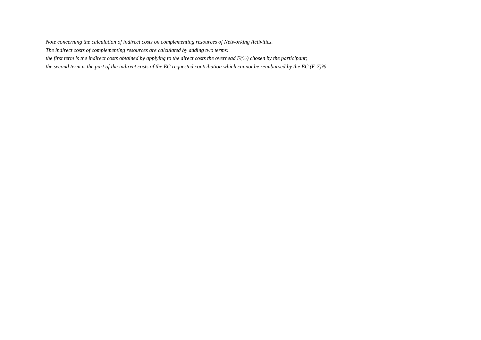*The indirect costs of complementing resources are calculated by adding two terms:* 

*the first term is the indirect costs obtained by applying to the direct costs the overhead F(%) chosen by the participant;*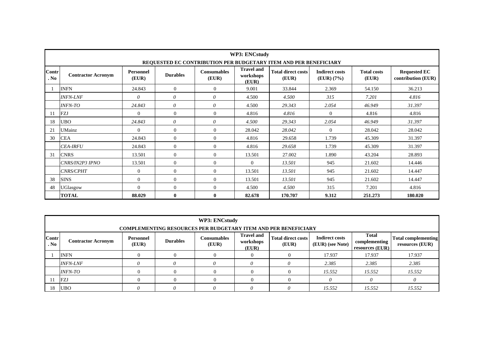|               |                                                                                                                                                                                                                                                                                                       |                |              |                | <b>WP3: ENCstudy</b> |                                                                  |          |         |         |  |  |  |  |  |
|---------------|-------------------------------------------------------------------------------------------------------------------------------------------------------------------------------------------------------------------------------------------------------------------------------------------------------|----------------|--------------|----------------|----------------------|------------------------------------------------------------------|----------|---------|---------|--|--|--|--|--|
|               |                                                                                                                                                                                                                                                                                                       |                |              |                |                      | REQUESTED EC CONTRIBUTION PER BUDGETARY ITEM AND PER BENEFICIARY |          |         |         |  |  |  |  |  |
| Contr<br>. No | <b>Travel and</b><br><b>Total direct costs</b><br><b>Requested EC</b><br>Personnel<br><b>Total costs</b><br><b>Consumables</b><br><b>Indirect costs</b><br><b>Contractor Acronym</b><br><b>Durables</b><br>workshops<br>(EUR)<br>(EUR)<br>(EUR) (7%)<br>contribution (EUR)<br>(EUR)<br>(EUR)<br>(EUR) |                |              |                |                      |                                                                  |          |         |         |  |  |  |  |  |
|               | <b>INFN</b>                                                                                                                                                                                                                                                                                           | 24.843         | $\theta$     | $\overline{0}$ | 9.001                | 33.844                                                           | 2.369    | 54.150  | 36.213  |  |  |  |  |  |
|               | <b>INFN-LNF</b>                                                                                                                                                                                                                                                                                       | $\theta$       | $\theta$     | $\theta$       | 4.500                | 4.500                                                            | 315      | 7.201   | 4.816   |  |  |  |  |  |
|               | 24.843<br>$\theta$<br>$\theta$<br><b>INFN-TO</b><br>4.500<br>29.343<br>2.054<br>46.949<br>31.397                                                                                                                                                                                                      |                |              |                |                      |                                                                  |          |         |         |  |  |  |  |  |
| 11            | <b>FZJ</b><br>$\Omega$<br>$\theta$<br>$\mathbf{0}$<br>$\theta$<br>4.816<br>4.816<br>4.816<br>4.816                                                                                                                                                                                                    |                |              |                |                      |                                                                  |          |         |         |  |  |  |  |  |
| 18            | <b>UBO</b>                                                                                                                                                                                                                                                                                            | 24.843         | $\theta$     | $\theta$       | 4.500                | 29.343                                                           | 2.054    | 46.949  | 31.397  |  |  |  |  |  |
| 21            | UMainz                                                                                                                                                                                                                                                                                                | $\Omega$       | $\theta$     | $\overline{0}$ | 28.042               | 28.042                                                           | $\theta$ | 28.042  | 28.042  |  |  |  |  |  |
| 30            | <b>CEA</b>                                                                                                                                                                                                                                                                                            | 24.843         | $\theta$     | $\mathbf{0}$   | 4.816                | 29.658                                                           | 1.739    | 45.309  | 31.397  |  |  |  |  |  |
|               | <b>CEA-IRFU</b>                                                                                                                                                                                                                                                                                       | 24.843         | $\Omega$     | $\mathbf{0}$   | 4.816                | 29.658                                                           | 1.739    | 45.309  | 31.397  |  |  |  |  |  |
| 31            | <b>CNRS</b>                                                                                                                                                                                                                                                                                           | 13.501         | $\Omega$     | $\mathbf{0}$   | 13.501               | 27.002                                                           | 1.890    | 43.204  | 28.893  |  |  |  |  |  |
|               | CNRS/IN2P3 IPNO                                                                                                                                                                                                                                                                                       | 13.501         | $\Omega$     | $\mathbf{0}$   | $\Omega$             | 13.501                                                           | 945      | 21.602  | 14.446  |  |  |  |  |  |
|               | <i><b>CNRS/CPHT</b></i>                                                                                                                                                                                                                                                                               | $\Omega$       | $\Omega$     | $\mathbf{0}$   | 13.501               | 13.501                                                           | 945      | 21.602  | 14.447  |  |  |  |  |  |
| 38            | <b>SINS</b>                                                                                                                                                                                                                                                                                           | $\overline{0}$ | $\theta$     | $\mathbf{0}$   | 13.501               | 13.501                                                           | 945      | 21.602  | 14.447  |  |  |  |  |  |
| 48            | UGlasgow                                                                                                                                                                                                                                                                                              | $\Omega$       | $\Omega$     | $\mathbf{0}$   | 4.500                | 4.500                                                            | 315      | 7.201   | 4.816   |  |  |  |  |  |
|               | <b>TOTAL</b>                                                                                                                                                                                                                                                                                          | 88.029         | $\mathbf{0}$ | $\bf{0}$       | 82.678               | 170.707                                                          | 9.312    | 251,273 | 180.020 |  |  |  |  |  |

|                      | <b>WP3: ENCstudy</b>                                                                                                                                                                                                                                                                                                                   |          |  |  |          |  |        |        |        |  |  |  |  |
|----------------------|----------------------------------------------------------------------------------------------------------------------------------------------------------------------------------------------------------------------------------------------------------------------------------------------------------------------------------------|----------|--|--|----------|--|--------|--------|--------|--|--|--|--|
|                      | <b>COMPLEMENTING RESOURCES PER BUDGETARY ITEM AND PER BENEFICIARY</b>                                                                                                                                                                                                                                                                  |          |  |  |          |  |        |        |        |  |  |  |  |
| <b>Contr</b><br>. No | <b>Total</b><br><b>Travel and</b><br><b>Total direct costs</b><br><b>Indirect costs</b><br><b>Consumables</b><br><b>Total complementing</b><br>Personnel<br><b>Durables</b><br><b>Contractor Acronym</b><br>workshops<br>complementing<br>(EUR)<br>resources (EUR)<br>(EUR)<br>(EUR)<br>(EUR) (see Note)<br>resources $(EUR)$<br>(EUR) |          |  |  |          |  |        |        |        |  |  |  |  |
|                      | <b>INFN</b>                                                                                                                                                                                                                                                                                                                            | $\Omega$ |  |  | $\theta$ |  | 17.937 | 17.937 | 17.937 |  |  |  |  |
|                      | <b>INFN-LNF</b>                                                                                                                                                                                                                                                                                                                        |          |  |  | 0        |  | 2.385  | 2.385  | 2.385  |  |  |  |  |
|                      | <i><b>INFN-TO</b></i>                                                                                                                                                                                                                                                                                                                  | 0        |  |  | $\theta$ |  | 15.552 | 15.552 | 15.552 |  |  |  |  |
|                      | FZJ                                                                                                                                                                                                                                                                                                                                    | 0        |  |  | $\Omega$ |  |        |        |        |  |  |  |  |
| 18                   | <b>UBO</b>                                                                                                                                                                                                                                                                                                                             |          |  |  | 0        |  | 15.552 | 15.552 | 15.552 |  |  |  |  |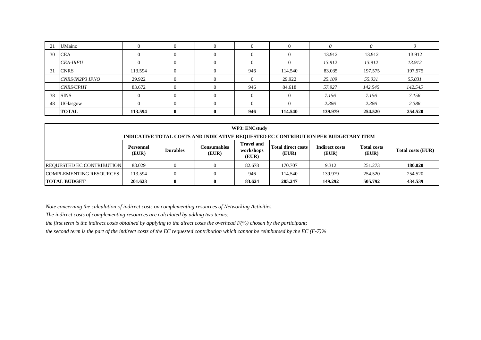| 21 | <b>UMainz</b>    |         | $\Omega$     | 0        | 0   | $\mathbf{0}$ | 0       | 0       |         |
|----|------------------|---------|--------------|----------|-----|--------------|---------|---------|---------|
| 30 | <b>CEA</b>       |         | 0            | $\theta$ | 0   | 0            | 13.912  | 13.912  | 13.912  |
|    | <b>CEA-IRFU</b>  |         | $\Omega$     | 0        | 0   | 0            | 13.912  | 13.912  | 13.912  |
| 31 | <b>CNRS</b>      | 113.594 | $\theta$     | $\theta$ | 946 | 114.540      | 83.035  | 197.575 | 197.575 |
|    | CNRS/IN2P3 IPNO  | 29.922  | $\theta$     | $\theta$ | 0   | 29.922       | 25.109  | 55.031  | 55.031  |
|    | <b>CNRS/CPHT</b> | 83.672  | $\theta$     | $\theta$ | 946 | 84.618       | 57.927  | 142.545 | 142.545 |
| 38 | <b>SINS</b>      |         | $\Omega$     | 0        | 0   | 0            | 7.156   | 7.156   | 7.156   |
| 48 | <b>UGlasgow</b>  |         |              | $\Omega$ | 0   | $\Omega$     | 2.386   | 2.386   | 2.386   |
|    | <b>TOTAL</b>     | 113.594 | $\mathbf{0}$ | 0        | 946 | 114.540      | 139.979 | 254.520 | 254.520 |

| WP3: ENCstudy                    |                                                                                                                                                                                                                                                    |  |   |        |         |       |         |         |  |  |  |  |
|----------------------------------|----------------------------------------------------------------------------------------------------------------------------------------------------------------------------------------------------------------------------------------------------|--|---|--------|---------|-------|---------|---------|--|--|--|--|
|                                  | INDICATIVE TOTAL COSTS AND INDICATIVE REQUESTED EC CONTRIBUTION PER BUDGETARY ITEM                                                                                                                                                                 |  |   |        |         |       |         |         |  |  |  |  |
|                                  | <b>Travel and</b><br><b>Consumables</b><br><b>Total direct costs</b><br><b>Indirect costs</b><br><b>Total costs</b><br><b>Personnel</b><br><b>Durables</b><br>Total costs (EUR)<br>workshops<br>(EUR)<br>(EUR)<br>(EUR)<br>(EUR)<br>(EUR)<br>(EUR) |  |   |        |         |       |         |         |  |  |  |  |
| <b>REQUESTED EC CONTRIBUTION</b> | 88.029                                                                                                                                                                                                                                             |  | 0 | 82.678 | 170.707 | 9.312 | 251.273 | 180.020 |  |  |  |  |
| <b>COMPLEMENTING RESOURCES</b>   | 254.520<br>113.594<br>139.979<br>946<br>254.520<br>114.540<br>$\theta$                                                                                                                                                                             |  |   |        |         |       |         |         |  |  |  |  |
| <b>TOTAL BUDGET</b>              | 434.539<br>149.292<br>505.792<br>83.624<br>285.247<br>201.623<br>$\bf{0}$                                                                                                                                                                          |  |   |        |         |       |         |         |  |  |  |  |

*The indirect costs of complementing resources are calculated by adding two terms:* 

*the first term is the indirect costs obtained by applying to the direct costs the overhead F(%) chosen by the participant;*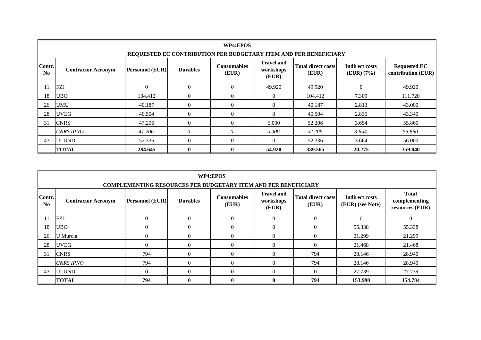|                                                                  | WP4:EPOS                  |                 |                 |                             |                                         |                                    |                                     |                                           |  |  |  |  |
|------------------------------------------------------------------|---------------------------|-----------------|-----------------|-----------------------------|-----------------------------------------|------------------------------------|-------------------------------------|-------------------------------------------|--|--|--|--|
| REQUESTED EC CONTRIBUTION PER BUDGETARY ITEM AND PER BENEFICIARY |                           |                 |                 |                             |                                         |                                    |                                     |                                           |  |  |  |  |
| Contr.<br>N <sub>0</sub>                                         | <b>Contractor Acronym</b> | Personnel (EUR) | <b>Durables</b> | <b>Consumables</b><br>(EUR) | <b>Travel and</b><br>workshops<br>(EUR) | <b>Total direct costs</b><br>(EUR) | <b>Indirect costs</b><br>(EUR) (7%) | <b>Requested EC</b><br>contribution (EUR) |  |  |  |  |
| 11                                                               | FZJ                       | $\theta$        | $\theta$        | $\theta$                    | 49.920                                  | 49.920                             | $\theta$                            | 49.920                                    |  |  |  |  |
| 18                                                               | <b>UBO</b>                | 104.412         | $\mathbf{0}$    | $\theta$                    | $\overline{0}$                          | 104.412                            | 7.309                               | 111.720                                   |  |  |  |  |
| 26                                                               | <b>UMU</b>                | 40.187          | $\theta$        | $\Omega$                    | $\Omega$                                | 40.187                             | 2.813                               | 43.000                                    |  |  |  |  |
| 28                                                               | <b>UVEG</b>               | 40.504          | $\theta$        | $\Omega$                    | $\Omega$                                | 40.504                             | 2.835                               | 43.340                                    |  |  |  |  |
| 31                                                               | <b>CNRS</b>               | 47.206          | $\theta$        | $\Omega$                    | 5.000                                   | 52.206                             | 3.654                               | 55.860                                    |  |  |  |  |
|                                                                  | <b>CNRS IPNO</b>          | 47.206          | $\theta$        | 0                           | 5.000                                   | 52.206                             | 3.654                               | 55.860                                    |  |  |  |  |
| 43                                                               | <b>ULUND</b>              | 52.336          | $\theta$        | $\Omega$                    | $\Omega$                                | 52.336                             | 3.664                               | 56.000                                    |  |  |  |  |
|                                                                  | <b>TOTAL</b>              | 284.645         | $\mathbf{0}$    | $\mathbf{0}$                | 54.920                                  | 339.565                            | 20.275                              | 359.840                                   |  |  |  |  |

|                                                                       | WP4:EPOS                                                                                                                                                                                                                                                                                |              |              |              |                |          |         |         |  |  |  |  |  |  |
|-----------------------------------------------------------------------|-----------------------------------------------------------------------------------------------------------------------------------------------------------------------------------------------------------------------------------------------------------------------------------------|--------------|--------------|--------------|----------------|----------|---------|---------|--|--|--|--|--|--|
| <b>COMPLEMENTING RESOURCES PER BUDGETARY ITEM AND PER BENEFICIARY</b> |                                                                                                                                                                                                                                                                                         |              |              |              |                |          |         |         |  |  |  |  |  |  |
| Contr.<br>$\mathbf{N}\mathbf{0}$                                      | <b>Total</b><br><b>Travel and</b><br><b>Total direct costs</b><br><b>Indirect costs</b><br><b>Consumables</b><br><b>Personnel (EUR)</b><br><b>Durables</b><br>workshops<br>complementing<br><b>Contractor Acronym</b><br>(EUR) (see Note)<br>(EUR)<br>(EUR)<br>resources (EUR)<br>(EUR) |              |              |              |                |          |         |         |  |  |  |  |  |  |
| 11                                                                    | <b>FZJ</b><br>$\overline{0}$<br>$\theta$<br>$\overline{0}$<br>$\Omega$<br>$\theta$<br>$\theta$                                                                                                                                                                                          |              |              |              |                |          |         |         |  |  |  |  |  |  |
| 18                                                                    | <b>UBO</b><br>$\overline{0}$<br>55.338<br>$\theta$<br>$\theta$<br>$\Omega$<br>$\theta$<br>55.338                                                                                                                                                                                        |              |              |              |                |          |         |         |  |  |  |  |  |  |
| 26                                                                    | U Murcia                                                                                                                                                                                                                                                                                | $\mathbf{0}$ | $\theta$     | $\theta$     | $\overline{0}$ | 0        | 21.299  | 21.299  |  |  |  |  |  |  |
| 28                                                                    | <b>UVEG</b>                                                                                                                                                                                                                                                                             | $\Omega$     | $\theta$     | 0            | $\theta$       | 0        | 21.468  | 21.468  |  |  |  |  |  |  |
| 31                                                                    | <b>CNRS</b>                                                                                                                                                                                                                                                                             | 794          | $\mathbf{0}$ | $\Omega$     | $\Omega$       | 794      | 28.146  | 28.940  |  |  |  |  |  |  |
|                                                                       | CNRS IPNO                                                                                                                                                                                                                                                                               | 794          | $\mathbf{0}$ | $\Omega$     | $\theta$       | 794      | 28.146  | 28.940  |  |  |  |  |  |  |
| 43                                                                    | <b>ULUND</b>                                                                                                                                                                                                                                                                            | $\Omega$     | $\theta$     | $\Omega$     | $\Omega$       | $\Omega$ | 27.739  | 27.739  |  |  |  |  |  |  |
|                                                                       | <b>TOTAL</b>                                                                                                                                                                                                                                                                            | 794          | $\mathbf{0}$ | $\mathbf{0}$ | $\mathbf{0}$   | 794      | 153.990 | 154.784 |  |  |  |  |  |  |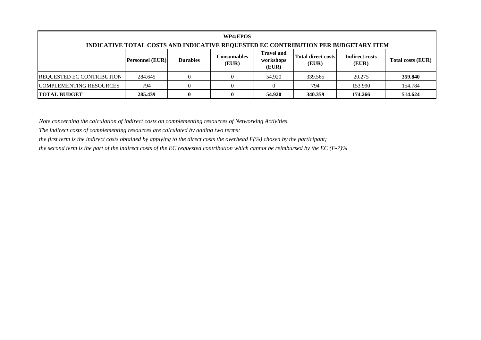| WP4:EPOS<br>INDICATIVE TOTAL COSTS AND INDICATIVE REQUESTED EC CONTRIBUTION PER BUDGETARY ITEM                                                                                                            |         |  |  |        |         |         |         |  |  |
|-----------------------------------------------------------------------------------------------------------------------------------------------------------------------------------------------------------|---------|--|--|--------|---------|---------|---------|--|--|
| <b>Travel and</b><br><b>Total direct costs</b><br><b>Indirect costs</b><br>Consumables<br><b>Personnel (EUR)</b><br><b>Durables</b><br>Total costs (EUR)<br>workshops<br>(EUR)<br>(EUR)<br>(EUR)<br>(EUR) |         |  |  |        |         |         |         |  |  |
| <b>REQUESTED EC CONTRIBUTION</b>                                                                                                                                                                          | 284.645 |  |  | 54.920 | 339.565 | 20.275  | 359.840 |  |  |
| <b>COMPLEMENTING RESOURCES</b>                                                                                                                                                                            | 794     |  |  |        | 794     | 153.990 | 154.784 |  |  |
| <b>TOTAL BUDGET</b>                                                                                                                                                                                       | 285.439 |  |  | 54.920 | 340.359 | 174.266 | 514.624 |  |  |

*The indirect costs of complementing resources are calculated by adding two terms:* 

*the first term is the indirect costs obtained by applying to the direct costs the overhead F(%) chosen by the participant;*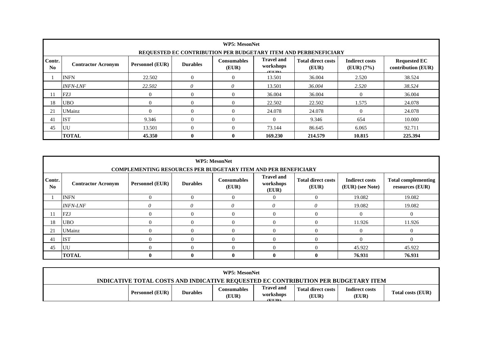|                          | <b>WP5: MesonNet</b>                                                                                                                                                                                                                                                        |                |                |              |          |         |          |         |  |  |  |  |
|--------------------------|-----------------------------------------------------------------------------------------------------------------------------------------------------------------------------------------------------------------------------------------------------------------------------|----------------|----------------|--------------|----------|---------|----------|---------|--|--|--|--|
|                          | REQUESTED EC CONTRIBUTION PER BUDGETARY ITEM AND PERBENEFICIARY                                                                                                                                                                                                             |                |                |              |          |         |          |         |  |  |  |  |
| Contr.<br>N <sub>0</sub> | <b>Travel and</b><br><b>Total direct costs</b><br><b>Indirect costs</b><br><b>Requested EC</b><br><b>Consumables</b><br><b>Personnel (EUR)</b><br><b>Durables</b><br><b>Contractor Acronym</b><br>workshops<br>(EUR)<br>(EUR) (7%)<br>contribution (EUR)<br>(EUR)<br>(TIII) |                |                |              |          |         |          |         |  |  |  |  |
|                          | <b>INFN</b>                                                                                                                                                                                                                                                                 | 22.502         | $\overline{0}$ | $\Omega$     | 13.501   | 36.004  | 2.520    | 38.524  |  |  |  |  |
|                          | <b>INFN-LNF</b>                                                                                                                                                                                                                                                             | 22.502         | 0              | $\theta$     | 13.501   | 36.004  | 2.520    | 38.524  |  |  |  |  |
| 11                       | FZJ                                                                                                                                                                                                                                                                         | $\overline{0}$ | $\overline{0}$ | $\mathbf{0}$ | 36.004   | 36.004  | $\theta$ | 36.004  |  |  |  |  |
| 18                       | <b>UBO</b>                                                                                                                                                                                                                                                                  | $\Omega$       | $\Omega$       | $\Omega$     | 22.502   | 22.502  | 1.575    | 24.078  |  |  |  |  |
| 21                       | <b>UMainz</b>                                                                                                                                                                                                                                                               | $\Omega$       | $\Omega$       | $\Omega$     | 24.078   | 24.078  | $\Omega$ | 24.078  |  |  |  |  |
| 41                       | <b>IST</b>                                                                                                                                                                                                                                                                  | 9.346          | $\Omega$       | $\Omega$     | $\Omega$ | 9.346   | 654      | 10.000  |  |  |  |  |
| 45                       | UU                                                                                                                                                                                                                                                                          | 13.501         | $\Omega$       | $\Omega$     | 73.144   | 86.645  | 6.065    | 92.711  |  |  |  |  |
|                          | <b>TOTAL</b>                                                                                                                                                                                                                                                                | 45.350         | $\mathbf{0}$   | $\mathbf{0}$ | 169.230  | 214.579 | 10.815   | 225.394 |  |  |  |  |

|                          | <b>WP5: MesonNet</b>                                                                                                                                                                                                                                                                 |              |              |          |          |   |        |          |  |  |  |  |
|--------------------------|--------------------------------------------------------------------------------------------------------------------------------------------------------------------------------------------------------------------------------------------------------------------------------------|--------------|--------------|----------|----------|---|--------|----------|--|--|--|--|
|                          | <b>COMPLEMENTING RESOURCES PER BUDGETARY ITEM AND PER BENEFICIARY</b>                                                                                                                                                                                                                |              |              |          |          |   |        |          |  |  |  |  |
| Contr.<br>N <sub>0</sub> | <b>Travel and</b><br><b>Total direct costs</b><br><b>Consumables</b><br><b>Total complementing</b><br><b>Indirect costs</b><br><b>Personnel (EUR)</b><br><b>Durables</b><br>workshops<br><b>Contractor Acronym</b><br>(EUR) (see Note)<br>resources (EUR)<br>(EUR)<br>(EUR)<br>(EUR) |              |              |          |          |   |        |          |  |  |  |  |
|                          | <b>INFN</b><br>$\Omega$<br>$\Omega$<br>19.082<br>19.082<br>$\Omega$<br>$\Omega$                                                                                                                                                                                                      |              |              |          |          |   |        |          |  |  |  |  |
|                          | <b>INFN-LNF</b>                                                                                                                                                                                                                                                                      |              | 0            | $\theta$ | $\theta$ | 0 | 19.082 | 19.082   |  |  |  |  |
| 11                       | FZJ                                                                                                                                                                                                                                                                                  | 0            | 0            |          | $\Omega$ |   |        | $\Omega$ |  |  |  |  |
| 18                       | <b>UBO</b>                                                                                                                                                                                                                                                                           | 0            | 0            |          | $\Omega$ |   | 11.926 | 11.926   |  |  |  |  |
| 21                       | <b>UMainz</b>                                                                                                                                                                                                                                                                        | 0            | $\Omega$     |          | $\Omega$ |   |        | $\Omega$ |  |  |  |  |
| 41                       | <b>IST</b>                                                                                                                                                                                                                                                                           | 0            | $\Omega$     |          | $\Omega$ |   |        | $\Omega$ |  |  |  |  |
| 45                       | UU<br>45.922<br>45.922<br>$\Omega$<br>0<br>$\Omega$                                                                                                                                                                                                                                  |              |              |          |          |   |        |          |  |  |  |  |
|                          | <b>TOTAL</b>                                                                                                                                                                                                                                                                         | $\mathbf{0}$ | $\mathbf{0}$ | 0        | 0        | 0 | 76.931 | 76.931   |  |  |  |  |

|                                                                                    |                        |                 | <b>WP5: MesonNet</b> |                                           |                             |                                |                          |  |  |
|------------------------------------------------------------------------------------|------------------------|-----------------|----------------------|-------------------------------------------|-----------------------------|--------------------------------|--------------------------|--|--|
| INDICATIVE TOTAL COSTS AND INDICATIVE REQUESTED EC CONTRIBUTION PER BUDGETARY ITEM |                        |                 |                      |                                           |                             |                                |                          |  |  |
|                                                                                    | <b>Personnel (EUR)</b> | <b>Durables</b> | Consumables<br>(EUR) | <b>Travel and</b><br>workshops<br>(TITID) | Total direct costs<br>(EUR) | <b>Indirect costs</b><br>(EUR) | <b>Total costs (EUR)</b> |  |  |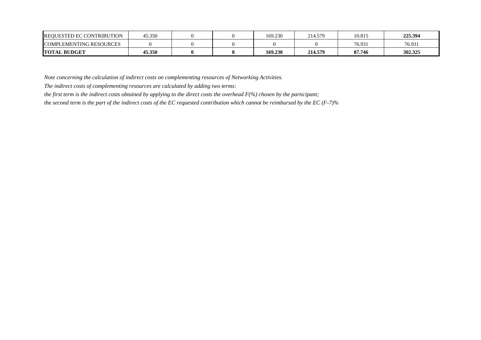| <b>REQUESTED EC CONTRIBUTION</b> | 45.350 |  | 169.230 | 214.579 | 10.815 | 225.394 |
|----------------------------------|--------|--|---------|---------|--------|---------|
| <b>COMPLEMENTING RESOURCES</b>   |        |  |         |         | 76.931 | 76.931  |
| <b>TOTAL BUDGET</b>              | 45.350 |  | 169.230 | 214.579 | 87.746 | 302.325 |

*The indirect costs of complementing resources are calculated by adding two terms:* 

*the first term is the indirect costs obtained by applying to the direct costs the overhead F(%) chosen by the participant;*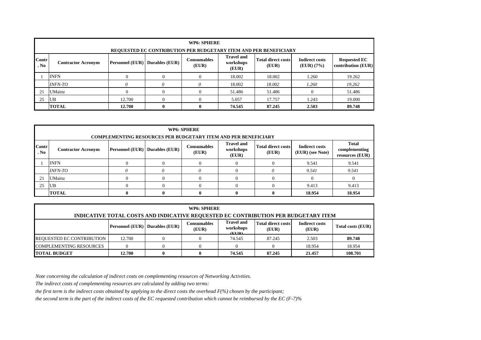|               | <b>WP6: SPHERE</b><br>REQUESTED EC CONTRIBUTION PER BUDGETARY ITEM AND PER BENEFICIARY                                                                                                                                                                          |        |              |          |        |        |       |        |  |  |  |
|---------------|-----------------------------------------------------------------------------------------------------------------------------------------------------------------------------------------------------------------------------------------------------------------|--------|--------------|----------|--------|--------|-------|--------|--|--|--|
| Contr<br>. No | <b>Travel and</b><br><b>Total direct costs</b><br><b>Indirect costs</b><br><b>Requested EC</b><br>Consumables<br><b>Personnel (EUR)</b> Durables (EUR)<br>workshops<br><b>Contractor Acronym</b><br>contribution (EUR)<br>(EUR)<br>(EUR)<br>(EUR) (7%)<br>(EUR) |        |              |          |        |        |       |        |  |  |  |
|               | <b>INFN</b>                                                                                                                                                                                                                                                     |        | $\Omega$     | $\Omega$ | 18.002 | 18.002 | 1.260 | 19.262 |  |  |  |
|               | <b>INFN-TO</b>                                                                                                                                                                                                                                                  | 0      | 0            |          | 18.002 | 18.002 | 1.260 | 19.262 |  |  |  |
| 21            | <b>UMainz</b>                                                                                                                                                                                                                                                   |        | $\Omega$     | $\Omega$ | 51.486 | 51.486 |       | 51.486 |  |  |  |
| 25            | <b>UB</b>                                                                                                                                                                                                                                                       | 12.700 | 0            |          | 5.057  | 17.757 | 1.243 | 19.000 |  |  |  |
|               | <b>TOTAL</b>                                                                                                                                                                                                                                                    | 12.700 | $\mathbf{0}$ | 0        | 74.545 | 87.245 | 2.503 | 89.748 |  |  |  |

|               | WP6: SPHERE<br><b>COMPLEMENTING RESOURCES PER BUDGETARY ITEM AND PER BENEFICIARY</b>                                                                                                                                                                                                |  |   |          |          |  |        |          |  |  |  |
|---------------|-------------------------------------------------------------------------------------------------------------------------------------------------------------------------------------------------------------------------------------------------------------------------------------|--|---|----------|----------|--|--------|----------|--|--|--|
| Contr<br>. No | <b>Total</b><br><b>Travel and</b><br><b>Total direct costs</b><br><b>Indirect costs</b><br><b>Consumables</b><br><b>Personnel (EUR)</b> Durables (EUR)<br>workshops<br>complementing<br><b>Contractor Acronym</b><br>(EUR)<br>(EUR) (see Note)<br>(EUR)<br>resources (EUR)<br>(EUR) |  |   |          |          |  |        |          |  |  |  |
|               | <b>INFN</b>                                                                                                                                                                                                                                                                         |  |   | $\Omega$ | $\left($ |  | 9.541  | 9.541    |  |  |  |
|               | <i>INFN-TO</i>                                                                                                                                                                                                                                                                      |  | 0 |          |          |  | 9.541  | 9.541    |  |  |  |
| 21            | UMainz                                                                                                                                                                                                                                                                              |  |   | $\Omega$ | $\Omega$ |  |        | $\theta$ |  |  |  |
| 25            | 9.413<br><b>UB</b><br>9.413<br>$\Omega$                                                                                                                                                                                                                                             |  |   |          |          |  |        |          |  |  |  |
|               | <b>TOTAL</b>                                                                                                                                                                                                                                                                        |  | 0 | 0        | $\theta$ |  | 18.954 | 18.954   |  |  |  |

| WP6: SPHERE                                                                                                                                                                                                       |        |  |  |        |        |        |         |  |  |
|-------------------------------------------------------------------------------------------------------------------------------------------------------------------------------------------------------------------|--------|--|--|--------|--------|--------|---------|--|--|
| INDICATIVE TOTAL COSTS AND INDICATIVE REQUESTED EC CONTRIBUTION PER BUDGETARY ITEM                                                                                                                                |        |  |  |        |        |        |         |  |  |
| <b>Travel and</b><br>Total direct costs<br><b>Indirect costs</b><br><b>Consumables</b><br>Personnel (EUR) Durables (EUR)<br><b>Total costs (EUR)</b><br>workshops<br>(EUR)<br>(EUR)<br>(EUR)<br>$($ <b>FIID</b> ) |        |  |  |        |        |        |         |  |  |
| <b>REQUESTED EC CONTRIBUTION</b>                                                                                                                                                                                  | 12.700 |  |  | 74.545 | 87.245 | 2.503  | 89.748  |  |  |
| <b>COMPLEMENTING RESOURCES</b>                                                                                                                                                                                    |        |  |  |        |        | 18.954 | 18.954  |  |  |
| <b>TOTAL BUDGET</b>                                                                                                                                                                                               | 12.700 |  |  | 74.545 | 87.245 | 21.457 | 108.701 |  |  |

*The indirect costs of complementing resources are calculated by adding two terms:* 

*the first term is the indirect costs obtained by applying to the direct costs the overhead F(%) chosen by the participant;*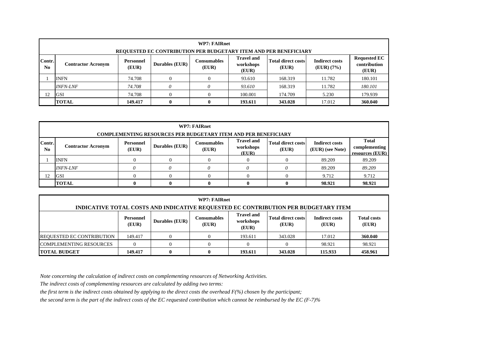|                          | <b>WP7: FAIRnet</b><br>REQUESTED EC CONTRIBUTION PER BUDGETARY ITEM AND PER BENEFICIARY                                                                                                                                                                                  |        |  |          |         |         |        |         |  |  |  |  |
|--------------------------|--------------------------------------------------------------------------------------------------------------------------------------------------------------------------------------------------------------------------------------------------------------------------|--------|--|----------|---------|---------|--------|---------|--|--|--|--|
| Contr.<br>N <sub>0</sub> | <b>Travel and</b><br><b>Requested EC</b><br><b>Indirect costs</b><br><b>Total direct costs</b><br><b>Consumables</b><br>Personnel<br>Durables (EUR)<br>contribution<br>workshops<br><b>Contractor Acronym</b><br>(EUR)<br>(EUR) (7%)<br>(EUR)<br>(EUR)<br>(EUR)<br>(EUR) |        |  |          |         |         |        |         |  |  |  |  |
|                          | <b>INFN</b>                                                                                                                                                                                                                                                              | 74.708 |  | $\Omega$ | 93.610  | 168.319 | 11.782 | 180.101 |  |  |  |  |
|                          | <b>INFN-LNF</b>                                                                                                                                                                                                                                                          | 74.708 |  |          | 93.610  | 168.319 | 11.782 | 180.101 |  |  |  |  |
| 12                       | <b>GSI</b>                                                                                                                                                                                                                                                               | 74.708 |  | $\Omega$ | 100.001 | 174.709 | 5.230  | 179.939 |  |  |  |  |
|                          | 360.040<br><b>TOTAL</b><br>$\mathbf{0}$<br>$\mathbf{0}$<br>193.611<br>343.028<br>17.012<br>149.417                                                                                                                                                                       |        |  |          |         |         |        |         |  |  |  |  |

|                          | <b>WP7: FAIRnet</b>                                                                                                                                                                                                                                           |   |                                                                       |  |       |  |        |                 |  |  |  |  |  |
|--------------------------|---------------------------------------------------------------------------------------------------------------------------------------------------------------------------------------------------------------------------------------------------------------|---|-----------------------------------------------------------------------|--|-------|--|--------|-----------------|--|--|--|--|--|
|                          |                                                                                                                                                                                                                                                               |   | <b>COMPLEMENTING RESOURCES PER BUDGETARY ITEM AND PER BENEFICIARY</b> |  |       |  |        |                 |  |  |  |  |  |
| Contr.<br>N <sub>0</sub> | <b>Travel and</b><br><b>Total</b><br><b>Total direct costs</b><br><b>Indirect costs</b><br><b>Consumables</b><br><b>Personnel</b><br>Durables (EUR)<br><b>Contractor Acronym</b><br>workshops<br>complementing<br>(EUR)<br>(EUR) (see Note)<br>(EUR)<br>(EUR) |   |                                                                       |  |       |  |        |                 |  |  |  |  |  |
|                          |                                                                                                                                                                                                                                                               |   |                                                                       |  | (EUR) |  |        | resources (EUR) |  |  |  |  |  |
|                          | <b>INFN</b>                                                                                                                                                                                                                                                   |   |                                                                       |  |       |  | 89.209 | 89.209          |  |  |  |  |  |
|                          | <b>INFN-LNF</b>                                                                                                                                                                                                                                               |   |                                                                       |  |       |  | 89.209 | 89.209          |  |  |  |  |  |
| 12                       | 9.712<br><b>GSI</b><br>9.712                                                                                                                                                                                                                                  |   |                                                                       |  |       |  |        |                 |  |  |  |  |  |
|                          | <b>TOTAL</b>                                                                                                                                                                                                                                                  | 0 | 98.921<br>98.921<br>0                                                 |  |       |  |        |                 |  |  |  |  |  |

|                                                                                                                                                                                                                              | <b>WP7: FAIRnet</b>                                                                |  |  |         |         |        |         |  |  |  |  |
|------------------------------------------------------------------------------------------------------------------------------------------------------------------------------------------------------------------------------|------------------------------------------------------------------------------------|--|--|---------|---------|--------|---------|--|--|--|--|
|                                                                                                                                                                                                                              | INDICATIVE TOTAL COSTS AND INDICATIVE REQUESTED EC CONTRIBUTION PER BUDGETARY ITEM |  |  |         |         |        |         |  |  |  |  |
| <b>Travel and</b><br><b>Total direct costs</b><br><b>Indirect costs</b><br><b>Total costs</b><br><b>Consumables</b><br>Personnel<br><b>Durables (EUR)</b><br>workshops<br>(EUR)<br>(EUR)<br>(EUR)<br>(EUR)<br>(EUR)<br>(EUR) |                                                                                    |  |  |         |         |        |         |  |  |  |  |
| <b>REQUESTED EC CONTRIBUTION</b>                                                                                                                                                                                             | 149.417                                                                            |  |  | 193.611 | 343.028 | 17.012 | 360.040 |  |  |  |  |
| <b>COMPLEMENTING RESOURCES</b><br>98.921<br>98.921<br>0<br>u                                                                                                                                                                 |                                                                                    |  |  |         |         |        |         |  |  |  |  |
| <b>TOTAL BUDGET</b>                                                                                                                                                                                                          | 458.961<br>193.611<br>343.028<br>115.933<br>149.417<br>$\mathbf{0}$<br>0           |  |  |         |         |        |         |  |  |  |  |

*The indirect costs of complementing resources are calculated by adding two terms:* 

*the first term is the indirect costs obtained by applying to the direct costs the overhead F(%) chosen by the participant;*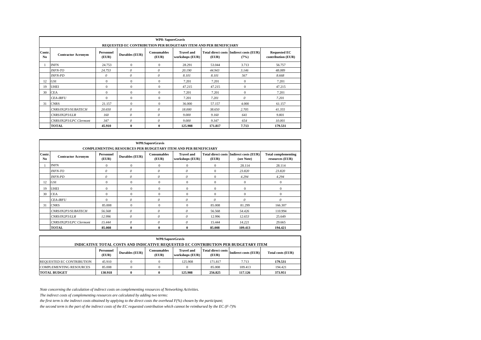|                          | <b>WP8: SaporeGravis</b><br>REQUESTED EC CONTRIBUTION PER BUDGETARY ITEM AND PER BENEFICIARY                                                                                                                                                             |              |              |              |         |         |              |         |  |  |  |  |
|--------------------------|----------------------------------------------------------------------------------------------------------------------------------------------------------------------------------------------------------------------------------------------------------|--------------|--------------|--------------|---------|---------|--------------|---------|--|--|--|--|
| Contr.<br>N <sub>0</sub> | Personnel<br><b>Consumables</b><br><b>Travel and</b><br><b>Total direct costs Indirect costs (EUR)</b><br><b>Requested EC</b><br>Durables (EUR)<br><b>Contractor Acronym</b><br>contribution (EUR)<br>workshops (EUR)<br>(EUR)<br>(EUR)<br>(EUR)<br>(7%) |              |              |              |         |         |              |         |  |  |  |  |
|                          | <b>INFN</b>                                                                                                                                                                                                                                              | 24.753       | $\mathbf{0}$ | $\mathbf{0}$ | 28.291  | 53.044  | 3.713        | 56.757  |  |  |  |  |
|                          | <b>INFN-TO</b>                                                                                                                                                                                                                                           | 24.753       | $\theta$     | $\theta$     | 20.190  | 44.943  | 3.146        | 48.089  |  |  |  |  |
|                          | <b>INFN-PD</b>                                                                                                                                                                                                                                           | $\theta$     | $\theta$     | $\theta$     | 8.101   | 8.101   | 567          | 8.668   |  |  |  |  |
| 12                       | GSI                                                                                                                                                                                                                                                      | $\mathbf{0}$ | $\mathbf{0}$ | $\mathbf{0}$ | 7.201   | 7.201   | $\Omega$     | 7.201   |  |  |  |  |
| 19                       | <b>UHEI</b>                                                                                                                                                                                                                                              | $\Omega$     | $\mathbf{0}$ | $\mathbf{0}$ | 47.215  | 47.215  | $\Omega$     | 47.215  |  |  |  |  |
| 30                       | <b>CEA</b>                                                                                                                                                                                                                                               | $\mathbf{0}$ | $\mathbf{0}$ | $\mathbf{0}$ | 7.201   | 7.201   | $\mathbf{0}$ | 7.201   |  |  |  |  |
|                          | <b>CEA-IRFU</b>                                                                                                                                                                                                                                          | $\Omega$     | $\mathbf{0}$ | $\mathbf{0}$ | 7.201   | 7.201   | $\theta$     | 7.201   |  |  |  |  |
| 31                       | <b>CNRS</b>                                                                                                                                                                                                                                              | 21.157       | $\Omega$     | $\mathbf{0}$ | 36,000  | 57.157  | 4.000        | 61.157  |  |  |  |  |
|                          | CNRS/IN2P3/SUBATECH                                                                                                                                                                                                                                      | 20.650       | $\theta$     | 0            | 18.000  | 38.650  | 2.705        | 41.355  |  |  |  |  |
|                          | CNRS/IN2P3/LLR                                                                                                                                                                                                                                           | 160          | 0            | $\theta$     | 9.000   | 9.160   | 641          | 9.801   |  |  |  |  |
|                          | CNRS/IN2P3/LPC Clermont                                                                                                                                                                                                                                  | 347          | $\theta$     | $\theta$     | 9.000   | 9.347   | 654          | 10.001  |  |  |  |  |
|                          | <b>TOTAL</b>                                                                                                                                                                                                                                             | 45.910       | $\mathbf{0}$ | $\bf{0}$     | 125.908 | 171.817 | 7.713        | 179.531 |  |  |  |  |

|               | WP8:SaporeGravis<br><b>COMPLEMENTING RESOURCES PER BUDGETARY ITEM AND PER BENEFICIARY</b>                                                                                                                                                                          |          |              |                       |              |              |              |              |  |  |  |  |  |  |
|---------------|--------------------------------------------------------------------------------------------------------------------------------------------------------------------------------------------------------------------------------------------------------------------|----------|--------------|-----------------------|--------------|--------------|--------------|--------------|--|--|--|--|--|--|
| Contr.<br>No. | <b>Total direct costs Indirect costs (EUR)</b><br>Personnel<br><b>Total complementing</b><br><b>Consumables</b><br><b>Travel and</b><br>Durables (EUR)<br><b>Contractor Acronym</b><br>(EUR)<br>(EUR)<br>workshops (EUR)<br>(EUR)<br>resources (EUR)<br>(see Note) |          |              |                       |              |              |              |              |  |  |  |  |  |  |
|               | <b>INFN</b>                                                                                                                                                                                                                                                        | $\Omega$ | $\Omega$     | $\mathbf{0}$          | $\theta$     | $\Omega$     | 28.114       | 28.114       |  |  |  |  |  |  |
|               | $\theta$<br>$\theta$<br>23.820<br><b>INFN-TO</b><br>$\theta$<br>$\boldsymbol{\theta}$<br>$\mathbf{0}$<br>23.820                                                                                                                                                    |          |              |                       |              |              |              |              |  |  |  |  |  |  |
|               | 0<br>$\theta$<br>$\boldsymbol{\theta}$<br>$\theta$<br>$\mathbf{0}$<br>4.294<br><b>INFN-PD</b><br>4.294                                                                                                                                                             |          |              |                       |              |              |              |              |  |  |  |  |  |  |
| 12            | GSI                                                                                                                                                                                                                                                                | $\Omega$ | $\mathbf{0}$ | $\mathbf{0}$          | $\mathbf{0}$ | $\mathbf{0}$ | $\mathbf{0}$ | $\mathbf{0}$ |  |  |  |  |  |  |
| 19            | <b>UHEI</b>                                                                                                                                                                                                                                                        | $\Omega$ | $\Omega$     | $\Omega$              | $\Omega$     | $\Omega$     | $\Omega$     | $\Omega$     |  |  |  |  |  |  |
| 30            | <b>CEA</b>                                                                                                                                                                                                                                                         | $\Omega$ | $\Omega$     | $\Omega$              | $\Omega$     | $\Omega$     | $\Omega$     | $\Omega$     |  |  |  |  |  |  |
|               | <b>CEA-IRFU</b>                                                                                                                                                                                                                                                    | $\Omega$ | 0            | $\boldsymbol{\theta}$ | $\theta$     | $\theta$     | $\theta$     | $\theta$     |  |  |  |  |  |  |
| 31            | <b>CNRS</b>                                                                                                                                                                                                                                                        | 85,008   | $\mathbf{0}$ | $\mathbf{0}$          | $\mathbf{0}$ | 85.008       | 81.299       | 166.307      |  |  |  |  |  |  |
|               | CNRS/IN2P3/SUBATECH                                                                                                                                                                                                                                                | 56.568   | $\theta$     | $\theta$              | $\theta$     | 56.568       | 54.426       | 110.994      |  |  |  |  |  |  |
|               | CNRS/IN2P3/LLR                                                                                                                                                                                                                                                     | 12.996   | $\theta$     | $\theta$              | 0            | 12.996       | 12.653       | 25.649       |  |  |  |  |  |  |
|               | CNRS/IN2P3/LPC Clermont                                                                                                                                                                                                                                            | 15.444   | $\theta$     | $\theta$              | $\theta$     | 15.444       | 14.221       | 29.665       |  |  |  |  |  |  |
|               | <b>TOTAL</b>                                                                                                                                                                                                                                                       | 85,008   | $\mathbf{0}$ | $\mathbf{0}$          | $\mathbf{0}$ | 85.008       | 109.413      | 194.421      |  |  |  |  |  |  |

| WP8:SaporeGravis<br>INDICATIVE TOTAL COSTS AND INDICATIVE REQUESTED EC CONTRIBUTION PER BUDGETARY ITEM |                                                                                                                                                                                                |  |  |         |         |         |         |  |  |  |  |
|--------------------------------------------------------------------------------------------------------|------------------------------------------------------------------------------------------------------------------------------------------------------------------------------------------------|--|--|---------|---------|---------|---------|--|--|--|--|
|                                                                                                        | <b>Total direct costs</b><br><b>Consumables</b><br><b>Travel and</b><br>Personnel<br>Durables (EUR)<br>Indirect costs (EUR)<br>Total costs (EUR)<br>(EUR)<br>(EUR)<br>workshops (EUR)<br>(EUR) |  |  |         |         |         |         |  |  |  |  |
| REQUESTED EC CONTRIBUTION                                                                              | 45.910                                                                                                                                                                                         |  |  | 125.908 | 171.817 | 7.713   | 179.531 |  |  |  |  |
| <b>COMPLEMENTING RESOURCES</b>                                                                         | 85,008                                                                                                                                                                                         |  |  |         | 85.008  | 109.413 | 194.421 |  |  |  |  |
| <b>TOTAL BUDGET</b>                                                                                    | 130.918<br>125.908<br>256.825<br>117.126<br>373.951<br>o                                                                                                                                       |  |  |         |         |         |         |  |  |  |  |

*The indirect costs of complementing resources are calculated by adding two terms:* 

*the first term is the indirect costs obtained by applying to the direct costs the overhead F(%) chosen by the participant;*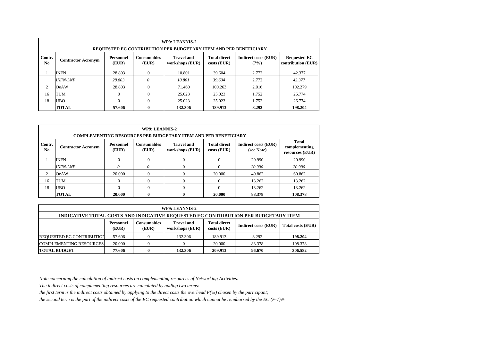|                | WP9: LEANNIS-2<br>REQUESTED EC CONTRIBUTION PER BUDGETARY ITEM AND PER BENEFICIARY                                                                                                                                                                        |        |          |         |         |       |         |  |  |  |  |  |
|----------------|-----------------------------------------------------------------------------------------------------------------------------------------------------------------------------------------------------------------------------------------------------------|--------|----------|---------|---------|-------|---------|--|--|--|--|--|
| Contr.<br>No.  | <b>Consumables</b><br><b>Travel and</b><br><b>Total direct</b><br><b>Indirect costs (EUR)</b><br><b>Requested EC</b><br><b>Personnel</b><br><b>Contractor Acronym</b><br>contribution (EUR)<br>(EUR)<br>(EUR)<br>workshops (EUR)<br>$costs$ (EUR)<br>(7%) |        |          |         |         |       |         |  |  |  |  |  |
|                | <b>INFN</b>                                                                                                                                                                                                                                               | 28.803 | $\Omega$ | 10.801  | 39.604  | 2.772 | 42.377  |  |  |  |  |  |
|                | <b>INFN-LNF</b>                                                                                                                                                                                                                                           | 28.803 | 0        | 10.801  | 39.604  | 2.772 | 42.377  |  |  |  |  |  |
| $\overline{c}$ | <b>OeAW</b>                                                                                                                                                                                                                                               | 28.803 | $\Omega$ | 71.460  | 100.263 | 2.016 | 102.279 |  |  |  |  |  |
| 16             | <b>TUM</b>                                                                                                                                                                                                                                                |        | $\Omega$ | 25.023  | 25.023  | 1.752 | 26.774  |  |  |  |  |  |
| 18             | <b>UBO</b><br>25.023<br>1.752<br>$\Omega$<br>25.023<br>26.774                                                                                                                                                                                             |        |          |         |         |       |         |  |  |  |  |  |
|                | <b>TOTAL</b>                                                                                                                                                                                                                                              | 57.606 | 0        | 132.306 | 189.913 | 8.292 | 198.204 |  |  |  |  |  |

|               | WP9: LEANNIS-2<br><b>COMPLEMENTING RESOURCES PER BUDGETARY ITEM AND PER BENEFICIARY</b>                                                                                                                                                                         |        |  |  |        |        |         |  |  |  |  |  |  |
|---------------|-----------------------------------------------------------------------------------------------------------------------------------------------------------------------------------------------------------------------------------------------------------------|--------|--|--|--------|--------|---------|--|--|--|--|--|--|
| Contr.<br>No. | Total<br><b>Travel and</b><br><b>Indirect costs (EUR)</b><br><b>Consumables</b><br><b>Total direct</b><br><b>Personnel</b><br><b>Contractor Acronym</b><br>complementing<br>(see Note)<br>(EUR)<br>(EUR)<br>workshops (EUR)<br>$costs$ (EUR)<br>resources (EUR) |        |  |  |        |        |         |  |  |  |  |  |  |
|               | 20.990<br><b>INFN</b><br>20.990<br>$\Omega$                                                                                                                                                                                                                     |        |  |  |        |        |         |  |  |  |  |  |  |
|               | <b>INFN-LNF</b>                                                                                                                                                                                                                                                 |        |  |  |        | 20,990 | 20,990  |  |  |  |  |  |  |
| 2             | <b>OeAW</b>                                                                                                                                                                                                                                                     | 20,000 |  |  | 20,000 | 40.862 | 60.862  |  |  |  |  |  |  |
| 16            | 13.262<br><b>TUM</b><br>13.262<br>$\theta$<br>$\Omega$                                                                                                                                                                                                          |        |  |  |        |        |         |  |  |  |  |  |  |
| 18            | <b>UBO</b><br>$\Omega$<br>13.262<br>13.262                                                                                                                                                                                                                      |        |  |  |        |        |         |  |  |  |  |  |  |
|               | <b>TOTAL</b>                                                                                                                                                                                                                                                    | 20.000 |  |  | 20.000 | 88.378 | 108.378 |  |  |  |  |  |  |

|                                                                          | WP9: LEANNIS-2                                                                                                                                                                        |  |         |         |       |         |  |  |  |  |  |
|--------------------------------------------------------------------------|---------------------------------------------------------------------------------------------------------------------------------------------------------------------------------------|--|---------|---------|-------|---------|--|--|--|--|--|
|                                                                          | INDICATIVE TOTAL COSTS AND INDICATIVE REQUESTED EC CONTRIBUTION PER BUDGETARY ITEM                                                                                                    |  |         |         |       |         |  |  |  |  |  |
|                                                                          | <b>Travel and</b><br><b>Total direct</b><br>Consumables<br>Personnel<br><b>Indirect costs (EUR)</b><br><b>Total costs (EUR)</b><br>$costs$ (EUR)<br>workshops (EUR)<br>(EUR)<br>(EUR) |  |         |         |       |         |  |  |  |  |  |
| <b>REQUESTED EC CONTRIBUTION</b>                                         | 57.606                                                                                                                                                                                |  | 132.306 | 189.913 | 8.292 | 198.204 |  |  |  |  |  |
| <b>COMPLEMENTING RESOURCES</b><br>20,000<br>88.378<br>20.000<br>108.378  |                                                                                                                                                                                       |  |         |         |       |         |  |  |  |  |  |
| <b>TOTAL BUDGET</b><br>132.306<br>209.913<br>96.670<br>306.582<br>77.606 |                                                                                                                                                                                       |  |         |         |       |         |  |  |  |  |  |

*The indirect costs of complementing resources are calculated by adding two terms:* 

*the first term is the indirect costs obtained by applying to the direct costs the overhead F(%) chosen by the participant;*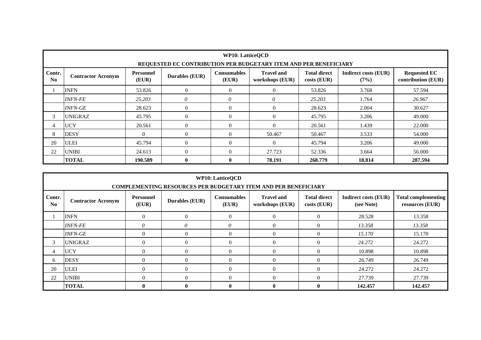|              | <b>WP10: LatticeOCD</b><br>REQUESTED EC CONTRIBUTION PER BUDGETARY ITEM AND PER BENEFICIARY                                                                                                                                                                                 |              |                |          |                |         |        |         |  |  |  |  |  |
|--------------|-----------------------------------------------------------------------------------------------------------------------------------------------------------------------------------------------------------------------------------------------------------------------------|--------------|----------------|----------|----------------|---------|--------|---------|--|--|--|--|--|
| Contr.<br>No | <b>Requested EC</b><br><b>Travel and</b><br><b>Total direct</b><br>Personnel<br><b>Consumables</b><br><b>Indirect costs (EUR)</b><br><b>Durables (EUR)</b><br><b>Contractor Acronym</b><br>(EUR)<br>contribution (EUR)<br>(EUR)<br>workshops (EUR)<br>$costs$ (EUR)<br>(7%) |              |                |          |                |         |        |         |  |  |  |  |  |
|              | <b>INFN</b>                                                                                                                                                                                                                                                                 | 53.826       | $\theta$       | $\Omega$ | $\overline{0}$ | 53.826  | 3.768  | 57.594  |  |  |  |  |  |
|              | <b>INFN-FE</b>                                                                                                                                                                                                                                                              | 25.203       | $\theta$       | 0        | $\theta$       | 25.203  | 1.764  | 26.967  |  |  |  |  |  |
|              | <b>INFN-GE</b>                                                                                                                                                                                                                                                              | 28.623       | $\overline{0}$ | $\Omega$ | $\theta$       | 28.623  | 2.004  | 30.627  |  |  |  |  |  |
| 3            | <b>UNIGRAZ</b>                                                                                                                                                                                                                                                              | 45.795       | $\theta$       | $\Omega$ | $\theta$       | 45.795  | 3.206  | 49.000  |  |  |  |  |  |
| 4            | <b>UCY</b>                                                                                                                                                                                                                                                                  | 20.561       | $\theta$       | $\Omega$ | $\theta$       | 20.561  | 1.439  | 22,000  |  |  |  |  |  |
| 8            | <b>DESY</b>                                                                                                                                                                                                                                                                 | $\mathbf{0}$ | $\overline{0}$ | $\theta$ | 50.467         | 50.467  | 3.533  | 54.000  |  |  |  |  |  |
| 20           | <b>ULEI</b>                                                                                                                                                                                                                                                                 | 45.794       | $\theta$       | $\Omega$ | $\Omega$       | 45.794  | 3.206  | 49.000  |  |  |  |  |  |
| 22           | $\Omega$<br>$\Omega$<br>27.723<br><b>UNIBI</b><br>52.336<br>3.664<br>56.000<br>24.613                                                                                                                                                                                       |              |                |          |                |         |        |         |  |  |  |  |  |
|              | <b>TOTAL</b>                                                                                                                                                                                                                                                                | 190.589      | $\mathbf{0}$   | 0        | 78.191         | 268.779 | 18.814 | 287.594 |  |  |  |  |  |

|              | <b>WP10: LatticeQCD</b><br><b>COMPLEMENTING RESOURCES PER BUDGETARY ITEM AND PER BENEFICIARY</b>                                                                                                                                                                                           |                |                |                |              |              |         |         |  |  |  |  |  |
|--------------|--------------------------------------------------------------------------------------------------------------------------------------------------------------------------------------------------------------------------------------------------------------------------------------------|----------------|----------------|----------------|--------------|--------------|---------|---------|--|--|--|--|--|
| Contr.<br>No | <b>Travel and</b><br><b>Total direct</b><br><b>Total complementing</b><br><b>Personnel</b><br><b>Consumables</b><br><b>Indirect costs (EUR)</b><br><b>Durables (EUR)</b><br><b>Contractor Acronym</b><br>(EUR)<br>(EUR)<br>(see Note)<br>workshops (EUR)<br>costs (EUR)<br>resources (EUR) |                |                |                |              |              |         |         |  |  |  |  |  |
|              | <b>INFN</b><br>$\overline{0}$<br>$\Omega$<br>$\Omega$<br>$\Omega$<br>$\theta$<br>28.528<br>13.358                                                                                                                                                                                          |                |                |                |              |              |         |         |  |  |  |  |  |
|              | 0<br>0<br>$\theta$<br>$\Omega$<br><b>INFN-FE</b><br>$\Omega$<br>13.358<br>13.358                                                                                                                                                                                                           |                |                |                |              |              |         |         |  |  |  |  |  |
|              | <b>INFN-GE</b>                                                                                                                                                                                                                                                                             | $\overline{0}$ | $\mathbf{0}$   | $\overline{0}$ | $\Omega$     | $\theta$     | 15.170  | 15.170  |  |  |  |  |  |
| 3            | <b>UNIGRAZ</b>                                                                                                                                                                                                                                                                             | $\theta$       | $\overline{0}$ | $\theta$       | $\Omega$     | $\Omega$     | 24.272  | 24.272  |  |  |  |  |  |
| 4            | <b>UCY</b>                                                                                                                                                                                                                                                                                 | $\Omega$       | $\overline{0}$ | $\Omega$       | $\Omega$     | $\Omega$     | 10.898  | 10.898  |  |  |  |  |  |
| 6            | <b>DESY</b>                                                                                                                                                                                                                                                                                | $\Omega$       | $\overline{0}$ | $\Omega$       | $\Omega$     | $\theta$     | 26.749  | 26.749  |  |  |  |  |  |
| 20           | <b>ULEI</b><br>$\Omega$<br>$\overline{0}$<br>$\Omega$<br>$\Omega$<br>$\theta$<br>24.272<br>24.272                                                                                                                                                                                          |                |                |                |              |              |         |         |  |  |  |  |  |
| 22           | <b>UNIBI</b><br>$\theta$<br>$\overline{0}$<br>$\Omega$<br>$\Omega$<br>$\Omega$<br>27.739<br>27.739                                                                                                                                                                                         |                |                |                |              |              |         |         |  |  |  |  |  |
|              | <b>TOTAL</b>                                                                                                                                                                                                                                                                               | $\mathbf{0}$   | $\mathbf{0}$   | $\mathbf{0}$   | $\mathbf{0}$ | $\mathbf{0}$ | 142.457 | 142.457 |  |  |  |  |  |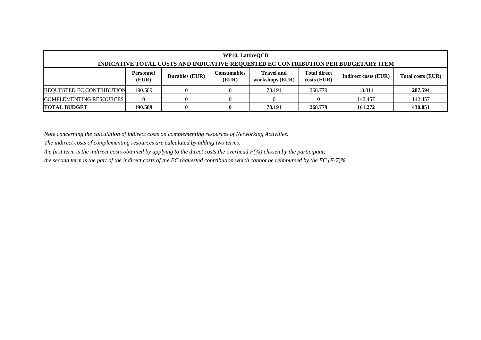|                                                      | <b>WP10: LatticeOCD</b>                                                                                                                                                                                                      |  |  |        |         |        |         |  |  |  |  |
|------------------------------------------------------|------------------------------------------------------------------------------------------------------------------------------------------------------------------------------------------------------------------------------|--|--|--------|---------|--------|---------|--|--|--|--|
|                                                      | INDICATIVE TOTAL COSTS AND INDICATIVE REQUESTED EC CONTRIBUTION PER BUDGETARY ITEM                                                                                                                                           |  |  |        |         |        |         |  |  |  |  |
|                                                      | <b>Travel and</b><br><b>Personnel</b><br><b>Total direct</b><br><b>Consumables</b><br><b>Durables (EUR)</b><br><b>Indirect costs (EUR)</b><br><b>Total costs (EUR)</b><br>(EUR)<br>$costs$ (EUR)<br>(EUR)<br>workshops (EUR) |  |  |        |         |        |         |  |  |  |  |
| <b>REQUESTED EC CONTRIBUTION</b>                     | 190.589                                                                                                                                                                                                                      |  |  | 78.191 | 268.779 | 18.814 | 287.594 |  |  |  |  |
| <b>COMPLEMENTING RESOURCES</b><br>142.457<br>142.457 |                                                                                                                                                                                                                              |  |  |        |         |        |         |  |  |  |  |
| <b>TOTAL BUDGET</b>                                  | 430.051<br>78.191<br>190.589<br>268.779<br>161.272                                                                                                                                                                           |  |  |        |         |        |         |  |  |  |  |

*The indirect costs of complementing resources are calculated by adding two terms:* 

*the first term is the indirect costs obtained by applying to the direct costs the overhead F(%) chosen by the participant;*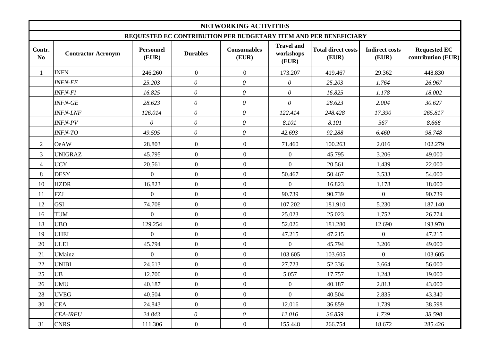|                          |                           |                           |                       | NETWORKING ACTIVITIES       |                                         |                                                                  |                                |                                           |
|--------------------------|---------------------------|---------------------------|-----------------------|-----------------------------|-----------------------------------------|------------------------------------------------------------------|--------------------------------|-------------------------------------------|
|                          |                           |                           |                       |                             |                                         | REQUESTED EC CONTRIBUTION PER BUDGETARY ITEM AND PER BENEFICIARY |                                |                                           |
| Contr.<br>N <sub>0</sub> | <b>Contractor Acronym</b> | <b>Personnel</b><br>(EUR) | <b>Durables</b>       | <b>Consumables</b><br>(EUR) | <b>Travel and</b><br>workshops<br>(EUR) | <b>Total direct costs</b><br>(EUR)                               | <b>Indirect costs</b><br>(EUR) | <b>Requested EC</b><br>contribution (EUR) |
| 1                        | <b>INFN</b>               | 246.260                   | $\overline{0}$        | $\overline{0}$              | 173.207                                 | 419.467                                                          | 29.362                         | 448.830                                   |
|                          | <b>INFN-FE</b>            | 25.203                    | $\theta$              | $\theta$                    | $\theta$                                | 25.203                                                           | 1.764                          | 26.967                                    |
|                          | <b>INFN-FI</b>            | 16.825                    | $\boldsymbol{\theta}$ | $\theta$                    | $\theta$                                | 16.825                                                           | 1.178                          | 18.002                                    |
|                          | <b>INFN-GE</b>            | 28.623                    | $\theta$              | $\theta$                    | $\theta$                                | 28.623                                                           | 2.004                          | 30.627                                    |
|                          | <b>INFN-LNF</b>           | 126.014                   | $\theta$              | $\boldsymbol{\theta}$       | 122.414                                 | 248.428                                                          | 17.390                         | 265.817                                   |
|                          | <b>INFN-PV</b>            | $\boldsymbol{\theta}$     | $\theta$              | $\theta$                    | 8.101                                   | 8.101                                                            | 567                            | 8.668                                     |
|                          | <b>INFN-TO</b>            | 49.595                    | $\theta$              | $\theta$                    | 42.693                                  | 92.288                                                           | 6.460                          | 98.748                                    |
| $\mathfrak{2}$           | <b>OeAW</b>               | 28.803                    | $\overline{0}$        | $\overline{0}$              | 71.460                                  | 100.263                                                          | 2.016                          | 102.279                                   |
| $\mathfrak{Z}$           | <b>UNIGRAZ</b>            | 45.795                    | $\overline{0}$        | $\overline{0}$              | $\mathbf{0}$                            | 45.795                                                           | 3.206                          | 49.000                                    |
| $\overline{4}$           | <b>UCY</b>                | 20.561                    | $\overline{0}$        | $\boldsymbol{0}$            | $\mathbf{0}$                            | 20.561                                                           | 1.439                          | 22.000                                    |
| $\,8\,$                  | <b>DESY</b>               | $\overline{0}$            | $\overline{0}$        | $\overline{0}$              | 50.467                                  | 50.467                                                           | 3.533                          | 54.000                                    |
| 10                       | <b>HZDR</b>               | 16.823                    | $\overline{0}$        | $\boldsymbol{0}$            | $\boldsymbol{0}$                        | 16.823                                                           | 1.178                          | 18.000                                    |
| 11                       | <b>FZJ</b>                | $\overline{0}$            | $\overline{0}$        | $\overline{0}$              | 90.739                                  | 90.739                                                           | $\overline{0}$                 | 90.739                                    |
| 12                       | <b>GSI</b>                | 74.708                    | $\overline{0}$        | $\boldsymbol{0}$            | 107.202                                 | 181.910                                                          | 5.230                          | 187.140                                   |
| 16                       | <b>TUM</b>                | $\overline{0}$            | $\overline{0}$        | $\overline{0}$              | 25.023                                  | 25.023                                                           | 1.752                          | 26.774                                    |
| 18                       | <b>UBO</b>                | 129.254                   | $\overline{0}$        | $\overline{0}$              | 52.026                                  | 181.280                                                          | 12.690                         | 193.970                                   |
| 19                       | <b>UHEI</b>               | $\overline{0}$            | $\overline{0}$        | $\overline{0}$              | 47.215                                  | 47.215                                                           | $\overline{0}$                 | 47.215                                    |
| 20                       | <b>ULEI</b>               | 45.794                    | $\overline{0}$        | $\boldsymbol{0}$            | $\mathbf{0}$                            | 45.794                                                           | 3.206                          | 49.000                                    |
| 21                       | <b>UMainz</b>             | $\overline{0}$            | $\overline{0}$        | $\boldsymbol{0}$            | 103.605                                 | 103.605                                                          | $\boldsymbol{0}$               | 103.605                                   |
| 22                       | <b>UNIBI</b>              | 24.613                    | $\overline{0}$        | $\boldsymbol{0}$            | 27.723                                  | 52.336                                                           | 3.664                          | 56.000                                    |
| 25                       | <b>UB</b>                 | 12.700                    | $\overline{0}$        | $\mathbf{0}$                | 5.057                                   | 17.757                                                           | 1.243                          | 19.000                                    |
| 26                       | <b>UMU</b>                | 40.187                    | $\overline{0}$        | $\overline{0}$              | $\mathbf{0}$                            | 40.187                                                           | 2.813                          | 43.000                                    |
| 28                       | <b>UVEG</b>               | 40.504                    | $\overline{0}$        | $\overline{0}$              | $\overline{0}$                          | 40.504                                                           | 2.835                          | 43.340                                    |
| 30                       | <b>CEA</b>                | 24.843                    | $\overline{0}$        | $\overline{0}$              | 12.016                                  | 36.859                                                           | 1.739                          | 38.598                                    |
|                          | <b>CEA-IRFU</b>           | 24.843                    | $\theta$              | $\theta$                    | 12.016                                  | 36.859                                                           | 1.739                          | 38.598                                    |
| 31                       | <b>CNRS</b>               | 111.306                   | $\overline{0}$        | $\boldsymbol{0}$            | 155.448                                 | 266.754                                                          | 18.672                         | 285.426                                   |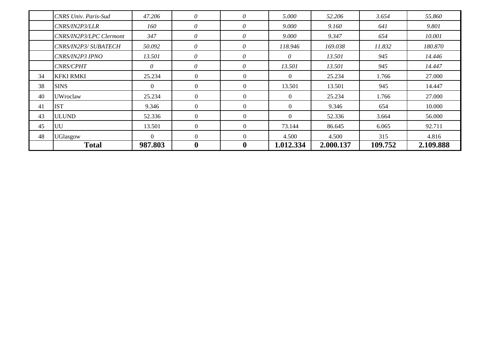|    | CNRS Univ. Paris-Sud    | 47.206   | $\theta$         | $\theta$       | 5.000     | 52.206    | 3.654   | 55.860    |
|----|-------------------------|----------|------------------|----------------|-----------|-----------|---------|-----------|
|    | CNRS/IN2P3/LLR          | 160      | $\theta$         | $\theta$       | 9.000     | 9.160     | 641     | 9.801     |
|    | CNRS/IN2P3/LPC Clermont | 347      | $\theta$         | $\theta$       | 9.000     | 9.347     | 654     | 10.001    |
|    | CNRS/IN2P3/ SUBATECH    | 50.092   | 0                | $\theta$       | 118.946   | 169.038   | 11.832  | 180.870   |
|    | CNRS/IN2P3 IPNO         | 13.501   | $\theta$         | $\theta$       | 0         | 13.501    | 945     | 14.446    |
|    | <b>CNRS/CPHT</b>        | $\theta$ | $\theta$         | $\theta$       | 13.501    | 13.501    | 945     | 14.447    |
| 34 | <b>KFKI RMKI</b>        | 25.234   | 0                | $\Omega$       | $\Omega$  | 25.234    | 1.766   | 27.000    |
| 38 | <b>SINS</b>             | $\Omega$ | $\Omega$         | $\Omega$       | 13.501    | 13.501    | 945     | 14.447    |
| 40 | <b>UW</b> roclaw        | 25.234   | $\Omega$         | $\Omega$       | $\Omega$  | 25.234    | 1.766   | 27.000    |
| 41 | <b>IST</b>              | 9.346    | $\theta$         | $\theta$       | $\Omega$  | 9.346     | 654     | 10.000    |
| 43 | <b>ULUND</b>            | 52.336   | $\Omega$         | $\Omega$       | $\Omega$  | 52.336    | 3.664   | 56.000    |
| 45 | UU                      | 13.501   | $\mathbf{0}$     | $\overline{0}$ | 73.144    | 86.645    | 6.065   | 92.711    |
| 48 | <b>UGlasgow</b>         | $\Omega$ | $\Omega$         | $\Omega$       | 4.500     | 4.500     | 315     | 4.816     |
|    | <b>Total</b>            | 987.803  | $\boldsymbol{0}$ | $\bf{0}$       | 1.012.334 | 2.000.137 | 109.752 | 2.109.888 |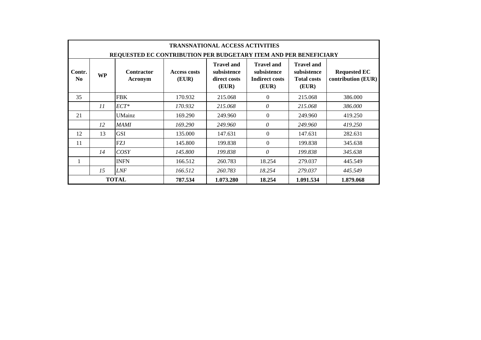|                                                                                                                                                                                                                                                                                                                                                          |                                                                        |               |         | <b>TRANSNATIONAL ACCESS ACTIVITIES</b> |          |           |           |  |  |  |  |  |  |  |
|----------------------------------------------------------------------------------------------------------------------------------------------------------------------------------------------------------------------------------------------------------------------------------------------------------------------------------------------------------|------------------------------------------------------------------------|---------------|---------|----------------------------------------|----------|-----------|-----------|--|--|--|--|--|--|--|
|                                                                                                                                                                                                                                                                                                                                                          | REQUESTED EC CONTRIBUTION PER BUDGETARY ITEM AND PER BENEFICIARY       |               |         |                                        |          |           |           |  |  |  |  |  |  |  |
| <b>Travel and</b><br><b>Travel and</b><br><b>Travel and</b><br>Contr.<br>subsistence<br><b>Contractor</b><br><b>Access costs</b><br>subsistence<br>subsistence<br><b>Requested EC</b><br><b>WP</b><br>(EUR)<br>contribution (EUR)<br>N <sub>0</sub><br><b>Indirect costs</b><br>direct costs<br><b>Total costs</b><br>Acronym<br>(EUR)<br>(EUR)<br>(EUR) |                                                                        |               |         |                                        |          |           |           |  |  |  |  |  |  |  |
| 35                                                                                                                                                                                                                                                                                                                                                       |                                                                        | <b>FBK</b>    | 170.932 | 215.068                                | $\theta$ | 215.068   | 386.000   |  |  |  |  |  |  |  |
|                                                                                                                                                                                                                                                                                                                                                          | 11                                                                     | $ECT^*$       | 170.932 | 215.068                                | $\theta$ | 215.068   | 386.000   |  |  |  |  |  |  |  |
| 21                                                                                                                                                                                                                                                                                                                                                       |                                                                        | <b>UMainz</b> | 169.290 | 249.960                                | $\theta$ | 249.960   | 419.250   |  |  |  |  |  |  |  |
|                                                                                                                                                                                                                                                                                                                                                          | 12                                                                     | <b>MAMI</b>   | 169.290 | 249.960                                | $\theta$ | 249.960   | 419.250   |  |  |  |  |  |  |  |
| 12                                                                                                                                                                                                                                                                                                                                                       | 13                                                                     | <b>GSI</b>    | 135.000 | 147.631                                | $\Omega$ | 147.631   | 282.631   |  |  |  |  |  |  |  |
| 11                                                                                                                                                                                                                                                                                                                                                       |                                                                        | <b>FZJ</b>    | 145.800 | 199.838                                | $\theta$ | 199.838   | 345.638   |  |  |  |  |  |  |  |
|                                                                                                                                                                                                                                                                                                                                                          | 14                                                                     | COSY          | 145.800 | 199.838                                | $\theta$ | 199.838   | 345.638   |  |  |  |  |  |  |  |
|                                                                                                                                                                                                                                                                                                                                                          |                                                                        | <b>INFN</b>   | 166.512 | 260.783                                | 18.254   | 279.037   | 445.549   |  |  |  |  |  |  |  |
|                                                                                                                                                                                                                                                                                                                                                          | <i>LNF</i><br>166.512<br>15<br>260.783<br>18.254<br>279.037<br>445.549 |               |         |                                        |          |           |           |  |  |  |  |  |  |  |
|                                                                                                                                                                                                                                                                                                                                                          |                                                                        | <b>TOTAL</b>  | 787.534 | 1.073.280                              | 18.254   | 1.091.534 | 1.879.068 |  |  |  |  |  |  |  |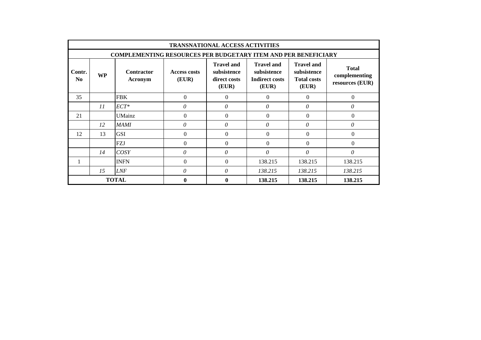|                                                                                                                                                                                                                                                                                                                                                                 |                                                                                            |                                                                       |                  | <b>TRANSNATIONAL ACCESS ACTIVITIES</b> |                  |          |          |  |  |  |  |  |  |  |
|-----------------------------------------------------------------------------------------------------------------------------------------------------------------------------------------------------------------------------------------------------------------------------------------------------------------------------------------------------------------|--------------------------------------------------------------------------------------------|-----------------------------------------------------------------------|------------------|----------------------------------------|------------------|----------|----------|--|--|--|--|--|--|--|
|                                                                                                                                                                                                                                                                                                                                                                 |                                                                                            | <b>COMPLEMENTING RESOURCES PER BUDGETARY ITEM AND PER BENEFICIARY</b> |                  |                                        |                  |          |          |  |  |  |  |  |  |  |
| <b>Travel and</b><br><b>Travel and</b><br><b>Travel and</b><br><b>Total</b><br>Contr.<br>subsistence<br><b>Contractor</b><br>subsistence<br>subsistence<br><b>Access costs</b><br><b>WP</b><br>complementing<br>(EUR)<br>N <sub>0</sub><br><b>Indirect costs</b><br>direct costs<br><b>Total costs</b><br>Acronym<br>resources (EUR)<br>(EUR)<br>(EUR)<br>(EUR) |                                                                                            |                                                                       |                  |                                        |                  |          |          |  |  |  |  |  |  |  |
| 35                                                                                                                                                                                                                                                                                                                                                              | $\boldsymbol{0}$<br>$\boldsymbol{0}$<br><b>FBK</b><br>$\Omega$<br>$\theta$<br>$\mathbf{0}$ |                                                                       |                  |                                        |                  |          |          |  |  |  |  |  |  |  |
|                                                                                                                                                                                                                                                                                                                                                                 | 11                                                                                         | $ECT^*$                                                               | 0                | $\theta$                               | $\theta$         | $\theta$ | $\theta$ |  |  |  |  |  |  |  |
| 21                                                                                                                                                                                                                                                                                                                                                              |                                                                                            | <b>UMainz</b>                                                         | $\boldsymbol{0}$ | $\mathbf{0}$                           | $\mathbf{0}$     | $\Omega$ | $\Omega$ |  |  |  |  |  |  |  |
|                                                                                                                                                                                                                                                                                                                                                                 | 12                                                                                         | MAMI                                                                  | 0                | $\theta$                               | $\theta$         | $\theta$ | 0        |  |  |  |  |  |  |  |
| 12                                                                                                                                                                                                                                                                                                                                                              | 13                                                                                         | <b>GSI</b>                                                            | $\Omega$         | $\Omega$                               | $\Omega$         | $\theta$ | $\Omega$ |  |  |  |  |  |  |  |
|                                                                                                                                                                                                                                                                                                                                                                 |                                                                                            | FZJ                                                                   | $\boldsymbol{0}$ | $\boldsymbol{0}$                       | $\boldsymbol{0}$ | $\Omega$ | $\theta$ |  |  |  |  |  |  |  |
|                                                                                                                                                                                                                                                                                                                                                                 | 14                                                                                         | COSY                                                                  | 0                | $\theta$                               | $\theta$         | $\theta$ | $\theta$ |  |  |  |  |  |  |  |
| <b>INFN</b><br>$\Omega$<br>$\Omega$<br>138.215<br>138.215<br>138.215                                                                                                                                                                                                                                                                                            |                                                                                            |                                                                       |                  |                                        |                  |          |          |  |  |  |  |  |  |  |
|                                                                                                                                                                                                                                                                                                                                                                 | 0<br>$\theta$<br><b>LNF</b><br>15<br>138.215<br>138.215<br>138.215                         |                                                                       |                  |                                        |                  |          |          |  |  |  |  |  |  |  |
|                                                                                                                                                                                                                                                                                                                                                                 |                                                                                            | <b>TOTAL</b>                                                          | $\bf{0}$         | $\mathbf{0}$                           | 138.215          | 138.215  | 138.215  |  |  |  |  |  |  |  |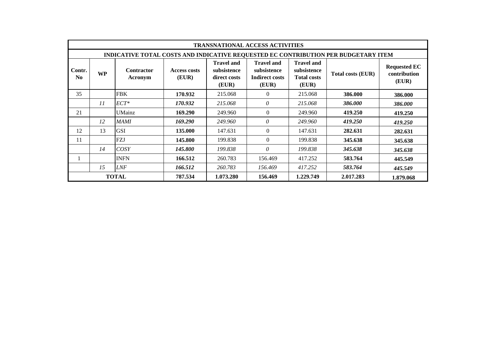|                          |                                                                                    |                              |                              |                                                           | <b>TRANSNATIONAL ACCESS ACTIVITIES</b>                             |                                                                 |                          |                                              |  |  |  |  |
|--------------------------|------------------------------------------------------------------------------------|------------------------------|------------------------------|-----------------------------------------------------------|--------------------------------------------------------------------|-----------------------------------------------------------------|--------------------------|----------------------------------------------|--|--|--|--|
|                          | INDICATIVE TOTAL COSTS AND INDICATIVE REQUESTED EC CONTRIBUTION PER BUDGETARY ITEM |                              |                              |                                                           |                                                                    |                                                                 |                          |                                              |  |  |  |  |
| Contr.<br>N <sub>0</sub> | <b>WP</b>                                                                          | <b>Contractor</b><br>Acronym | <b>Access costs</b><br>(EUR) | <b>Travel and</b><br>subsistence<br>direct costs<br>(EUR) | <b>Travel and</b><br>subsistence<br><b>Indirect costs</b><br>(EUR) | <b>Travel and</b><br>subsistence<br><b>Total costs</b><br>(EUR) | <b>Total costs (EUR)</b> | <b>Requested EC</b><br>contribution<br>(EUR) |  |  |  |  |
| 35                       |                                                                                    | <b>FBK</b>                   | 170.932                      | 215.068                                                   | $\Omega$                                                           | 215.068                                                         | 386.000                  | 386.000                                      |  |  |  |  |
|                          | 11                                                                                 | $ECT^*$                      | 170.932                      | 215.068                                                   | 0                                                                  | 215.068                                                         | 386.000                  | 386.000                                      |  |  |  |  |
| 21                       |                                                                                    | UMainz                       | 169.290                      | 249.960                                                   | $\Omega$                                                           | 249.960                                                         | 419.250                  | 419.250                                      |  |  |  |  |
|                          | 12                                                                                 | MAMI                         | 169.290                      | 249.960                                                   | 0                                                                  | 249.960                                                         | 419.250                  | 419.250                                      |  |  |  |  |
| 12                       | 13                                                                                 | <b>GSI</b>                   | 135.000                      | 147.631                                                   | $\Omega$                                                           | 147.631                                                         | 282.631                  | 282.631                                      |  |  |  |  |
| 11                       |                                                                                    | <b>FZJ</b>                   | 145.800                      | 199.838                                                   | $\Omega$                                                           | 199.838                                                         | 345.638                  | 345.638                                      |  |  |  |  |
|                          | 14                                                                                 | COSY                         | 145.800                      | 199.838                                                   | 0                                                                  | 199.838                                                         | 345.638                  | 345.638                                      |  |  |  |  |
|                          |                                                                                    | <b>INFN</b>                  | 166.512                      | 260.783                                                   | 156.469                                                            | 417.252                                                         | 583.764                  | 445.549                                      |  |  |  |  |
|                          | 15                                                                                 | <b>LNF</b>                   | 166.512                      | 260.783                                                   | 156.469                                                            | 417.252                                                         | 583.764                  | 445.549                                      |  |  |  |  |
|                          |                                                                                    | <b>TOTAL</b>                 | 787.534                      | 1.073.280                                                 | 156.469                                                            | 1.229.749                                                       | 2.017.283                | 1.879.068                                    |  |  |  |  |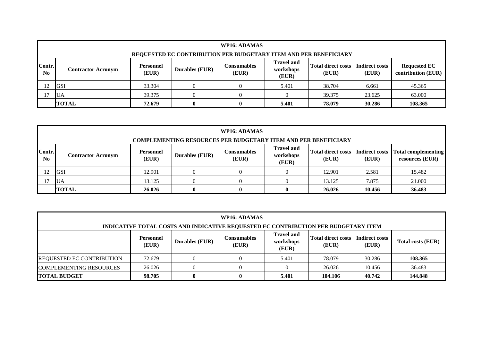|                                  |                                                                                                                                                                                                                                                                                                                                             |        |   | WP16: ADAMAS |       |        |        |         |  |  |
|----------------------------------|---------------------------------------------------------------------------------------------------------------------------------------------------------------------------------------------------------------------------------------------------------------------------------------------------------------------------------------------|--------|---|--------------|-------|--------|--------|---------|--|--|
|                                  |                                                                                                                                                                                                                                                                                                                                             |        |   |              |       |        |        |         |  |  |
| Contr.<br>$\mathbf{N}\mathbf{0}$ | REQUESTED EC CONTRIBUTION PER BUDGETARY ITEM AND PER BENEFICIARY<br><b>Travel and</b><br><b>Total direct costs</b><br><b>Indirect costs</b><br><b>Requested EC</b><br>Consumables<br><b>Personnel</b><br><b>Durables (EUR)</b><br>workshops<br><b>Contractor Acronym</b><br>(EUR)<br>contribution (EUR)<br>(EUR)<br>(EUR)<br>(EUR)<br>(EUR) |        |   |              |       |        |        |         |  |  |
| 12                               | <b>GSI</b>                                                                                                                                                                                                                                                                                                                                  | 33.304 |   |              | 5.401 | 38.704 | 6.661  | 45.365  |  |  |
|                                  | <b>UA</b>                                                                                                                                                                                                                                                                                                                                   | 39.375 |   |              |       | 39.375 | 23.625 | 63.000  |  |  |
|                                  | <b>TOTAL</b>                                                                                                                                                                                                                                                                                                                                | 72.679 | 0 |              | 5.401 | 78.079 | 30.286 | 108.365 |  |  |

|                          |                                                                                                                                                                                                                                                                   |        |  | WP16: ADAMAS |  |        |        |        |  |  |  |
|--------------------------|-------------------------------------------------------------------------------------------------------------------------------------------------------------------------------------------------------------------------------------------------------------------|--------|--|--------------|--|--------|--------|--------|--|--|--|
|                          | <b>COMPLEMENTING RESOURCES PER BUDGETARY ITEM AND PER BENEFICIARY</b>                                                                                                                                                                                             |        |  |              |  |        |        |        |  |  |  |
| Contr.<br>N <sub>0</sub> | <b>Travel and</b><br>Total direct costs<br><b>Indirect costs</b><br>  Total complementing  <br>Consumables<br><b>Personnel</b><br><b>Durables (EUR)</b><br>workshops<br><b>Contractor Acronym</b><br>(EUR)<br>(EUR)<br>(EUR)<br>(EUR)<br>resources (EUR)<br>(EUR) |        |  |              |  |        |        |        |  |  |  |
|                          | IGSI                                                                                                                                                                                                                                                              | 12.901 |  |              |  | 12.901 | 2.581  | 15.482 |  |  |  |
|                          | 21.000<br>13.125<br>13.125<br>7.875<br><b>UA</b>                                                                                                                                                                                                                  |        |  |              |  |        |        |        |  |  |  |
|                          | <b>TOTAL</b>                                                                                                                                                                                                                                                      | 26.026 |  | 0            |  | 26.026 | 10.456 | 36.483 |  |  |  |

|                                                                                                                                                                                                             | WP16: ADAMAS                         |  |  |       |         |        |         |  |  |  |
|-------------------------------------------------------------------------------------------------------------------------------------------------------------------------------------------------------------|--------------------------------------|--|--|-------|---------|--------|---------|--|--|--|
| INDICATIVE TOTAL COSTS AND INDICATIVE REQUESTED EC CONTRIBUTION PER BUDGETARY ITEM                                                                                                                          |                                      |  |  |       |         |        |         |  |  |  |
| <b>Travel and</b><br><b>Total direct costs</b><br><b>Indirect costs</b><br>Consumables<br><b>Personnel</b><br>Durables (EUR)<br>workshops<br>Total costs (EUR)<br>(EUR)<br>(EUR)<br>(EUR)<br>(EUR)<br>(EUR) |                                      |  |  |       |         |        |         |  |  |  |
| <b>REQUESTED EC CONTRIBUTION</b>                                                                                                                                                                            | 72.679                               |  |  | 5.401 | 78.079  | 30.286 | 108.365 |  |  |  |
| <b>COMPLEMENTING RESOURCES</b>                                                                                                                                                                              | 36.483<br>26.026<br>10.456<br>26.026 |  |  |       |         |        |         |  |  |  |
| <b>TOTAL BUDGET</b>                                                                                                                                                                                         | 98.705                               |  |  | 5.401 | 104.106 | 40.742 | 144.848 |  |  |  |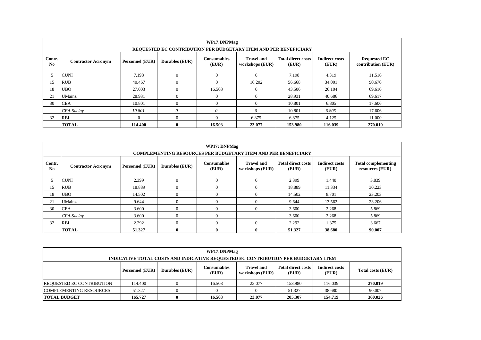|                          |                           |                        | REQUESTED EC CONTRIBUTION PER BUDGETARY ITEM AND PER BENEFICIARY | WP17:DNPMag                 |                                      |                                    |                                |                                           |
|--------------------------|---------------------------|------------------------|------------------------------------------------------------------|-----------------------------|--------------------------------------|------------------------------------|--------------------------------|-------------------------------------------|
| Contr.<br>N <sub>0</sub> | <b>Contractor Acronym</b> | <b>Personnel (EUR)</b> | Durables (EUR)                                                   | <b>Consumables</b><br>(EUR) | <b>Travel and</b><br>workshops (EUR) | <b>Total direct costs</b><br>(EUR) | <b>Indirect costs</b><br>(EUR) | <b>Requested EC</b><br>contribution (EUR) |
|                          | <b>CUNI</b>               | 7.198                  | $\theta$                                                         | $\theta$                    | $\Omega$                             | 7.198                              | 4.319                          | 11.516                                    |
| 15                       | <b>RUB</b>                | 40.467                 | $\Omega$                                                         | $\Omega$                    | 16.202                               | 56.668                             | 34.001                         | 90.670                                    |
| 18                       | <b>UBO</b>                | 27.003                 | $\Omega$                                                         | 16.503                      | $\Omega$                             | 43.506                             | 26.104                         | 69.610                                    |
| 21                       | <b>UMainz</b>             | 28.931                 | $\Omega$                                                         | $\theta$                    | $\Omega$                             | 28.931                             | 40.686                         | 69.617                                    |
| 30                       | <b>CEA</b>                | 10.801                 | $\Omega$                                                         | $\Omega$                    | $\Omega$                             | 10.801                             | 6.805                          | 17.606                                    |
|                          | CEA-Saclay                | 10.801                 | 0                                                                | $\theta$                    | 0                                    | 10.801                             | 6.805                          | 17.606                                    |
| 32                       | <b>RBI</b>                |                        | $\Omega$                                                         | $\Omega$                    | 6.875                                | 6.875                              | 4.125                          | 11.000                                    |
|                          | <b>TOTAL</b>              | 114.400                | $\bf{0}$                                                         | 16.503                      | 23,077                               | 153.980                            | 116.039                        | 270.019                                   |

|              |                           |                        | <b>COMPLEMENTING RESOURCES PER BUDGETARY ITEM AND PER BENEFICIARY</b> | <b>WP17: DNPMag</b>         |                                      |                                    |                                |                                               |
|--------------|---------------------------|------------------------|-----------------------------------------------------------------------|-----------------------------|--------------------------------------|------------------------------------|--------------------------------|-----------------------------------------------|
| Contr.<br>No | <b>Contractor Acronym</b> | <b>Personnel (EUR)</b> | Durables (EUR)                                                        | <b>Consumables</b><br>(EUR) | <b>Travel and</b><br>workshops (EUR) | <b>Total direct costs</b><br>(EUR) | <b>Indirect costs</b><br>(EUR) | <b>Total complementing</b><br>resources (EUR) |
| 5            | <b>CUNI</b>               | 2.399                  | 0                                                                     | $\overline{0}$              | $\mathbf{0}$                         | 2.399                              | 1.440                          | 3.839                                         |
| 15           | <b>RUB</b>                | 18.889                 | $\overline{0}$                                                        | $\overline{0}$              | $\mathbf{0}$                         | 18.889                             | 11.334                         | 30.223                                        |
| 18           | <b>UBO</b>                | 14.502                 | $\Omega$                                                              | $\theta$                    | $\mathbf{0}$                         | 14.502                             | 8.701                          | 23.203                                        |
| 21           | <b>UMainz</b>             | 9.644                  | $\Omega$                                                              | $\overline{0}$              | $\Omega$                             | 9.644                              | 13.562                         | 23.206                                        |
| 30           | <b>CEA</b>                | 3.600                  | 0                                                                     | $\Omega$                    | $\Omega$                             | 3.600                              | 2.268                          | 5.869                                         |
|              | CEA-Saclay                | 3.600                  | $\Omega$                                                              | $\mathbf{0}$                |                                      | 3.600                              | 2.268                          | 5.869                                         |
| 32           | RBI                       | 2.292                  | $\Omega$                                                              | $\Omega$                    | $\Omega$                             | 2.292                              | 1.375                          | 3.667                                         |
|              | <b>TOTAL</b>              | 51.327                 | 0                                                                     | $\bf{0}$                    | $\mathbf{0}$                         | 51.327                             | 38.680                         | 90.007                                        |

|                                  |                                                              | INDICATIVE TOTAL COSTS AND INDICATIVE REQUESTED EC CONTRIBUTION PER BUDGETARY ITEM | WP17:DNPMag          |                                      |                                    |                                |                   |  |  |
|----------------------------------|--------------------------------------------------------------|------------------------------------------------------------------------------------|----------------------|--------------------------------------|------------------------------------|--------------------------------|-------------------|--|--|
|                                  | Personnel (EUR)                                              | <b>Durables</b> (EUR)                                                              | Consumables<br>(EUR) | <b>Travel and</b><br>workshops (EUR) | <b>Total direct costs</b><br>(EUR) | <b>Indirect costs</b><br>(EUR) | Total costs (EUR) |  |  |
| <b>REQUESTED EC CONTRIBUTION</b> | 114.400                                                      |                                                                                    | 16.503               | 23.077                               | 153.980                            | 116.039                        | 270.019           |  |  |
| <b>COMPLEMENTING RESOURCES</b>   | 38.680<br>51.327<br>51.327<br>90.007<br>$\Omega$<br>$\Omega$ |                                                                                    |                      |                                      |                                    |                                |                   |  |  |
| <b>TOTAL BUDGET</b>              | 165.727                                                      | 0                                                                                  | 16.503               | 23,077                               | 205.307                            | 154.719                        | 360.026           |  |  |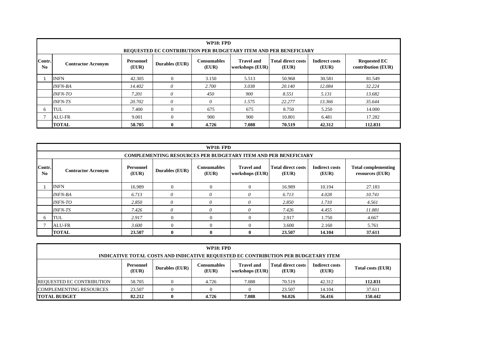|                          |                                                                                                                                                                                                                                                                      |        | <b>REQUESTED EC CONTRIBUTION PER BUDGETARY ITEM AND PER BENEFICIARY</b> | <b>WP18: FPD</b> |       |        |        |         |  |  |  |
|--------------------------|----------------------------------------------------------------------------------------------------------------------------------------------------------------------------------------------------------------------------------------------------------------------|--------|-------------------------------------------------------------------------|------------------|-------|--------|--------|---------|--|--|--|
| Contr.<br>N <sub>0</sub> | <b>Indirect costs</b><br><b>Requested EC</b><br><b>Consumables</b><br><b>Travel and</b><br><b>Total direct costs</b><br>Personnel<br><b>Durables (EUR)</b><br><b>Contractor Acronym</b><br>contribution (EUR)<br>(EUR)<br>(EUR)<br>workshops (EUR)<br>(EUR)<br>(EUR) |        |                                                                         |                  |       |        |        |         |  |  |  |
|                          | <b>INFN</b>                                                                                                                                                                                                                                                          | 42.305 | $\Omega$                                                                | 3.150            | 5.513 | 50.968 | 30.581 | 81.549  |  |  |  |
|                          | <b>INFN-BA</b>                                                                                                                                                                                                                                                       | 14.402 | $\theta$                                                                | 2.700            | 3.038 | 20.140 | 12.084 | 32.224  |  |  |  |
|                          | <i><b>INFN-TO</b></i>                                                                                                                                                                                                                                                | 7.201  | $\theta$                                                                | 450              | 900   | 8.551  | 5.131  | 13.682  |  |  |  |
|                          | <b>INFN-TS</b>                                                                                                                                                                                                                                                       | 20.702 | $\theta$                                                                | $\theta$         | 1.575 | 22.277 | 13.366 | 35.644  |  |  |  |
| 6                        | TUL                                                                                                                                                                                                                                                                  | 7.400  | $\Omega$                                                                | 675              | 675   | 8.750  | 5.250  | 14.000  |  |  |  |
|                          | <b>ALU-FR</b>                                                                                                                                                                                                                                                        | 9.001  | $\Omega$                                                                | 900              | 900   | 10.801 | 6.481  | 17.282  |  |  |  |
|                          | <b>TOTAL</b>                                                                                                                                                                                                                                                         | 58.705 | $\bf{0}$                                                                | 4.726            | 7.088 | 70.519 | 42.312 | 112.831 |  |  |  |

|                                  |                                                                                                                                                                                                                                                                          |        |                | WP18: FPD      |              |        |        |        |  |  |  |  |
|----------------------------------|--------------------------------------------------------------------------------------------------------------------------------------------------------------------------------------------------------------------------------------------------------------------------|--------|----------------|----------------|--------------|--------|--------|--------|--|--|--|--|
|                                  | <b>COMPLEMENTING RESOURCES PER BUDGETARY ITEM AND PER BENEFICIARY</b>                                                                                                                                                                                                    |        |                |                |              |        |        |        |  |  |  |  |
| Contr.<br>$\mathbf{N}\mathbf{0}$ | <b>Total direct costs</b><br><b>Indirect costs</b><br><b>Total complementing</b><br>Personnel<br><b>Consumables</b><br><b>Travel and</b><br><b>Durables (EUR)</b><br><b>Contractor Acronym</b><br>(EUR)<br>(EUR)<br>workshops (EUR)<br>(EUR)<br>resources (EUR)<br>(EUR) |        |                |                |              |        |        |        |  |  |  |  |
|                                  | <b>INFN</b>                                                                                                                                                                                                                                                              | 16.989 | $\overline{0}$ | $\overline{0}$ | $\Omega$     | 16.989 | 10.194 | 27.183 |  |  |  |  |
|                                  | <b>INFN-BA</b>                                                                                                                                                                                                                                                           | 6.713  | 0              | $\theta$       | $\theta$     | 6.713  | 4.028  | 10.741 |  |  |  |  |
|                                  | <i>INFN-TO</i>                                                                                                                                                                                                                                                           | 2.850  | 0              | 0              | $\theta$     | 2.850  | 1.710  | 4.561  |  |  |  |  |
|                                  | <b>INFN-TS</b>                                                                                                                                                                                                                                                           | 7.426  | 0              | $\theta$       | $\theta$     | 7.426  | 4.455  | 11.881 |  |  |  |  |
| 6                                | TUL                                                                                                                                                                                                                                                                      | 2.917  | $\Omega$       | $\Omega$       | $\Omega$     | 2.917  | 1.750  | 4.667  |  |  |  |  |
|                                  | ALU-FR                                                                                                                                                                                                                                                                   | 3.600  | $\Omega$       | $\Omega$       | $\Omega$     | 3.600  | 2.160  | 5.761  |  |  |  |  |
|                                  | <b>TOTAL</b>                                                                                                                                                                                                                                                             | 23.507 | $\mathbf{0}$   | $\mathbf{0}$   | $\mathbf{0}$ | 23.507 | 14.104 | 37.611 |  |  |  |  |

|                                  |                           |                       | <b>WP18: FPD</b>     |                                                                                    |                             |                                |                   |
|----------------------------------|---------------------------|-----------------------|----------------------|------------------------------------------------------------------------------------|-----------------------------|--------------------------------|-------------------|
|                                  |                           |                       |                      | INDICATIVE TOTAL COSTS AND INDICATIVE REQUESTED EC CONTRIBUTION PER BUDGETARY ITEM |                             |                                |                   |
|                                  | <b>Personnel</b><br>(EUR) | <b>Durables (EUR)</b> | Consumables<br>(EUR) | <b>Travel and</b><br>workshops (EUR)                                               | Total direct costs<br>(EUR) | <b>Indirect costs</b><br>(EUR) | Total costs (EUR) |
| <b>REQUESTED EC CONTRIBUTION</b> | 58.705                    |                       | 4.726                | 7.088                                                                              | 70.519                      | 42.312                         | 112.831           |
| <b>COMPLEMENTING RESOURCES</b>   | 23.507                    |                       |                      |                                                                                    | 23.507                      | 14.104                         | 37.611            |
| <b>TOTAL BUDGET</b>              | 82.212                    | 0                     | 4.726                | 7.088                                                                              | 94.026                      | 56.416                         | 150.442           |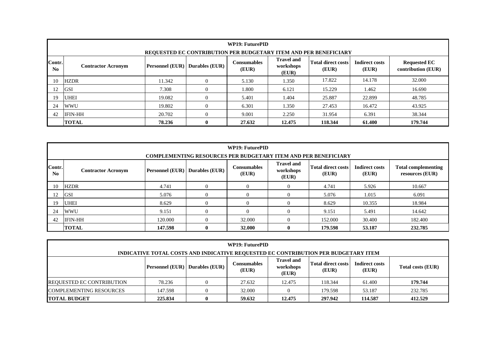|                          | <b>WP19: FuturePID</b><br><b>REQUESTED EC CONTRIBUTION PER BUDGETARY ITEM AND PER BENEFICIARY</b>                                                                                                                                                                 |        |          |        |        |         |        |         |  |  |  |
|--------------------------|-------------------------------------------------------------------------------------------------------------------------------------------------------------------------------------------------------------------------------------------------------------------|--------|----------|--------|--------|---------|--------|---------|--|--|--|
| Contr.<br>N <sub>0</sub> | <b>Travel and</b><br><b>Total direct costs</b><br><b>Consumables</b><br><b>Indirect costs</b><br><b>Requested EC</b><br><b>Personnel (EUR)</b> Durables (EUR)<br><b>Contractor Acronym</b><br>workshops<br>contribution (EUR)<br>(EUR)<br>(EUR)<br>(EUR)<br>(EUR) |        |          |        |        |         |        |         |  |  |  |
| 10                       | <b>HZDR</b>                                                                                                                                                                                                                                                       | 11.342 | $\theta$ | 5.130  | 1.350  | 17.822  | 14.178 | 32.000  |  |  |  |
| 12                       | <b>GSI</b>                                                                                                                                                                                                                                                        | 7.308  |          | 1.800  | 6.121  | 15.229  | 1.462  | 16.690  |  |  |  |
| 19                       | <b>UHEI</b>                                                                                                                                                                                                                                                       | 19.082 |          | 5.401  | 1.404  | 25.887  | 22.899 | 48.785  |  |  |  |
| 24                       | <b>WWU</b>                                                                                                                                                                                                                                                        | 19.802 |          | 6.301  | 1.350  | 27.453  | 16.472 | 43.925  |  |  |  |
| 42                       | <b>IFIN-HH</b>                                                                                                                                                                                                                                                    | 20.702 | $\theta$ | 9.001  | 2.250  | 31.954  | 6.391  | 38.344  |  |  |  |
|                          | <b>TOTAL</b>                                                                                                                                                                                                                                                      | 78.236 | 0        | 27.632 | 12.475 | 118.344 | 61.400 | 179.744 |  |  |  |

|              | WP19: FuturePID<br><b>COMPLEMENTING RESOURCES PER BUDGETARY ITEM AND PER BENEFICIARY</b>                                                                                                                                                                              |         |              |                |  |         |        |         |  |  |  |  |
|--------------|-----------------------------------------------------------------------------------------------------------------------------------------------------------------------------------------------------------------------------------------------------------------------|---------|--------------|----------------|--|---------|--------|---------|--|--|--|--|
| Contr.<br>No | <b>Travel and</b><br><b>Total direct costs</b><br><b>Consumables</b><br><b>Indirect costs</b><br><b>Total complementing</b><br><b>Personnel (EUR)</b> Durables (EUR)<br>workshops<br><b>Contractor Acronym</b><br>(EUR)<br>(EUR)<br>(EUR)<br>resources (EUR)<br>(EUR) |         |              |                |  |         |        |         |  |  |  |  |
| 10           | <b>HZDR</b>                                                                                                                                                                                                                                                           | 4.741   | $\Omega$     | $\overline{0}$ |  | 4.741   | 5.926  | 10.667  |  |  |  |  |
| 12           | <b>GSI</b>                                                                                                                                                                                                                                                            | 5.076   | 0            | $\overline{0}$ |  | 5.076   | 1.015  | 6.091   |  |  |  |  |
| 19           | <b>UHEI</b>                                                                                                                                                                                                                                                           | 8.629   | 0            | $\overline{0}$ |  | 8.629   | 10.355 | 18.984  |  |  |  |  |
| 24           | <b>WWU</b>                                                                                                                                                                                                                                                            | 9.151   | $\Omega$     | $\theta$       |  | 9.151   | 5.491  | 14.642  |  |  |  |  |
| 42           | <b>IFIN-HH</b>                                                                                                                                                                                                                                                        | 120.000 | $\Omega$     | 32.000         |  | 152.000 | 30.400 | 182.400 |  |  |  |  |
|              | <b>TOTAL</b>                                                                                                                                                                                                                                                          | 147.598 | $\mathbf{0}$ | 32.000         |  | 179.598 | 53.187 | 232.785 |  |  |  |  |

| <b>WP19: FuturePID</b>                                                                                                                                                                                |                                                              |  |        |        |         |        |         |  |  |  |
|-------------------------------------------------------------------------------------------------------------------------------------------------------------------------------------------------------|--------------------------------------------------------------|--|--------|--------|---------|--------|---------|--|--|--|
| INDICATIVE TOTAL COSTS AND INDICATIVE REQUESTED EC CONTRIBUTION PER BUDGETARY ITEM                                                                                                                    |                                                              |  |        |        |         |        |         |  |  |  |
| <b>Travel and</b><br><b>Total direct costs</b><br><b>Indirect costs</b><br>Consumables<br><b>Personnel (EUR)</b> Durables (EUR)<br>workshops<br>Total costs (EUR)<br>(EUR)<br>(EUR)<br>(EUR)<br>(EUR) |                                                              |  |        |        |         |        |         |  |  |  |
| <b>REQUESTED EC CONTRIBUTION</b>                                                                                                                                                                      | 78.236                                                       |  | 27.632 | 12.475 | 118.344 | 61.400 | 179.744 |  |  |  |
| <b>COMPLEMENTING RESOURCES</b><br>232.785<br>32.000<br>147.598<br>179.598<br>53.187                                                                                                                   |                                                              |  |        |        |         |        |         |  |  |  |
| <b>TOTAL BUDGET</b>                                                                                                                                                                                   | 59.632<br>412.529<br>12.475<br>297.942<br>114.587<br>225.834 |  |        |        |         |        |         |  |  |  |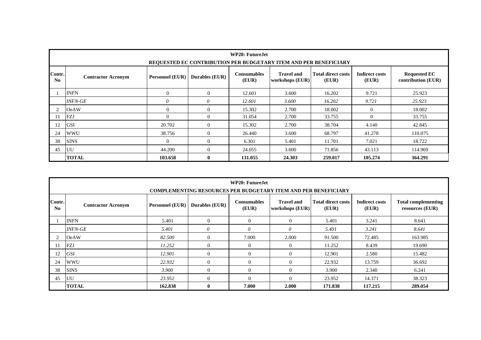|                                  | WP20: Future. Jet<br>REQUESTED EC CONTRIBUTION PER BUDGETARY ITEM AND PER BENEFICIARY                                                                                                                                                                             |                |              |         |        |         |          |         |  |  |  |  |
|----------------------------------|-------------------------------------------------------------------------------------------------------------------------------------------------------------------------------------------------------------------------------------------------------------------|----------------|--------------|---------|--------|---------|----------|---------|--|--|--|--|
| Contr.<br>$\mathbf{N}\mathbf{0}$ | <b>Total direct costs</b><br><b>Travel and</b><br><b>Indirect costs</b><br><b>Requested EC</b><br><b>Consumables</b><br><b>Personnel (EUR)</b><br>Durables (EUR)<br><b>Contractor Acronym</b><br>(EUR)<br>contribution (EUR)<br>workshops (EUR)<br>(EUR)<br>(EUR) |                |              |         |        |         |          |         |  |  |  |  |
|                                  | <b>INFN</b>                                                                                                                                                                                                                                                       | $\mathbf{0}$   | $\mathbf{0}$ | 12.601  | 3.600  | 16.202  | 9.721    | 25.923  |  |  |  |  |
|                                  | <i><b>INFN-GE</b></i>                                                                                                                                                                                                                                             | $\theta$       | 0            | 12.601  | 3.600  | 16.202  | 9.721    | 25.923  |  |  |  |  |
|                                  | <b>OeAW</b>                                                                                                                                                                                                                                                       | $\overline{0}$ | $\Omega$     | 15.302  | 2.700  | 18.002  | $\theta$ | 18.002  |  |  |  |  |
| 11                               | <b>FZJ</b>                                                                                                                                                                                                                                                        | $\Omega$       | $\Omega$     | 31.054  | 2.700  | 33.755  | $\Omega$ | 33.755  |  |  |  |  |
| 12                               | <b>GSI</b>                                                                                                                                                                                                                                                        | 20.702         | $\Omega$     | 15.302  | 2.700  | 38.704  | 4.140    | 42.845  |  |  |  |  |
| 24                               | <b>WWU</b>                                                                                                                                                                                                                                                        | 38.756         | $\Omega$     | 26.440  | 3.600  | 68.797  | 41.278   | 110.075 |  |  |  |  |
| 38                               | <b>SINS</b>                                                                                                                                                                                                                                                       | $\mathbf{0}$   | $\mathbf{0}$ | 6.301   | 5.401  | 11.701  | 7.021    | 18.722  |  |  |  |  |
| 45                               | UU                                                                                                                                                                                                                                                                | 44.200         | $\Omega$     | 24.055  | 3.600  | 71.856  | 43.113   | 114.969 |  |  |  |  |
|                                  | <b>TOTAL</b>                                                                                                                                                                                                                                                      | 103.658        | $\mathbf{0}$ | 131.055 | 24.303 | 259.017 | 105.274  | 364.291 |  |  |  |  |

|                          | WP20: FutureJet                                                                                                                                                                                                                                                |         |              |                |                |         |         |         |  |  |  |
|--------------------------|----------------------------------------------------------------------------------------------------------------------------------------------------------------------------------------------------------------------------------------------------------------|---------|--------------|----------------|----------------|---------|---------|---------|--|--|--|
|                          | <b>COMPLEMENTING RESOURCES PER BUDGETARY ITEM AND PER BENEFICIARY</b>                                                                                                                                                                                          |         |              |                |                |         |         |         |  |  |  |
| Contr.<br>N <sub>0</sub> | <b>Total direct costs</b><br><b>Total complementing</b><br><b>Consumables</b><br><b>Travel and</b><br><b>Indirect costs</b><br>Personnel (EUR)<br>Durables (EUR)<br><b>Contractor Acronym</b><br>(EUR)<br>workshops (EUR)<br>resources (EUR)<br>(EUR)<br>(EUR) |         |              |                |                |         |         |         |  |  |  |
|                          | <b>INFN</b>                                                                                                                                                                                                                                                    | 5.401   | $\Omega$     | $\Omega$       | $\theta$       | 5.401   | 3.241   | 8.641   |  |  |  |
|                          | <b>INFN-GE</b>                                                                                                                                                                                                                                                 | 5.401   | $\theta$     | 0              | 0              | 5.401   | 3.241   | 8.641   |  |  |  |
|                          | <b>OeAW</b>                                                                                                                                                                                                                                                    | 82.500  | $\mathbf{0}$ | 7.000          | 2.000          | 91.500  | 72.485  | 163.985 |  |  |  |
| 11                       | <b>FZJ</b>                                                                                                                                                                                                                                                     | 11.252  | $\mathbf{0}$ | $\overline{0}$ | $\overline{0}$ | 11.252  | 8.439   | 19.690  |  |  |  |
| 12                       | <b>GSI</b>                                                                                                                                                                                                                                                     | 12.901  | $\Omega$     | $\Omega$       | $\Omega$       | 12.901  | 2.580   | 15.482  |  |  |  |
| 24                       | <b>WWU</b>                                                                                                                                                                                                                                                     | 22.932  | $\Omega$     | $\Omega$       | $\Omega$       | 22.932  | 13.759  | 36.692  |  |  |  |
| 38                       | <b>SINS</b>                                                                                                                                                                                                                                                    | 3.900   | $\Omega$     | $\Omega$       | $\Omega$       | 3.900   | 2.340   | 6.241   |  |  |  |
| 45                       | UU                                                                                                                                                                                                                                                             | 23.952  | $\mathbf{0}$ | $\Omega$       | $\theta$       | 23.952  | 14.371  | 38.323  |  |  |  |
|                          | <b>TOTAL</b>                                                                                                                                                                                                                                                   | 162.838 | $\mathbf{0}$ | 7.000          | 2.000          | 171.838 | 117.215 | 289.054 |  |  |  |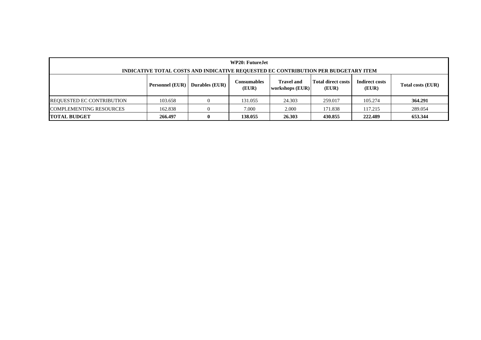| WP20: Future. Iet<br>INDICATIVE TOTAL COSTS AND INDICATIVE REQUESTED EC CONTRIBUTION PER BUDGETARY ITEM                                                                                                      |         |  |         |        |         |         |         |  |  |
|--------------------------------------------------------------------------------------------------------------------------------------------------------------------------------------------------------------|---------|--|---------|--------|---------|---------|---------|--|--|
| <b>Total direct costs</b><br>Indirect costs<br><b>Travel and</b><br><b>Consumables</b><br><b>Durables</b> (EUR)<br><b>Personnel (EUR)</b><br>Total costs (EUR)<br>(EUR)<br>workshops (EUR)<br>(EUR)<br>(EUR) |         |  |         |        |         |         |         |  |  |
| <b>REQUESTED EC CONTRIBUTION</b>                                                                                                                                                                             | 103.658 |  | 131.055 | 24.303 | 259.017 | 105.274 | 364.291 |  |  |
| <b>COMPLEMENTING RESOURCES</b><br>2.000<br>289.054<br>162.838<br>7.000<br>117.215<br>171.838                                                                                                                 |         |  |         |        |         |         |         |  |  |
| <b>TOTAL BUDGET</b>                                                                                                                                                                                          | 266.497 |  | 138.055 | 26.303 | 430.855 | 222.489 | 653.344 |  |  |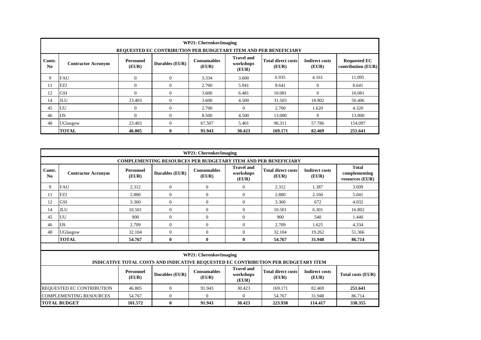|                          | <b>WP21: CherenkovImaging</b><br>REQUESTED EC CONTRIBUTION PER BUDGETARY ITEM AND PER BENEFICIARY                                                                                                                                                         |              |                |        |          |         |          |         |  |  |  |
|--------------------------|-----------------------------------------------------------------------------------------------------------------------------------------------------------------------------------------------------------------------------------------------------------|--------------|----------------|--------|----------|---------|----------|---------|--|--|--|
| Contr.<br>N <sub>0</sub> | <b>Travel and</b><br>Total direct costs<br><b>Indirect costs</b><br><b>Requested EC</b><br><b>Consumables</b><br>Personnel<br>Durables (EUR)<br>workshops<br><b>Contractor Acronym</b><br>contribution (EUR)<br>(EUR)<br>(EUR)<br>(EUR)<br>(EUR)<br>(EUR) |              |                |        |          |         |          |         |  |  |  |
| 9                        | <b>FAU</b>                                                                                                                                                                                                                                                | $\mathbf{0}$ | $\overline{0}$ | 3.334  | 3.600    | 6.935   | 4.161    | 11.095  |  |  |  |
| 11                       | <b>FZJ</b>                                                                                                                                                                                                                                                | $\Omega$     | $\mathbf{0}$   | 2.700  | 5.941    | 8.641   | $\Omega$ | 8.641   |  |  |  |
| 12                       | <b>GSI</b>                                                                                                                                                                                                                                                | $\Omega$     | $\Omega$       | 3.600  | 6.481    | 10.081  | $\Omega$ | 10.081  |  |  |  |
| 14                       | <b>JLU</b>                                                                                                                                                                                                                                                | 23.403       | $\Omega$       | 3.600  | 4.500    | 31.503  | 18.902   | 50.406  |  |  |  |
| 45                       | UU                                                                                                                                                                                                                                                        | $\Omega$     | $\Omega$       | 2.700  | $\Omega$ | 2.700   | 1.620    | 4.320   |  |  |  |
| 46                       | <b>IJS</b>                                                                                                                                                                                                                                                | $\Omega$     | $\overline{0}$ | 8.500  | 4.500    | 13.000  | $\Omega$ | 13.000  |  |  |  |
| 48                       | UGlasgow                                                                                                                                                                                                                                                  | 23.403       | $\Omega$       | 67.507 | 5.401    | 96.311  | 57.786   | 154.097 |  |  |  |
|                          | <b>TOTAL</b>                                                                                                                                                                                                                                              | 46.805       | $\mathbf{0}$   | 91.943 | 30.423   | 169.171 | 82.469   | 251.641 |  |  |  |

|                                                                                                                                                                                                                           |                                |                           |                | <b>WP21: CherenkovImaging</b> |                                         |                                                                                    |                                |                                                  |  |  |  |
|---------------------------------------------------------------------------------------------------------------------------------------------------------------------------------------------------------------------------|--------------------------------|---------------------------|----------------|-------------------------------|-----------------------------------------|------------------------------------------------------------------------------------|--------------------------------|--------------------------------------------------|--|--|--|
|                                                                                                                                                                                                                           |                                |                           |                |                               |                                         | <b>COMPLEMENTING RESOURCES PER BUDGETARY ITEM AND PER BENEFICIARY</b>              |                                |                                                  |  |  |  |
| Contr.<br>No                                                                                                                                                                                                              | <b>Contractor Acronym</b>      | <b>Personnel</b><br>(EUR) | Durables (EUR) | <b>Consumables</b><br>(EUR)   | <b>Travel and</b><br>workshops<br>(EUR) | <b>Total direct costs</b><br>(EUR)                                                 | <b>Indirect costs</b><br>(EUR) | <b>Total</b><br>complementing<br>resources (EUR) |  |  |  |
| 9                                                                                                                                                                                                                         | <b>FAU</b>                     | 2.312                     | $\overline{0}$ | $\overline{0}$                | $\overline{0}$                          | 2.312                                                                              | 1.387                          | 3.699                                            |  |  |  |
| 11                                                                                                                                                                                                                        | FZJ                            | 2.880                     | $\Omega$       | $\Omega$                      | $\overline{0}$                          | 2.880                                                                              | 2.160                          | 5.041                                            |  |  |  |
| 12                                                                                                                                                                                                                        | <b>GSI</b>                     | 3.360                     | $\Omega$       | $\overline{0}$                | $\overline{0}$                          | 3.360                                                                              | 672                            | 4.032                                            |  |  |  |
| 14                                                                                                                                                                                                                        | <b>JLU</b>                     | 10.501                    | $\overline{0}$ | $\overline{0}$                | $\overline{0}$                          | 10.501                                                                             | 6.301                          | 16.802                                           |  |  |  |
| 45                                                                                                                                                                                                                        | UU                             | 900                       | $\overline{0}$ | $\overline{0}$                | $\boldsymbol{0}$                        | 900                                                                                | 540                            | 1.440                                            |  |  |  |
| 46                                                                                                                                                                                                                        | <b>IJS</b>                     | 2.709                     | $\Omega$       | $\Omega$                      | $\overline{0}$                          | 2.709                                                                              | 1.625                          | 4.334                                            |  |  |  |
| 48                                                                                                                                                                                                                        | UGlasgow                       | 32.104                    | $\Omega$       | $\overline{0}$                | $\boldsymbol{0}$                        | 32.104                                                                             | 19.262                         | 51.366                                           |  |  |  |
|                                                                                                                                                                                                                           | <b>TOTAL</b>                   | 54.767                    | $\mathbf{0}$   | $\mathbf{0}$                  | $\bf{0}$                                | 54.767                                                                             | 31.948                         | 86.714                                           |  |  |  |
|                                                                                                                                                                                                                           |                                |                           |                | <b>WP21: CherenkovImaging</b> |                                         | INDICATIVE TOTAL COSTS AND INDICATIVE REQUESTED EC CONTRIBUTION PER BUDGETARY ITEM |                                |                                                  |  |  |  |
| <b>Travel and</b><br><b>Total direct costs</b><br><b>Consumables</b><br><b>Indirect costs</b><br>Personnel<br><b>Durables (EUR)</b><br><b>Total costs (EUR)</b><br>workshops<br>(EUR)<br>(EUR)<br>(EUR)<br>(EUR)<br>(EUR) |                                |                           |                |                               |                                         |                                                                                    |                                |                                                  |  |  |  |
|                                                                                                                                                                                                                           | REQUESTED EC CONTRIBUTION      | 46.805                    | $\theta$       | 91.943                        | 30.423                                  | 169.171                                                                            | 82.469                         | 251.641                                          |  |  |  |
|                                                                                                                                                                                                                           | <b>COMPLEMENTING RESOURCES</b> | 54.767                    | $\overline{0}$ | $\Omega$                      | $\overline{0}$                          | 54.767                                                                             | 31.948                         | 86.714                                           |  |  |  |
|                                                                                                                                                                                                                           | <b>TOTAL BUDGET</b>            | 101.572                   | $\bf{0}$       | 91.943                        | 30.423                                  | 223.938                                                                            | 114.417                        | 338.355                                          |  |  |  |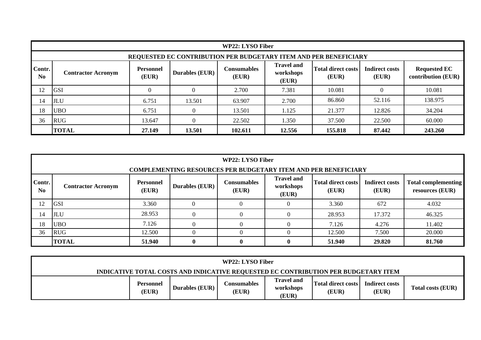|                          | WP22: LYSO Fiber                                                                                                                                                                                                                                                        |          |          |         |        |         |          |         |  |  |  |  |
|--------------------------|-------------------------------------------------------------------------------------------------------------------------------------------------------------------------------------------------------------------------------------------------------------------------|----------|----------|---------|--------|---------|----------|---------|--|--|--|--|
|                          | REQUESTED EC CONTRIBUTION PER BUDGETARY ITEM AND PER BENEFICIARY                                                                                                                                                                                                        |          |          |         |        |         |          |         |  |  |  |  |
| Contr.<br>N <sub>0</sub> | <b>Travel and</b><br><b>Total direct costs</b><br><b>Indirect costs</b><br><b>Requested EC</b><br>Personnel<br><b>Consumables</b><br><b>Durables (EUR)</b><br>workshops<br><b>Contractor Acronym</b><br>(EUR)<br>contribution (EUR)<br>(EUR)<br>(EUR)<br>(EUR)<br>(EUR) |          |          |         |        |         |          |         |  |  |  |  |
| 12                       | <b>GSI</b>                                                                                                                                                                                                                                                              | $\Omega$ | $\Omega$ | 2.700   | 7.381  | 10.081  | $\Omega$ | 10.081  |  |  |  |  |
| 14                       | JLU                                                                                                                                                                                                                                                                     | 6.751    | 13.501   | 63.907  | 2.700  | 86.860  | 52.116   | 138.975 |  |  |  |  |
| 18                       | <b>UBO</b>                                                                                                                                                                                                                                                              | 6.751    |          | 13.501  | 1.125  | 21.377  | 12.826   | 34.204  |  |  |  |  |
| 36                       | 22.502<br>1.350<br>60.000<br><b>RUG</b><br>13.647<br>37.500<br>22.500                                                                                                                                                                                                   |          |          |         |        |         |          |         |  |  |  |  |
|                          | <b>TOTAL</b>                                                                                                                                                                                                                                                            | 27.149   | 13.501   | 102.611 | 12.556 | 155.818 | 87.442   | 243.260 |  |  |  |  |

|               | WP22: LYSO Fiber                                                                                                                                                                                                                                                                                                                                     |        |  |              |              |        |        |        |  |  |  |  |
|---------------|------------------------------------------------------------------------------------------------------------------------------------------------------------------------------------------------------------------------------------------------------------------------------------------------------------------------------------------------------|--------|--|--------------|--------------|--------|--------|--------|--|--|--|--|
| Contr.<br>No. | <b>COMPLEMENTING RESOURCES PER BUDGETARY ITEM AND PER BENEFICIARY</b><br><b>Travel and</b><br><b>Total direct costs</b><br><b>Indirect costs</b><br>Personnel<br><b>Consumables</b><br><b>Total complementing</b><br><b>Durables (EUR)</b><br>workshops<br><b>Contractor Acronym</b><br>(EUR)<br>(EUR)<br>(EUR)<br>(EUR)<br>resources (EUR)<br>(EUR) |        |  |              |              |        |        |        |  |  |  |  |
| 12            | <b>GSI</b>                                                                                                                                                                                                                                                                                                                                           | 3.360  |  | 0            |              | 3.360  | 672    | 4.032  |  |  |  |  |
| 14            | <b>JLU</b>                                                                                                                                                                                                                                                                                                                                           | 28.953 |  | $\theta$     |              | 28.953 | 17.372 | 46.325 |  |  |  |  |
| 18            | <b>UBO</b>                                                                                                                                                                                                                                                                                                                                           | 7.126  |  | $\Omega$     |              | 7.126  | 4.276  | 11.402 |  |  |  |  |
| 36            | <b>RUG</b>                                                                                                                                                                                                                                                                                                                                           | 12.500 |  | $\theta$     |              | 12.500 | 7.500  | 20.000 |  |  |  |  |
|               | <b>TOTAL</b>                                                                                                                                                                                                                                                                                                                                         | 51.940 |  | $\mathbf{0}$ | $\mathbf{0}$ | 51.940 | 29.820 | 81.760 |  |  |  |  |

| WP22: LYSO Fiber                                                                   |                           |                       |                              |                                         |                                    |                         |                          |  |
|------------------------------------------------------------------------------------|---------------------------|-----------------------|------------------------------|-----------------------------------------|------------------------------------|-------------------------|--------------------------|--|
| INDICATIVE TOTAL COSTS AND INDICATIVE REQUESTED EC CONTRIBUTION PER BUDGETARY ITEM |                           |                       |                              |                                         |                                    |                         |                          |  |
|                                                                                    | <b>Personnel</b><br>(EUR) | <b>Durables (EUR)</b> | C <b>onsumables</b><br>(EUR) | <b>Travel and</b><br>workshops<br>(EUR) | <b>Total direct costs</b><br>(EUR) | Indirect costs<br>(EUR) | <b>Total costs (EUR)</b> |  |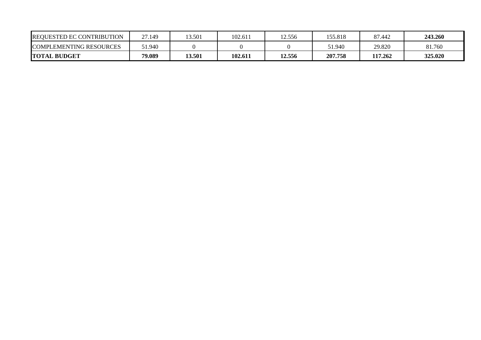| <b>REQUESTED EC CONTRIBUTION</b> | 27.149 | 3.501  | 102.611 | 12.556 | 155.818 | 87.442  | 243.260 |
|----------------------------------|--------|--------|---------|--------|---------|---------|---------|
| <b>COMPLEMENTING RESOURCES</b>   | 51.940 |        |         |        | 51.940  | 29.820  | 81.760  |
| <b>TOTAL BUDGET</b>              | 79.089 | 13.501 | 102.611 | 12.556 | 207.758 | 117.262 | 325.020 |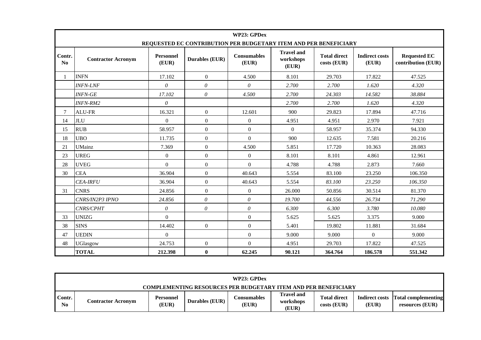|              |                           |                           | REQUESTED EC CONTRIBUTION PER BUDGETARY ITEM AND PER BENEFICIARY | WP23: GPDex                 |                                         |                                    |                                |                                           |
|--------------|---------------------------|---------------------------|------------------------------------------------------------------|-----------------------------|-----------------------------------------|------------------------------------|--------------------------------|-------------------------------------------|
| Contr.<br>No | <b>Contractor Acronym</b> | <b>Personnel</b><br>(EUR) | <b>Durables (EUR)</b>                                            | <b>Consumables</b><br>(EUR) | <b>Travel and</b><br>workshops<br>(EUR) | <b>Total direct</b><br>costs (EUR) | <b>Indirect costs</b><br>(EUR) | <b>Requested EC</b><br>contribution (EUR) |
|              | <b>INFN</b>               | 17.102                    | $\mathbf{0}$                                                     | 4.500                       | 8.101                                   | 29.703                             | 17.822                         | 47.525                                    |
|              | <b>INFN-LNF</b>           | $\theta$                  | $\theta$                                                         | $\theta$                    | 2.700                                   | 2.700                              | 1.620                          | 4.320                                     |
|              | <b>INFN-GE</b>            | 17.102                    | $\theta$                                                         | 4.500                       | 2.700                                   | 24.303                             | 14.582                         | 38.884                                    |
|              | <b>INFN-RM2</b>           | $\theta$                  |                                                                  |                             | 2.700                                   | 2.700                              | 1.620                          | 4.320                                     |
| $\tau$       | <b>ALU-FR</b>             | 16.321                    | $\theta$                                                         | 12.601                      | 900                                     | 29.823                             | 17.894                         | 47.716                                    |
| 14           | <b>JLU</b>                | $\Omega$                  | $\mathbf{0}$                                                     | $\overline{0}$              | 4.951                                   | 4.951                              | 2.970                          | 7.921                                     |
| 15           | <b>RUB</b>                | 58.957                    | $\mathbf{0}$                                                     | $\mathbf{0}$                | $\Omega$                                | 58.957                             | 35.374                         | 94.330                                    |
| 18           | <b>UBO</b>                | 11.735                    | $\boldsymbol{0}$                                                 | $\mathbf{0}$                | 900                                     | 12.635                             | 7.581                          | 20.216                                    |
| 21           | <b>UMainz</b>             | 7.369                     | $\mathbf{0}$                                                     | 4.500                       | 5.851                                   | 17.720                             | 10.363                         | 28.083                                    |
| 23           | <b>UREG</b>               | $\Omega$                  | $\mathbf{0}$                                                     | $\mathbf{0}$                | 8.101                                   | 8.101                              | 4.861                          | 12.961                                    |
| 28           | <b>UVEG</b>               | $\Omega$                  | $\mathbf{0}$                                                     | $\Omega$                    | 4.788                                   | 4.788                              | 2.873                          | 7.660                                     |
| 30           | <b>CEA</b>                | 36.904                    | $\mathbf{0}$                                                     | 40.643                      | 5.554                                   | 83.100                             | 23.250                         | 106.350                                   |
|              | <b>CEA-IRFU</b>           | 36.904                    | $\mathbf{0}$                                                     | 40.643                      | 5.554                                   | 83.100                             | 23.250                         | 106.350                                   |
| 31           | <b>CNRS</b>               | 24.856                    | $\mathbf{0}$                                                     | $\overline{0}$              | 26.000                                  | 50.856                             | 30.514                         | 81.370                                    |
|              | CNRS/IN2P3 IPNO           | 24.856                    | $\theta$                                                         | $\theta$                    | 19.700                                  | 44.556                             | 26.734                         | 71.290                                    |
|              | CNRS/CPHT                 | $\theta$                  | $\theta$                                                         | $\theta$                    | 6.300                                   | 6.300                              | 3.780                          | 10.080                                    |
| 33           | <b>UNIZG</b>              | $\Omega$                  |                                                                  | $\mathbf{0}$                | 5.625                                   | 5.625                              | 3.375                          | 9.000                                     |
| 38           | <b>SINS</b>               | 14.402                    | $\mathbf{0}$                                                     | $\mathbf{0}$                | 5.401                                   | 19.802                             | 11.881                         | 31.684                                    |
| 47           | <b>UEDIN</b>              | $\Omega$                  |                                                                  | $\mathbf{0}$                | 9.000                                   | 9.000                              | $\mathbf{0}$                   | 9.000                                     |
| 48           | <b>UGlasgow</b>           | 24.753                    | $\mathbf{0}$                                                     | $\mathbf{0}$                | 4.951                                   | 29.703                             | 17.822                         | 47.525                                    |
|              | <b>TOTAL</b>              | 212.398                   | $\bf{0}$                                                         | 62.245                      | 90.121                                  | 364.764                            | 186.578                        | 551.342                                   |

| WP23: GPDex  |                                                                       |                           |                       |                              |                                         |                                      |                                |                                               |  |
|--------------|-----------------------------------------------------------------------|---------------------------|-----------------------|------------------------------|-----------------------------------------|--------------------------------------|--------------------------------|-----------------------------------------------|--|
|              | <b>COMPLEMENTING RESOURCES PER BUDGETARY ITEM AND PER BENEFICIARY</b> |                           |                       |                              |                                         |                                      |                                |                                               |  |
| Contr.<br>No | <b>Contractor Acronym</b>                                             | <b>Personnel</b><br>(EUR) | <b>Durables (EUR)</b> | C <b>onsumables</b><br>(EUR) | <b>Travel and</b><br>workshops<br>(EUR) | <b>Total direct</b><br>$costs$ (EUR) | <b>Indirect costs</b><br>(EUR) | <b>Total complementing</b><br>resources (EUR) |  |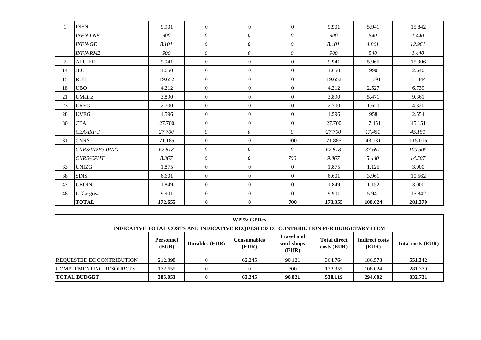|    | <b>INFN</b>     | 9.901   | $\overline{0}$   | $\overline{0}$ | $\Omega$       | 9.901   | 5.941   | 15.842  |
|----|-----------------|---------|------------------|----------------|----------------|---------|---------|---------|
|    | <b>INFN-LNF</b> | 900     | $\theta$         | 0              | $\theta$       | 900     | 540     | 1.440   |
|    | <b>INFN-GE</b>  | 8.101   | $\theta$         | $\theta$       | $\theta$       | 8.101   | 4.861   | 12.961  |
|    | <b>INFN-RM2</b> | 900     | $\theta$         | $\theta$       | $\theta$       | 900     | 540     | 1.440   |
| 7  | <b>ALU-FR</b>   | 9.941   | $\overline{0}$   | $\mathbf{0}$   | $\overline{0}$ | 9.941   | 5.965   | 15.906  |
| 14 | $\rm JLU$       | 1.650   | $\overline{0}$   | $\Omega$       | $\overline{0}$ | 1.650   | 990     | 2.640   |
| 15 | <b>RUB</b>      | 19.652  | $\boldsymbol{0}$ | $\mathbf{0}$   | $\overline{0}$ | 19.652  | 11.791  | 31.444  |
| 18 | <b>UBO</b>      | 4.212   | $\overline{0}$   | $\mathbf{0}$   | $\overline{0}$ | 4.212   | 2.527   | 6.739   |
| 21 | <b>UMainz</b>   | 3.890   | $\boldsymbol{0}$ | $\mathbf{0}$   | $\overline{0}$ | 3.890   | 5.471   | 9.361   |
| 23 | <b>UREG</b>     | 2.700   | $\overline{0}$   | $\mathbf{0}$   | $\overline{0}$ | 2.700   | 1.620   | 4.320   |
| 28 | <b>UVEG</b>     | 1.596   | $\boldsymbol{0}$ | $\mathbf{0}$   | $\overline{0}$ | 1.596   | 958     | 2.554   |
| 30 | <b>CEA</b>      | 27.700  | $\overline{0}$   | $\overline{0}$ | $\overline{0}$ | 27.700  | 17.451  | 45.151  |
|    | <b>CEA-IRFU</b> | 27.700  | $\theta$         | $\theta$       | $\theta$       | 27.700  | 17.451  | 45.151  |
| 31 | <b>CNRS</b>     | 71.185  | $\overline{0}$   | $\mathbf{0}$   | 700            | 71.885  | 43.131  | 115.016 |
|    | CNRS/IN2P3 IPNO | 62.818  | 0                | 0              | $\theta$       | 62.818  | 37.691  | 100.509 |
|    | CNRS/CPHT       | 8.367   | $\theta$         | $\theta$       | 700            | 9.067   | 5.440   | 14.507  |
| 33 | <b>UNIZG</b>    | 1.875   | $\overline{0}$   | $\mathbf{0}$   | $\overline{0}$ | 1.875   | 1.125   | 3.000   |
| 38 | <b>SINS</b>     | 6.601   | $\Omega$         | $\Omega$       | $\Omega$       | 6.601   | 3.961   | 10.562  |
| 47 | <b>UEDIN</b>    | 1.849   | $\overline{0}$   | $\mathbf{0}$   | $\overline{0}$ | 1.849   | 1.152   | 3.000   |
| 48 | <b>UGlasgow</b> | 9.901   | $\overline{0}$   | $\overline{0}$ | $\Omega$       | 9.901   | 5.941   | 15.842  |
|    | <b>TOTAL</b>    | 172.655 | $\bf{0}$         | $\bf{0}$       | 700            | 173.355 | 108.024 | 281.379 |

| WP23: GPDex                                                                                                                                                                                                          |         |   |        |        |         |         |         |  |  |
|----------------------------------------------------------------------------------------------------------------------------------------------------------------------------------------------------------------------|---------|---|--------|--------|---------|---------|---------|--|--|
| INDICATIVE TOTAL COSTS AND INDICATIVE REQUESTED EC CONTRIBUTION PER BUDGETARY ITEM                                                                                                                                   |         |   |        |        |         |         |         |  |  |
| <b>Travel and</b><br><b>Indirect costs</b><br><b>Total direct</b><br><b>Consumables</b><br>Personnel<br><b>Durables (EUR)</b><br>workshops<br>Total costs (EUR)<br>(EUR)<br>(EUR)<br>$costs$ (EUR)<br>(EUR)<br>(EUR) |         |   |        |        |         |         |         |  |  |
| <b>REQUESTED EC CONTRIBUTION</b>                                                                                                                                                                                     | 212.398 |   | 62.245 | 90.121 | 364.764 | 186.578 | 551.342 |  |  |
| <b>COMPLEMENTING RESOURCES</b>                                                                                                                                                                                       | 172.655 |   |        | 700    | 173.355 | 108.024 | 281.379 |  |  |
| <b>TOTAL BUDGET</b>                                                                                                                                                                                                  | 385.053 | 0 | 62.245 | 90.821 | 538.119 | 294.602 | 832.721 |  |  |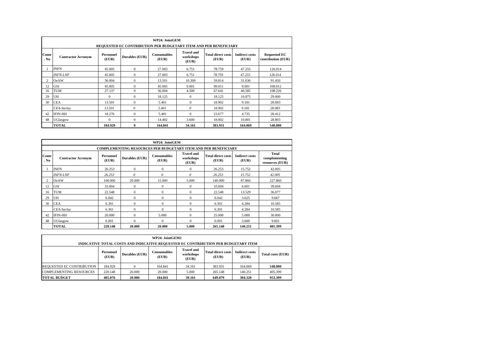|               | WP24: JointGEM<br>REQUESTED EC CONTRIBUTION PER BUDGETARY ITEM AND PER BENEFICIARY                                                                                                                                                                                      |              |              |         |              |         |         |         |  |  |  |  |  |
|---------------|-------------------------------------------------------------------------------------------------------------------------------------------------------------------------------------------------------------------------------------------------------------------------|--------------|--------------|---------|--------------|---------|---------|---------|--|--|--|--|--|
| Contr<br>. No | <b>Travel and</b><br><b>Consumables</b><br><b>Total direct costs</b><br><b>Indirect costs</b><br><b>Requested EC</b><br><b>Personnel</b><br>Durables (EUR)<br><b>Contractor Acronym</b><br>workshops<br>(EUR)<br>(EUR)<br>(EUR)<br>contribution (EUR)<br>(EUR)<br>(EUR) |              |              |         |              |         |         |         |  |  |  |  |  |
|               | <b>INFN</b><br>45.005<br>$\Omega$<br>27.003<br>78.759<br>47.255<br>6.751<br>126.014                                                                                                                                                                                     |              |              |         |              |         |         |         |  |  |  |  |  |
|               | 45.005<br>$\mathbf{0}$<br>27.003<br>6.751<br>78.759<br>47.255<br>126.014<br><b>INFN-LNF</b>                                                                                                                                                                             |              |              |         |              |         |         |         |  |  |  |  |  |
| 2             | <b>OeAW</b>                                                                                                                                                                                                                                                             | 36.004       | $\Omega$     | 13.501  | 10.309       | 59.814  | 31.636  | 91.450  |  |  |  |  |  |
| 12            | GSI                                                                                                                                                                                                                                                                     | 45.005       | $\Omega$     | 45.005  | 9.001        | 99.011  | 9.001   | 108.012 |  |  |  |  |  |
| 16            | TUM                                                                                                                                                                                                                                                                     | 27.137       | $\Omega$     | 36.004  | 4.500        | 67.641  | 40.585  | 108.226 |  |  |  |  |  |
| 29            | UH                                                                                                                                                                                                                                                                      | $\mathbf{0}$ | $\Omega$     | 18.125  | $\mathbf{0}$ | 18.125  | 10.875  | 29,000  |  |  |  |  |  |
| 30            | <b>CEA</b>                                                                                                                                                                                                                                                              | 13.501       | $\Omega$     | 5.401   | $\mathbf{0}$ | 18.902  | 9.181   | 28.083  |  |  |  |  |  |
|               | CEA-Saclay                                                                                                                                                                                                                                                              | 13.501       | $\theta$     | 5.401   | $\theta$     | 18.902  | 9.181   | 28.083  |  |  |  |  |  |
| 42            | <b>IFIN-HH</b>                                                                                                                                                                                                                                                          | 18.276       | $\Omega$     | 5.401   | $\Omega$     | 23.677  | 4.735   | 28.412  |  |  |  |  |  |
| 48            | <b>UGlasgow</b>                                                                                                                                                                                                                                                         | $\theta$     | $\mathbf{0}$ | 14.402  | 3.600        | 18.002  | 10.801  | 28.803  |  |  |  |  |  |
|               | <b>TOTAL</b>                                                                                                                                                                                                                                                            | 184.929      | $\mathbf{0}$ | 164.841 | 34.161       | 383.931 | 164.069 | 548.000 |  |  |  |  |  |

|                                                                                                                                                                                                                                                                                          |                                                                                             |         |              | WP24: JointGEM |              |         |         |         |  |  |  |  |  |
|------------------------------------------------------------------------------------------------------------------------------------------------------------------------------------------------------------------------------------------------------------------------------------------|---------------------------------------------------------------------------------------------|---------|--------------|----------------|--------------|---------|---------|---------|--|--|--|--|--|
|                                                                                                                                                                                                                                                                                          | <b>COMPLEMENTING RESOURCES PER BUDGETARY ITEM AND PER BENEFICIARY</b>                       |         |              |                |              |         |         |         |  |  |  |  |  |
| Total<br><b>Travel and</b><br>Contr<br><b>Total direct costs</b><br><b>Indirect costs</b><br><b>Personnel</b><br><b>Consumables</b><br>Durables (EUR)<br>complementing<br><b>Contractor Acronym</b><br>workshops<br>. No<br>(EUR)<br>(EUR)<br>(EUR)<br>(EUR)<br>(EUR)<br>resources (EUR) |                                                                                             |         |              |                |              |         |         |         |  |  |  |  |  |
|                                                                                                                                                                                                                                                                                          | <b>INFN</b>                                                                                 | 26.253  | $\mathbf{0}$ | $\mathbf{0}$   | $\mathbf{0}$ | 26.253  | 15.752  | 42.005  |  |  |  |  |  |
|                                                                                                                                                                                                                                                                                          | $\theta$<br>$\theta$<br>$\theta$<br>26.253<br>26.253<br>15.752<br>42,005<br><b>INFN-LNF</b> |         |              |                |              |         |         |         |  |  |  |  |  |
| 2                                                                                                                                                                                                                                                                                        | <b>OeAW</b>                                                                                 | 100,000 | 20,000       | 15,000         | 5.000        | 140,000 | 87.860  | 227.860 |  |  |  |  |  |
| 12                                                                                                                                                                                                                                                                                       | <b>GSI</b>                                                                                  | 33.004  | $\mathbf{0}$ | $\theta$       | $\mathbf{0}$ | 33,004  | 6.601   | 39.604  |  |  |  |  |  |
| 16                                                                                                                                                                                                                                                                                       | TUM                                                                                         | 22.548  | $\Omega$     | $\Omega$       | $\Omega$     | 22.548  | 13.529  | 36.077  |  |  |  |  |  |
| 29                                                                                                                                                                                                                                                                                       | UH                                                                                          | 6.042   | $\Omega$     | $\theta$       | $\Omega$     | 6.042   | 3.625   | 9.667   |  |  |  |  |  |
| 30                                                                                                                                                                                                                                                                                       | <b>CEA</b>                                                                                  | 6.301   | $\mathbf{0}$ | $\theta$       | $\mathbf{0}$ | 6.301   | 4.284   | 10.585  |  |  |  |  |  |
|                                                                                                                                                                                                                                                                                          | CEA-Saclay                                                                                  | 6.301   | $\Omega$     | $\Omega$       | $\Omega$     | 6.301   | 4.284   | 10.585  |  |  |  |  |  |
| 42                                                                                                                                                                                                                                                                                       | <b>IFIN-HH</b>                                                                              | 20,000  | $\Omega$     | 5.000          | $\Omega$     | 25,000  | 5.000   | 30,000  |  |  |  |  |  |
| 48                                                                                                                                                                                                                                                                                       | UGlasgow                                                                                    | 6.001   | $\Omega$     | $\Omega$       | $\Omega$     | 6.001   | 3.600   | 9.601   |  |  |  |  |  |
|                                                                                                                                                                                                                                                                                          | <b>TOTAL</b>                                                                                | 220.148 | 20.000       | 20.000         | 5.000        | 265.148 | 140.251 | 405.399 |  |  |  |  |  |

| WP24: JointGEM2<br>INDICATIVE TOTAL COSTS AND INDICATIVE REQUESTED EC CONTRIBUTION PER BUDGETARY ITEM   |                    |                       |                      |                                         |                                    |                                |                   |  |  |  |
|---------------------------------------------------------------------------------------------------------|--------------------|-----------------------|----------------------|-----------------------------------------|------------------------------------|--------------------------------|-------------------|--|--|--|
|                                                                                                         | Personnel<br>(EUR) | <b>Durables (EUR)</b> | Consumables<br>(EUR) | <b>Travel and</b><br>workshops<br>(EUR) | <b>Total direct costs</b><br>(EUR) | <b>Indirect costs</b><br>(EUR) | Total costs (EUR) |  |  |  |
| REQUESTED EC CONTRIBUTION                                                                               | 184.929            |                       | 164.841              | 34.161                                  | 383.931                            | 164.069                        | 548.000           |  |  |  |
| <b>COMPLEMENTING RESOURCES</b><br>405.399<br>220.148<br>20,000<br>20.000<br>5.000<br>265.148<br>140.251 |                    |                       |                      |                                         |                                    |                                |                   |  |  |  |
| <b>TOTAL BUDGET</b>                                                                                     | 405.076            | 20.000                | 184.841              | 39.161                                  | 649.079                            | 304.320                        | 953.399           |  |  |  |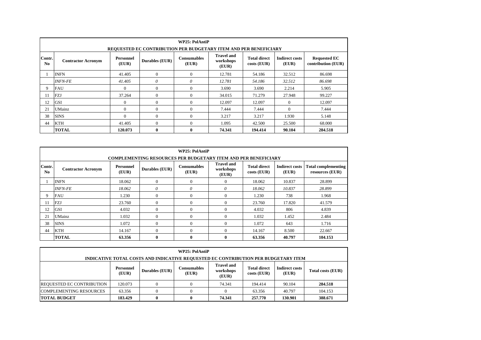|                          | <b>WP25</b> : PolAntiP<br>REQUESTED EC CONTRIBUTION PER BUDGETARY ITEM AND PER BENEFICIARY                                                                                                                                                                                       |          |              |          |        |         |          |         |  |  |  |  |
|--------------------------|----------------------------------------------------------------------------------------------------------------------------------------------------------------------------------------------------------------------------------------------------------------------------------|----------|--------------|----------|--------|---------|----------|---------|--|--|--|--|
| Contr.<br>N <sub>0</sub> | <b>Travel and</b><br><b>Total direct</b><br><b>Consumables</b><br><b>Indirect costs</b><br><b>Requested EC</b><br><b>Personnel</b><br><b>Durables (EUR)</b><br>workshops<br><b>Contractor Acronym</b><br>(EUR)<br>(EUR)<br>$costs$ (EUR)<br>(EUR)<br>contribution (EUR)<br>(EUR) |          |              |          |        |         |          |         |  |  |  |  |
|                          | <b>INFN</b>                                                                                                                                                                                                                                                                      | 41.405   | $\Omega$     | $\Omega$ | 12.781 | 54.186  | 32.512   | 86.698  |  |  |  |  |
|                          | <b>INFN-FE</b>                                                                                                                                                                                                                                                                   | 41.405   | 0            | 0        | 12.781 | 54.186  | 32.512   | 86.698  |  |  |  |  |
| 9                        | <b>FAU</b>                                                                                                                                                                                                                                                                       | $\Omega$ | $\mathbf{0}$ | $\Omega$ | 3.690  | 3.690   | 2.214    | 5.905   |  |  |  |  |
| 11                       | <b>FZJ</b>                                                                                                                                                                                                                                                                       | 37.264   | $\Omega$     | $\Omega$ | 34.015 | 71.279  | 27.948   | 99.227  |  |  |  |  |
| 12                       | GSI                                                                                                                                                                                                                                                                              | $\Omega$ | $\Omega$     | 0        | 12.097 | 12.097  | $\Omega$ | 12.097  |  |  |  |  |
| 21                       | UMainz                                                                                                                                                                                                                                                                           | $\Omega$ | $\Omega$     | $\Omega$ | 7.444  | 7.444   | $\Omega$ | 7.444   |  |  |  |  |
| 38                       | <b>SINS</b>                                                                                                                                                                                                                                                                      | $\Omega$ | $\mathbf{0}$ | $\Omega$ | 3.217  | 3.217   | 1.930    | 5.148   |  |  |  |  |
| 44                       | <b>KTH</b>                                                                                                                                                                                                                                                                       | 41.405   | $\Omega$     | 0        | 1.095  | 42.500  | 25.500   | 68,000  |  |  |  |  |
|                          | <b>TOTAL</b>                                                                                                                                                                                                                                                                     | 120.073  | $\bf{0}$     | 0        | 74.341 | 194.414 | 90.104   | 284.518 |  |  |  |  |

|                          | <b>WP25</b> : PolAntiP                                                                                                                                                                                                                                                        |        |          |              |              |        |        |         |  |  |  |  |
|--------------------------|-------------------------------------------------------------------------------------------------------------------------------------------------------------------------------------------------------------------------------------------------------------------------------|--------|----------|--------------|--------------|--------|--------|---------|--|--|--|--|
|                          | <b>COMPLEMENTING RESOURCES PER BUDGETARY ITEM AND PER BENEFICIARY</b>                                                                                                                                                                                                         |        |          |              |              |        |        |         |  |  |  |  |
| Contr.<br>N <sub>0</sub> | <b>Travel and</b><br><b>Consumables</b><br><b>Total direct</b><br><b>Indirect costs</b><br><b>Total complementing</b><br><b>Personnel</b><br>Durables (EUR)<br><b>Contractor Acronym</b><br>workshops<br>(EUR)<br>(EUR)<br>(EUR)<br>resources (EUR)<br>$costs$ (EUR)<br>(EUR) |        |          |              |              |        |        |         |  |  |  |  |
|                          | <b>INFN</b>                                                                                                                                                                                                                                                                   | 18.062 | $\theta$ | $\mathbf{0}$ | $\Omega$     | 18.062 | 10.837 | 28.899  |  |  |  |  |
|                          | <b>INFN-FE</b>                                                                                                                                                                                                                                                                | 18.062 | 0        | 0            | 0            | 18.062 | 10.837 | 28.899  |  |  |  |  |
| 9                        | <b>FAU</b>                                                                                                                                                                                                                                                                    | 1.230  | $\theta$ |              | $\Omega$     | 1.230  | 738    | 1.968   |  |  |  |  |
| 11                       | <b>FZJ</b>                                                                                                                                                                                                                                                                    | 23.760 | $\Omega$ | $\Omega$     | $\Omega$     | 23.760 | 17.820 | 41.579  |  |  |  |  |
| 12                       | <b>GSI</b>                                                                                                                                                                                                                                                                    | 4.032  | $\Omega$ | $\Omega$     | $\Omega$     | 4.032  | 806    | 4.839   |  |  |  |  |
| 21                       | <b>UMainz</b>                                                                                                                                                                                                                                                                 | 1.032  | $\Omega$ | $\Omega$     | $\Omega$     | 1.032  | 1.452  | 2.484   |  |  |  |  |
| 38                       | <b>SINS</b>                                                                                                                                                                                                                                                                   | 1.072  | $\theta$ | $\Omega$     | $\Omega$     | 1.072  | 643    | 1.716   |  |  |  |  |
| 44                       | <b>KTH</b>                                                                                                                                                                                                                                                                    | 14.167 | $\Omega$ | $\Omega$     | $\Omega$     | 14.167 | 8.500  | 22.667  |  |  |  |  |
|                          | <b>TOTAL</b>                                                                                                                                                                                                                                                                  | 63.356 | $\bf{0}$ | 0            | $\mathbf{0}$ | 63.356 | 40.797 | 104.153 |  |  |  |  |

| WP25: PolAntiP                                                                     |                    |                       |                      |                                         |                                      |                         |                   |  |  |  |  |
|------------------------------------------------------------------------------------|--------------------|-----------------------|----------------------|-----------------------------------------|--------------------------------------|-------------------------|-------------------|--|--|--|--|
| INDICATIVE TOTAL COSTS AND INDICATIVE REQUESTED EC CONTRIBUTION PER BUDGETARY ITEM |                    |                       |                      |                                         |                                      |                         |                   |  |  |  |  |
|                                                                                    | Personnel<br>(EUR) | <b>Durables (EUR)</b> | Consumables<br>(EUR) | <b>Travel and</b><br>workshops<br>(EUR) | <b>Total direct</b><br>$costs$ (EUR) | Indirect costs<br>(EUR) | Total costs (EUR) |  |  |  |  |
| <b>REQUESTED EC CONTRIBUTION</b>                                                   | 120.073            |                       | $\Omega$             | 74.341                                  | 194.414                              | 90.104                  | 284.518           |  |  |  |  |
| 104.153<br><b>COMPLEMENTING RESOURCES</b><br>63.356<br>40.797<br>63.356            |                    |                       |                      |                                         |                                      |                         |                   |  |  |  |  |
| <b>TOTAL BUDGET</b>                                                                | 183.429            |                       | 0                    | 74.341                                  | 257,770                              | 130.901                 | 388.671           |  |  |  |  |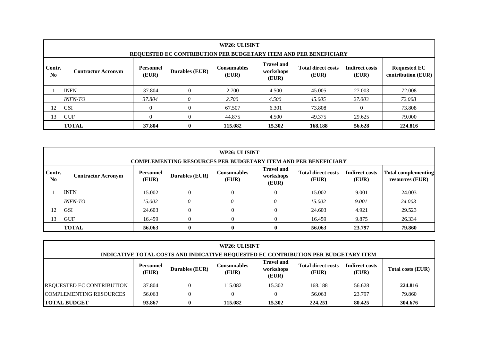|                                                                             | WP26: ULISINT<br>REQUESTED EC CONTRIBUTION PER BUDGETARY ITEM AND PER BENEFICIARY                                                                                                                                                                                              |        |   |       |       |        |        |        |  |  |  |  |
|-----------------------------------------------------------------------------|--------------------------------------------------------------------------------------------------------------------------------------------------------------------------------------------------------------------------------------------------------------------------------|--------|---|-------|-------|--------|--------|--------|--|--|--|--|
| Contr.<br>No.                                                               | <b>Travel and</b><br><b>Total direct costs</b><br><b>Indirect costs</b><br><b>Requested EC</b><br><b>Personnel</b><br><b>Consumables</b><br><b>Durables (EUR)</b><br>workshops<br><b>Contractor Acronym</b><br>(EUR)<br>contribution (EUR)<br>(EUR)<br>(EUR)<br>(EUR)<br>(EUR) |        |   |       |       |        |        |        |  |  |  |  |
| <b>INFN</b><br>37.804<br>2.700<br>4.500<br>27.003<br>45.005                 |                                                                                                                                                                                                                                                                                |        |   |       |       |        |        |        |  |  |  |  |
|                                                                             | <i><b>INFN-TO</b></i>                                                                                                                                                                                                                                                          | 37.804 | 0 | 2.700 | 4.500 | 45.005 | 27.003 | 72.008 |  |  |  |  |
| 12<br><b>GSI</b><br>67.507<br>$\Omega$<br>6.301<br>73.808<br>$\overline{0}$ |                                                                                                                                                                                                                                                                                |        |   |       |       |        |        | 73.808 |  |  |  |  |
| 13                                                                          | <b>GUF</b><br>$\theta$<br>$\Omega$<br>44.875<br>79.000<br>4.500<br>49.375<br>29.625                                                                                                                                                                                            |        |   |       |       |        |        |        |  |  |  |  |
|                                                                             | <b>TOTAL</b><br>15.302<br>224.816<br>37.804<br>115.082<br>168.188<br>56.628<br>$\bf{0}$                                                                                                                                                                                        |        |   |       |       |        |        |        |  |  |  |  |

|                                                                     | WP26: ULISINT<br><b>COMPLEMENTING RESOURCES PER BUDGETARY ITEM AND PER BENEFICIARY</b>                                                                                                                                                                                                       |        |   |                |   |        |        |        |  |  |  |  |
|---------------------------------------------------------------------|----------------------------------------------------------------------------------------------------------------------------------------------------------------------------------------------------------------------------------------------------------------------------------------------|--------|---|----------------|---|--------|--------|--------|--|--|--|--|
| N <sub>0</sub>                                                      | <b>Travel and</b><br>Contr.<br><b>Total direct costs</b><br><b>Indirect costs</b><br><b>Total complementing</b><br><b>Consumables</b><br><b>Personnel</b><br><b>Durables (EUR)</b><br>workshops<br><b>Contractor Acronym</b><br>(EUR)<br>(EUR)<br>resources (EUR)<br>(EUR)<br>(EUR)<br>(EUR) |        |   |                |   |        |        |        |  |  |  |  |
|                                                                     | <b>INFN</b>                                                                                                                                                                                                                                                                                  | 15.002 | 0 | $\overline{0}$ |   | 15.002 | 9.001  | 24.003 |  |  |  |  |
|                                                                     | <i><b>INFN-TO</b></i>                                                                                                                                                                                                                                                                        | 15.002 |   | 0              | 0 | 15.002 | 9.001  | 24.003 |  |  |  |  |
| 12                                                                  | <b>GSI</b>                                                                                                                                                                                                                                                                                   | 24.603 |   | $\Omega$       |   | 24.603 | 4.921  | 29.523 |  |  |  |  |
| 13<br>26.334<br><b>GUF</b><br>16.459<br>16.459<br>9.875<br>$\Omega$ |                                                                                                                                                                                                                                                                                              |        |   |                |   |        |        |        |  |  |  |  |
|                                                                     | <b>TOTAL</b>                                                                                                                                                                                                                                                                                 | 56.063 | 0 | $\mathbf{0}$   |   | 56.063 | 23.797 | 79.860 |  |  |  |  |

| WP26: ULISINT                                                                      |                                                                                                                                                                                                                    |  |         |        |         |        |         |  |  |  |  |
|------------------------------------------------------------------------------------|--------------------------------------------------------------------------------------------------------------------------------------------------------------------------------------------------------------------|--|---------|--------|---------|--------|---------|--|--|--|--|
| INDICATIVE TOTAL COSTS AND INDICATIVE REQUESTED EC CONTRIBUTION PER BUDGETARY ITEM |                                                                                                                                                                                                                    |  |         |        |         |        |         |  |  |  |  |
|                                                                                    | <b>Travel and</b><br><b>Total direct costs</b><br><b>Indirect costs</b><br>Consumables<br><b>Personnel</b><br><b>Durables (EUR)</b><br>workshops<br>Total costs (EUR)<br>(EUR)<br>(EUR)<br>(EUR)<br>(EUR)<br>(EUR) |  |         |        |         |        |         |  |  |  |  |
| <b>REQUESTED EC CONTRIBUTION</b>                                                   | 37.804                                                                                                                                                                                                             |  | 115.082 | 15.302 | 168.188 | 56.628 | 224.816 |  |  |  |  |
| <b>COMPLEMENTING RESOURCES</b><br>79.860<br>56.063<br>23.797<br>56.063             |                                                                                                                                                                                                                    |  |         |        |         |        |         |  |  |  |  |
| 304.676<br>15.302<br><b>TOTAL BUDGET</b><br>115.082<br>224.251<br>93.867<br>80.425 |                                                                                                                                                                                                                    |  |         |        |         |        |         |  |  |  |  |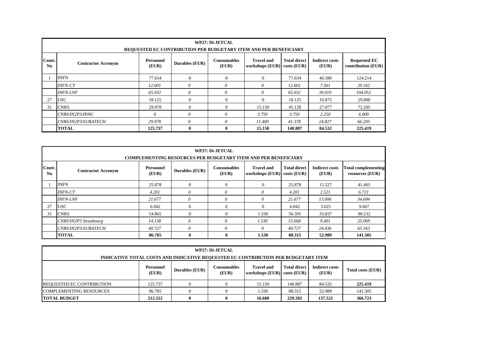|              | WP27: Di-JETCAL<br>REQUESTED EC CONTRIBUTION PER BUDGETARY ITEM AND PER BENEFICIARY    |                           |                |                             |                                      |                                      |                                |                                           |  |  |  |  |  |
|--------------|----------------------------------------------------------------------------------------|---------------------------|----------------|-----------------------------|--------------------------------------|--------------------------------------|--------------------------------|-------------------------------------------|--|--|--|--|--|
| Contr.<br>No | <b>Contractor Acronym</b>                                                              | <b>Personnel</b><br>(EUR) | Durables (EUR) | <b>Consumables</b><br>(EUR) | <b>Travel and</b><br>workshops (EUR) | <b>Total direct</b><br>$costs$ (EUR) | <b>Indirect costs</b><br>(EUR) | <b>Requested EC</b><br>contribution (EUR) |  |  |  |  |  |
|              | <b>INFN</b>                                                                            | 77.634                    | $\Omega$       | $\Omega$                    | $\Omega$                             | 77.634                               | 46.580                         | 124.214                                   |  |  |  |  |  |
|              | <b>INFN-CT</b>                                                                         | 12.601                    | 0              | $\theta$                    | 0                                    | 12.601                               | 7.561                          | 20.162                                    |  |  |  |  |  |
|              | <b>INFN-LNF</b>                                                                        | 65.032                    | 0              | $\theta$                    | 0                                    | 65.032                               | 39.019                         | 104.052                                   |  |  |  |  |  |
| 27           | <b>USC</b>                                                                             | 18.125                    | $\theta$       | $\overline{0}$              | $\Omega$                             | 18.125                               | 10.875                         | 29.000                                    |  |  |  |  |  |
| 31           | <b>CNRS</b>                                                                            | 29.978                    | $\Omega$       | $\Omega$                    | 15.150                               | 45.128                               | 27.077                         | 72.205                                    |  |  |  |  |  |
|              | CNRS/IN2P3/IPHC                                                                        | $\theta$                  | $\theta$       | $\theta$                    | 3.750                                | 3.750                                | 2.250                          | 6.000                                     |  |  |  |  |  |
|              | $\theta$<br>0<br>41.378<br>66.205<br>29.978<br>11.400<br>CNRS/IN2P3/SUBATECH<br>24.827 |                           |                |                             |                                      |                                      |                                |                                           |  |  |  |  |  |
|              | <b>TOTAL</b>                                                                           | 125.737                   | $\mathbf{0}$   | $\bf{0}$                    | 15.150                               | 140.887                              | 84.532                         | 225.419                                   |  |  |  |  |  |

|                                  | WP27: Di-JETCAL<br><b>COMPLEMENTING RESOURCES PER BUDGETARY ITEM AND PER BENEFICIARY</b>                                                                                                                                                                              |        |          |          |          |        |        |         |  |  |  |  |  |
|----------------------------------|-----------------------------------------------------------------------------------------------------------------------------------------------------------------------------------------------------------------------------------------------------------------------|--------|----------|----------|----------|--------|--------|---------|--|--|--|--|--|
| Contr.<br>$\mathbf{N}\mathbf{0}$ | <b>Total direct</b><br><b>Personnel</b><br><b>Consumables</b><br><b>Travel and</b><br><b>Indirect costs</b><br><b>Total complementing</b><br>Durables (EUR)<br><b>Contractor Acronym</b><br>(EUR)<br>workshops (EUR) costs (EUR)<br>resources (EUR)<br>(EUR)<br>(EUR) |        |          |          |          |        |        |         |  |  |  |  |  |
|                                  | <b>INFN</b><br>25.878<br>$\overline{0}$<br>$\mathbf{0}$<br>25.878<br>15.527<br>41.405                                                                                                                                                                                 |        |          |          |          |        |        |         |  |  |  |  |  |
|                                  | <b>INFN-CT</b>                                                                                                                                                                                                                                                        | 4.201  | 0        | 0        | $\theta$ | 4.201  | 2.521  | 6.721   |  |  |  |  |  |
|                                  | <b>INFN-LNF</b>                                                                                                                                                                                                                                                       | 21.677 | $\theta$ | $\theta$ | $\theta$ | 21.677 | 13.006 | 34.684  |  |  |  |  |  |
| 27                               | <b>USC</b>                                                                                                                                                                                                                                                            | 6.042  | $\Omega$ | $\Omega$ | $\Omega$ | 6.042  | 3.625  | 9.667   |  |  |  |  |  |
| 31                               | <b>CNRS</b>                                                                                                                                                                                                                                                           | 54.865 | $\Omega$ | $\Omega$ | 1.530    | 56.395 | 33.837 | 90.232  |  |  |  |  |  |
|                                  | CNRS/IN2P3 Strasbourg                                                                                                                                                                                                                                                 | 14.138 | 0        | 0        | 1.530    | 15.668 | 9.401  | 25.069  |  |  |  |  |  |
|                                  | $\theta$<br>CNRS/IN2P3/SUBATECH<br>0<br>$\theta$<br>40.727<br>24.436<br>65.163<br>40.727                                                                                                                                                                              |        |          |          |          |        |        |         |  |  |  |  |  |
|                                  | <b>TOTAL</b>                                                                                                                                                                                                                                                          | 86.785 | $\bf{0}$ | 0        | 1.530    | 88.315 | 52.989 | 141.305 |  |  |  |  |  |

| WP27: Di-JETCAL                                                                                                                                                                                       |         |   |   |        |         |         |         |  |  |
|-------------------------------------------------------------------------------------------------------------------------------------------------------------------------------------------------------|---------|---|---|--------|---------|---------|---------|--|--|
| INDICATIVE TOTAL COSTS AND INDICATIVE REQUESTED EC CONTRIBUTION PER BUDGETARY ITEM                                                                                                                    |         |   |   |        |         |         |         |  |  |
| <b>Total direct</b><br><b>Indirect costs</b><br><b>Travel and</b><br><b>Personnel</b><br>Consumables<br>Durables (EUR)<br>Total costs (EUR)<br>(EUR)<br>(EUR)<br>(EUR)<br>workshops (EUR) costs (EUR) |         |   |   |        |         |         |         |  |  |
| <b>REQUESTED EC CONTRIBUTION</b>                                                                                                                                                                      | 125.737 |   |   | 15.150 | 140.887 | 84.532  | 225.419 |  |  |
| 141.305<br><b>COMPLEMENTING RESOURCES</b><br>86.785<br>88.315<br>1.530<br>52.989<br>$\theta$<br>0                                                                                                     |         |   |   |        |         |         |         |  |  |
| <b>TOTAL BUDGET</b>                                                                                                                                                                                   | 212.522 | 0 | 0 | 16.680 | 229,202 | 137.521 | 366.723 |  |  |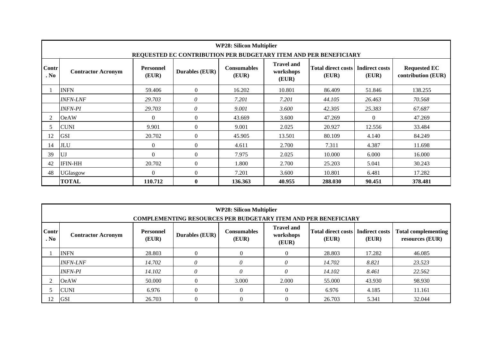|                                                                                                                                                                                                                                                                                                 | <b>WP28: Silicon Multiplier</b>                                                       |              |                  |         |        |         |          |         |  |  |  |  |  |
|-------------------------------------------------------------------------------------------------------------------------------------------------------------------------------------------------------------------------------------------------------------------------------------------------|---------------------------------------------------------------------------------------|--------------|------------------|---------|--------|---------|----------|---------|--|--|--|--|--|
|                                                                                                                                                                                                                                                                                                 | REQUESTED EC CONTRIBUTION PER BUDGETARY ITEM AND PER BENEFICIARY                      |              |                  |         |        |         |          |         |  |  |  |  |  |
| <b>Travel and</b><br>Contr<br><b>Consumables</b><br><b>Total direct costs</b><br><b>Indirect costs</b><br><b>Requested EC</b><br><b>Personnel</b><br><b>Durables (EUR)</b><br>workshops<br><b>Contractor Acronym</b><br>. No<br>(EUR)<br>(EUR)<br>(EUR)<br>(EUR)<br>contribution (EUR)<br>(EUR) |                                                                                       |              |                  |         |        |         |          |         |  |  |  |  |  |
|                                                                                                                                                                                                                                                                                                 | <b>INFN</b>                                                                           | 59.406       | $\overline{0}$   | 16.202  | 10.801 | 86.409  | 51.846   | 138.255 |  |  |  |  |  |
|                                                                                                                                                                                                                                                                                                 | $\theta$<br><b>INFN-LNF</b><br>7.201<br>7.201<br>44.105<br>26.463<br>70.568<br>29.703 |              |                  |         |        |         |          |         |  |  |  |  |  |
| <b>INFN-PI</b><br>$\theta$<br>3.600<br>25.383<br>29.703<br>9.001<br>42.305                                                                                                                                                                                                                      |                                                                                       |              |                  |         |        |         |          |         |  |  |  |  |  |
| $\overline{2}$                                                                                                                                                                                                                                                                                  | <b>OeAW</b>                                                                           | $\theta$     | $\boldsymbol{0}$ | 43.669  | 3.600  | 47.269  | $\Omega$ | 47.269  |  |  |  |  |  |
| 5.                                                                                                                                                                                                                                                                                              | <b>CUNI</b>                                                                           | 9.901        | $\boldsymbol{0}$ | 9.001   | 2.025  | 20.927  | 12.556   | 33.484  |  |  |  |  |  |
| 12                                                                                                                                                                                                                                                                                              | <b>GSI</b>                                                                            | 20.702       | $\boldsymbol{0}$ | 45.905  | 13.501 | 80.109  | 4.140    | 84.249  |  |  |  |  |  |
| 14                                                                                                                                                                                                                                                                                              | <b>JLU</b>                                                                            | $\mathbf{0}$ | $\boldsymbol{0}$ | 4.611   | 2.700  | 7.311   | 4.387    | 11.698  |  |  |  |  |  |
| 39                                                                                                                                                                                                                                                                                              | UJ                                                                                    | $\Omega$     | $\Omega$         | 7.975   | 2.025  | 10.000  | 6.000    | 16.000  |  |  |  |  |  |
| <b>IFIN-HH</b><br>$\mathbf{0}$<br>2.700<br>25.203<br>42<br>20.702<br>1.800<br>5.041<br>30.243                                                                                                                                                                                                   |                                                                                       |              |                  |         |        |         |          |         |  |  |  |  |  |
| 48                                                                                                                                                                                                                                                                                              | UGlasgow                                                                              | $\mathbf{0}$ | $\boldsymbol{0}$ | 7.201   | 3.600  | 10.801  | 6.481    | 17.282  |  |  |  |  |  |
|                                                                                                                                                                                                                                                                                                 | <b>TOTAL</b>                                                                          | 110.712      | $\bf{0}$         | 136.363 | 40.955 | 288.030 | 90.451   | 378.481 |  |  |  |  |  |

|                                                                          | <b>WP28: Silicon Multiplier</b><br><b>COMPLEMENTING RESOURCES PER BUDGETARY ITEM AND PER BENEFICIARY</b>                                                                                                                                                                           |        |          |          |          |        |       |        |  |  |  |  |  |
|--------------------------------------------------------------------------|------------------------------------------------------------------------------------------------------------------------------------------------------------------------------------------------------------------------------------------------------------------------------------|--------|----------|----------|----------|--------|-------|--------|--|--|--|--|--|
| Contr<br>. No                                                            | <b>Travel and</b><br><b>Total direct costs</b><br><b>Consumables</b><br><b>Indirect costs</b><br><b>Total complementing</b><br><b>Personnel</b><br><b>Durables (EUR)</b><br>workshops<br><b>Contractor Acronym</b><br>(EUR)<br>(EUR)<br>(EUR)<br>resources (EUR)<br>(EUR)<br>(EUR) |        |          |          |          |        |       |        |  |  |  |  |  |
| <b>INFN</b><br>28.803<br>46.085<br>28.803<br>$\Omega$<br>17.282          |                                                                                                                                                                                                                                                                                    |        |          |          |          |        |       |        |  |  |  |  |  |
|                                                                          | <b>INFN-LNF</b>                                                                                                                                                                                                                                                                    | 14.702 | $\theta$ | 0        | $\theta$ | 14.702 | 8.821 | 23.523 |  |  |  |  |  |
|                                                                          | <i><b>INFN-PI</b></i>                                                                                                                                                                                                                                                              | 14.102 | $\theta$ | 0        | $\theta$ | 14.102 | 8.461 | 22.562 |  |  |  |  |  |
|                                                                          | 98.930<br>50.000<br>$\theta$<br>3.000<br>2.000<br>55.000<br><b>OeAW</b><br>43.930                                                                                                                                                                                                  |        |          |          |          |        |       |        |  |  |  |  |  |
| <b>CUNI</b><br>$\theta$<br>6.976<br>11.161<br>6.976<br>$\theta$<br>4.185 |                                                                                                                                                                                                                                                                                    |        |          |          |          |        |       |        |  |  |  |  |  |
| 12                                                                       | <b>GSI</b>                                                                                                                                                                                                                                                                         | 26.703 |          | $\theta$ |          | 26.703 | 5.341 | 32.044 |  |  |  |  |  |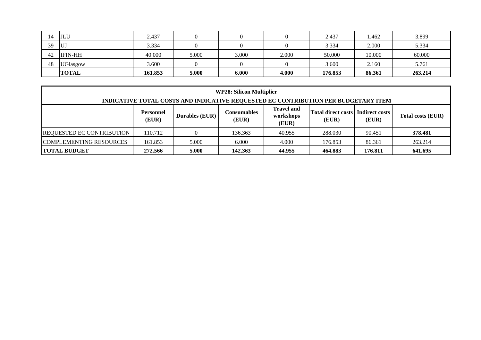|    | JLU             | 2.437   |       |       |       | 2.437   | 1.462  | 3.899   |
|----|-----------------|---------|-------|-------|-------|---------|--------|---------|
| 39 | UJ              | 3.334   |       |       |       | 3.334   | 2.000  | 5.334   |
| 42 | <b>IFIN-HH</b>  | 40.000  | 5.000 | 3.000 | 2.000 | 50.000  | 10.000 | 60.000  |
| 48 | <b>UGlasgow</b> | 3.600   |       |       |       | 3.600   | 2.160  | 5.761   |
|    | <b>TOTAL</b>    | 161.853 | 5.000 | 6.000 | 4.000 | 176.853 | 86.361 | 263.214 |

| <b>WP28: Silicon Multiplier</b>                                                                                                                                                                             |                                                                        |                                                                                    |         |        |         |        |         |  |  |  |
|-------------------------------------------------------------------------------------------------------------------------------------------------------------------------------------------------------------|------------------------------------------------------------------------|------------------------------------------------------------------------------------|---------|--------|---------|--------|---------|--|--|--|
|                                                                                                                                                                                                             |                                                                        | INDICATIVE TOTAL COSTS AND INDICATIVE REQUESTED EC CONTRIBUTION PER BUDGETARY ITEM |         |        |         |        |         |  |  |  |
| Travel and<br>Total direct costs<br>Indirect costs<br><b>Consumables</b><br><b>Personnel</b><br><b>Durables (EUR)</b><br>workshops<br><b>Total costs (EUR)</b><br>(EUR)<br>(EUR)<br>(EUR)<br>(EUR)<br>(EUR) |                                                                        |                                                                                    |         |        |         |        |         |  |  |  |
| <b>REQUESTED EC CONTRIBUTION</b>                                                                                                                                                                            | 110.712                                                                |                                                                                    | 136.363 | 40.955 | 288.030 | 90.451 | 378.481 |  |  |  |
| COMPLEMENTING RESOURCES<br>5.000<br>161.853<br>6.000<br>4.000<br>86.361<br>263.214<br>176.853                                                                                                               |                                                                        |                                                                                    |         |        |         |        |         |  |  |  |
| <b>TOTAL BUDGET</b>                                                                                                                                                                                         | 5.000<br>44.955<br>641.695<br>142.363<br>464.883<br>272.566<br>176.811 |                                                                                    |         |        |         |        |         |  |  |  |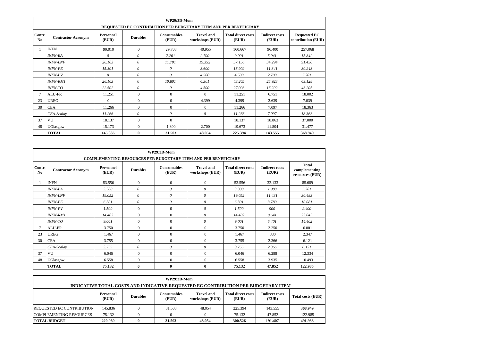|                                                                                                                                                                                                                                                                                            |                 |          |              | WP29:3D-Mom |                                                                  |         |         |         |  |  |
|--------------------------------------------------------------------------------------------------------------------------------------------------------------------------------------------------------------------------------------------------------------------------------------------|-----------------|----------|--------------|-------------|------------------------------------------------------------------|---------|---------|---------|--|--|
|                                                                                                                                                                                                                                                                                            |                 |          |              |             | REQUESTED EC CONTRIBUTION PER BUDGETARY ITEM AND PER BENEFICIARY |         |         |         |  |  |
| Contr.<br><b>Travel and</b><br><b>Total direct costs</b><br><b>Requested EC</b><br>Personnel<br><b>Consumables</b><br><b>Indirect costs</b><br><b>Durables</b><br><b>Contractor Acronym</b><br>N <sub>0</sub><br>(EUR)<br>workshops (EUR)<br>contribution (EUR)<br>(EUR)<br>(EUR)<br>(EUR) |                 |          |              |             |                                                                  |         |         |         |  |  |
|                                                                                                                                                                                                                                                                                            | <b>INFN</b>     | 90.010   | $\Omega$     | 29.703      | 40.955                                                           | 160.667 | 96.400  | 257.068 |  |  |
|                                                                                                                                                                                                                                                                                            | <b>INFN-BA</b>  | 0        | $\theta$     | 7.201       | 2.700                                                            | 9.901   | 5.941   | 15.842  |  |  |
|                                                                                                                                                                                                                                                                                            | <b>INFN-LNF</b> | 26.103   | $\theta$     | 11.701      | 19.352                                                           | 57.156  | 34.294  | 91.450  |  |  |
|                                                                                                                                                                                                                                                                                            | <b>INFN-FE</b>  | 15.301   | $\theta$     | $\theta$    | 3.600                                                            | 18.902  | 11.341  | 30.243  |  |  |
|                                                                                                                                                                                                                                                                                            | <b>INFN-PV</b>  | $\theta$ | $\theta$     | $\theta$    | 4.500                                                            | 4.500   | 2.700   | 7.201   |  |  |
|                                                                                                                                                                                                                                                                                            | <b>INFN-RM1</b> | 26.103   | $\theta$     | 10.801      | 6.301                                                            | 43.205  | 25.923  | 69.128  |  |  |
|                                                                                                                                                                                                                                                                                            | <i>INFN-TO</i>  | 22.502   | $\theta$     | 0           | 4.500                                                            | 27.003  | 16.202  | 43.205  |  |  |
| $\tau$                                                                                                                                                                                                                                                                                     | <b>ALU-FR</b>   | 11.251   | $\Omega$     | $\Omega$    | $\Omega$                                                         | 11.251  | 6.751   | 18.002  |  |  |
| 23                                                                                                                                                                                                                                                                                         | <b>UREG</b>     | $\Omega$ | $\Omega$     | $\Omega$    | 4.399                                                            | 4.399   | 2.639   | 7.039   |  |  |
| 30                                                                                                                                                                                                                                                                                         | <b>CEA</b>      | 11.266   | $\Omega$     | $\Omega$    | $\Omega$                                                         | 11.266  | 7.097   | 18.363  |  |  |
|                                                                                                                                                                                                                                                                                            | CEA-Scalay      | 11.266   | $\theta$     | $\theta$    | $\theta$                                                         | 11.266  | 7.097   | 18.363  |  |  |
| 37                                                                                                                                                                                                                                                                                         | VU              | 18.137   | $\Omega$     | $\Omega$    |                                                                  | 18.137  | 18.863  | 37.000  |  |  |
| 48                                                                                                                                                                                                                                                                                         | UGlasgow        | 15.173   | $\Omega$     | 1.800       | 2.700                                                            | 19.673  | 11.804  | 31.477  |  |  |
|                                                                                                                                                                                                                                                                                            | <b>TOTAL</b>    | 145.836  | $\mathbf{0}$ | 31.503      | 48.054                                                           | 225.394 | 143.555 | 368.949 |  |  |

|                          |                                                                                                                                                                                                                                                                       |        |              | <b>WP29:3D-Mom</b> |                |        |        |         |  |  |  |  |  |
|--------------------------|-----------------------------------------------------------------------------------------------------------------------------------------------------------------------------------------------------------------------------------------------------------------------|--------|--------------|--------------------|----------------|--------|--------|---------|--|--|--|--|--|
|                          | <b>COMPLEMENTING RESOURCES PER BUDGETARY ITEM AND PER BENEFICIARY</b>                                                                                                                                                                                                 |        |              |                    |                |        |        |         |  |  |  |  |  |
| Contr.<br>N <sub>0</sub> | <b>Total</b><br><b>Total direct costs</b><br>Personnel<br><b>Consumables</b><br><b>Travel and</b><br><b>Indirect costs</b><br><b>Durables</b><br>complementing<br><b>Contractor Acronym</b><br>(EUR)<br>workshops (EUR)<br>(EUR)<br>(EUR)<br>(EUR)<br>resources (EUR) |        |              |                    |                |        |        |         |  |  |  |  |  |
|                          | <b>INFN</b>                                                                                                                                                                                                                                                           | 53.556 | $\mathbf{0}$ | $\overline{0}$     | $\mathbf{0}$   | 53.556 | 32.133 | 85.689  |  |  |  |  |  |
|                          | <b>INFN-BA</b>                                                                                                                                                                                                                                                        | 3.300  | $\theta$     | $\theta$           | $\theta$       | 3.300  | 1.980  | 5.281   |  |  |  |  |  |
|                          | 19.052<br>$\theta$<br>$\theta$<br>$\theta$<br><b>INFN-LNF</b><br>19.052<br>11.431<br>30.483                                                                                                                                                                           |        |              |                    |                |        |        |         |  |  |  |  |  |
|                          | 6.301<br>$\theta$<br>$\theta$<br>$\theta$<br><b>INFN-FE</b><br>6.301<br>3.780<br>10.081                                                                                                                                                                               |        |              |                    |                |        |        |         |  |  |  |  |  |
|                          | <b>INFN-PV</b>                                                                                                                                                                                                                                                        | 1.500  | $\Omega$     | $\mathbf{0}$       | $\theta$       | 1.500  | 900    | 2.400   |  |  |  |  |  |
|                          | <b>INFN-RM1</b>                                                                                                                                                                                                                                                       | 14.402 | $\Omega$     | $\Omega$           | $\theta$       | 14.402 | 8.641  | 23.043  |  |  |  |  |  |
|                          | <b>INFN-TO</b>                                                                                                                                                                                                                                                        | 9.001  | $\mathbf{0}$ | $\Omega$           | 0              | 9.001  | 5.401  | 14.402  |  |  |  |  |  |
| 7                        | <b>ALU-FR</b>                                                                                                                                                                                                                                                         | 3.750  | $\Omega$     | $\Omega$           | $\Omega$       | 3.750  | 2.250  | 6.001   |  |  |  |  |  |
| 23                       | <b>UREG</b>                                                                                                                                                                                                                                                           | 1.467  | $\Omega$     | $\Omega$           | $\overline{0}$ | 1.467  | 880    | 2.347   |  |  |  |  |  |
| 30                       | <b>CEA</b>                                                                                                                                                                                                                                                            | 3.755  | $\Omega$     | $\Omega$           | $\Omega$       | 3.755  | 2.366  | 6.121   |  |  |  |  |  |
|                          | CEA-Scalay                                                                                                                                                                                                                                                            | 3.755  | $\theta$     | $\theta$           | 0              | 3.755  | 2.366  | 6.121   |  |  |  |  |  |
| 37                       | VU                                                                                                                                                                                                                                                                    | 6.046  | $\mathbf{0}$ | $\Omega$           | $\mathbf{0}$   | 6.046  | 6.288  | 12.334  |  |  |  |  |  |
| 48                       | UGlasgow                                                                                                                                                                                                                                                              | 6.558  | $\Omega$     | $\Omega$           | $\overline{0}$ | 6.558  | 3.935  | 10.493  |  |  |  |  |  |
|                          | <b>TOTAL</b>                                                                                                                                                                                                                                                          | 75.132 | $\mathbf{0}$ | $\mathbf{0}$       | $\bf{0}$       | 75.132 | 47.852 | 122.985 |  |  |  |  |  |

| <b>WP29:3D-Mom</b>                                                                 |                                                              |                 |                             |                                      |                                    |                                |                          |  |  |  |  |
|------------------------------------------------------------------------------------|--------------------------------------------------------------|-----------------|-----------------------------|--------------------------------------|------------------------------------|--------------------------------|--------------------------|--|--|--|--|
| INDICATIVE TOTAL COSTS AND INDICATIVE REQUESTED EC CONTRIBUTION PER BUDGETARY ITEM |                                                              |                 |                             |                                      |                                    |                                |                          |  |  |  |  |
|                                                                                    | Personnel<br>(EUR)                                           | <b>Durables</b> | <b>Consumables</b><br>(EUR) | <b>Travel and</b><br>workshops (EUR) | <b>Total direct costs</b><br>(EUR) | <b>Indirect costs</b><br>(EUR) | <b>Total costs (EUR)</b> |  |  |  |  |
| <b>REQUESTED EC CONTRIBUTION</b>                                                   | 145.836                                                      |                 | 31.503                      | 48.054                               | 225.394                            | 143.555                        | 368.949                  |  |  |  |  |
| COMPLEMENTING RESOURCES<br>75.132<br>122.985<br>75.132<br>47.852                   |                                                              |                 |                             |                                      |                                    |                                |                          |  |  |  |  |
| <b>TOTAL BUDGET</b>                                                                | 491.933<br>48.054<br>300.526<br>220.969<br>191.407<br>31.503 |                 |                             |                                      |                                    |                                |                          |  |  |  |  |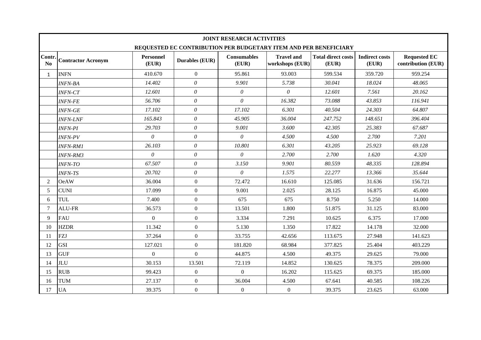| Contr.<br>$\mathbf{N}\mathbf{0}$ | <b>Contractor Acronym</b> | <b>Personnel</b><br>(EUR) | <b>Durables (EUR)</b> | <b>Consumables</b><br>(EUR)                                                                                                                                                                                                                                                                                                                                                                                                                                                                                                                                                                                                                                                                                                                                                                                                                                                                                                           | <b>Travel and</b><br>workshops (EUR) | <b>Total direct costs</b><br>(EUR) | <b>Indirect costs</b><br>(EUR) | <b>Requested EC</b><br>contribution (EUR) |
|----------------------------------|---------------------------|---------------------------|-----------------------|---------------------------------------------------------------------------------------------------------------------------------------------------------------------------------------------------------------------------------------------------------------------------------------------------------------------------------------------------------------------------------------------------------------------------------------------------------------------------------------------------------------------------------------------------------------------------------------------------------------------------------------------------------------------------------------------------------------------------------------------------------------------------------------------------------------------------------------------------------------------------------------------------------------------------------------|--------------------------------------|------------------------------------|--------------------------------|-------------------------------------------|
| 1                                | <b>INFN</b>               | 410.670                   | $\theta$              | <b>JOINT RESEARCH ACTIVITIES</b><br>REQUESTED EC CONTRIBUTION PER BUDGETARY ITEM AND PER BENEFICIARY<br>95.861<br>93.003<br>599.534<br>359.720<br>9.901<br>5.738<br>30.041<br>18.024<br>$\theta$<br>$\theta$<br>12.601<br>7.561<br>$\theta$<br>16.382<br>43.853<br>73.088<br>17.102<br>6.301<br>40.504<br>24.303<br>45.905<br>36.004<br>148.651<br>247.752<br>9.001<br>3.600<br>42.305<br>25.383<br>$\theta$<br>4.500<br>2.700<br>4.500<br>10.801<br>6.301<br>43.205<br>25.923<br>$\theta$<br>2.700<br>2.700<br>1.620<br>3.150<br>9.901<br>80.559<br>48.335<br>$\boldsymbol{\theta}$<br>1.575<br>22.277<br>13.366<br>72.472<br>16.610<br>31.636<br>125.085<br>9.001<br>2.025<br>28.125<br>16.875<br>675<br>675<br>8.750<br>5.250<br>13.501<br>1.800<br>51.875<br>31.125<br>3.334<br>7.291<br>10.625<br>6.375<br>5.130<br>17.822<br>1.350<br>14.178<br>33.755<br>42.656<br>113.675<br>27.948<br>181.820<br>68.984<br>377.825<br>25.404 |                                      | 959.254                            |                                |                                           |
|                                  | <b>INFN-BA</b>            | 14.402                    | $\theta$              |                                                                                                                                                                                                                                                                                                                                                                                                                                                                                                                                                                                                                                                                                                                                                                                                                                                                                                                                       |                                      |                                    |                                | 48.065                                    |
|                                  | <b>INFN-CT</b>            | 12.601                    | $\theta$              |                                                                                                                                                                                                                                                                                                                                                                                                                                                                                                                                                                                                                                                                                                                                                                                                                                                                                                                                       |                                      |                                    |                                | 20.162                                    |
|                                  | <b>INFN-FE</b>            | 56.706                    | $\boldsymbol{\theta}$ |                                                                                                                                                                                                                                                                                                                                                                                                                                                                                                                                                                                                                                                                                                                                                                                                                                                                                                                                       |                                      |                                    |                                | 116.941                                   |
|                                  | <b>INFN-GE</b>            | 17.102                    | $\theta$              |                                                                                                                                                                                                                                                                                                                                                                                                                                                                                                                                                                                                                                                                                                                                                                                                                                                                                                                                       |                                      |                                    |                                | 64.807                                    |
|                                  | <b>INFN-LNF</b>           | 165.843                   | $\theta$              |                                                                                                                                                                                                                                                                                                                                                                                                                                                                                                                                                                                                                                                                                                                                                                                                                                                                                                                                       |                                      |                                    |                                | 396.404                                   |
|                                  | <b>INFN-PI</b>            | 29.703                    | $\theta$              |                                                                                                                                                                                                                                                                                                                                                                                                                                                                                                                                                                                                                                                                                                                                                                                                                                                                                                                                       |                                      |                                    |                                | 67.687                                    |
|                                  | <b>INFN-PV</b>            | $\theta$                  | $\theta$              |                                                                                                                                                                                                                                                                                                                                                                                                                                                                                                                                                                                                                                                                                                                                                                                                                                                                                                                                       |                                      |                                    |                                | 7.201                                     |
|                                  | <b>INFN-RM1</b>           | 26.103                    | $\boldsymbol{\theta}$ |                                                                                                                                                                                                                                                                                                                                                                                                                                                                                                                                                                                                                                                                                                                                                                                                                                                                                                                                       |                                      |                                    |                                | 69.128                                    |
|                                  | <b>INFN-RM3</b>           | $\theta$                  | $\theta$              |                                                                                                                                                                                                                                                                                                                                                                                                                                                                                                                                                                                                                                                                                                                                                                                                                                                                                                                                       |                                      |                                    |                                | 4.320                                     |
|                                  | <b>INFN-TO</b>            | 67.507                    | $\theta$              |                                                                                                                                                                                                                                                                                                                                                                                                                                                                                                                                                                                                                                                                                                                                                                                                                                                                                                                                       |                                      |                                    |                                | 128.894                                   |
|                                  | <b>INFN-TS</b>            | 20.702                    | $\theta$              |                                                                                                                                                                                                                                                                                                                                                                                                                                                                                                                                                                                                                                                                                                                                                                                                                                                                                                                                       |                                      |                                    |                                | 35.644                                    |
| 2                                | <b>OeAW</b>               | 36.004                    | $\mathbf{0}$          |                                                                                                                                                                                                                                                                                                                                                                                                                                                                                                                                                                                                                                                                                                                                                                                                                                                                                                                                       |                                      |                                    |                                | 156.721                                   |
| 5                                | <b>CUNI</b>               | 17.099                    | $\mathbf{0}$          |                                                                                                                                                                                                                                                                                                                                                                                                                                                                                                                                                                                                                                                                                                                                                                                                                                                                                                                                       |                                      |                                    |                                | 45.000                                    |
| 6                                | <b>TUL</b>                | 7.400                     | $\mathbf{0}$          |                                                                                                                                                                                                                                                                                                                                                                                                                                                                                                                                                                                                                                                                                                                                                                                                                                                                                                                                       |                                      |                                    |                                | 14.000                                    |
| $\overline{7}$                   | <b>ALU-FR</b>             | 36.573                    | $\mathbf{0}$          |                                                                                                                                                                                                                                                                                                                                                                                                                                                                                                                                                                                                                                                                                                                                                                                                                                                                                                                                       |                                      |                                    |                                | 83.000                                    |
| 9                                | <b>FAU</b>                | $\Omega$                  | $\Omega$              |                                                                                                                                                                                                                                                                                                                                                                                                                                                                                                                                                                                                                                                                                                                                                                                                                                                                                                                                       |                                      |                                    |                                | 17.000                                    |
| 10                               | <b>HZDR</b>               | 11.342                    | $\mathbf{0}$          |                                                                                                                                                                                                                                                                                                                                                                                                                                                                                                                                                                                                                                                                                                                                                                                                                                                                                                                                       |                                      |                                    |                                | 32.000                                    |
| 11                               | <b>FZJ</b>                | 37.264                    | $\overline{0}$        |                                                                                                                                                                                                                                                                                                                                                                                                                                                                                                                                                                                                                                                                                                                                                                                                                                                                                                                                       |                                      |                                    |                                | 141.623                                   |
| 12                               | <b>GSI</b>                | 127.021                   | $\Omega$              |                                                                                                                                                                                                                                                                                                                                                                                                                                                                                                                                                                                                                                                                                                                                                                                                                                                                                                                                       |                                      |                                    |                                | 403.229                                   |
| 13                               | <b>GUF</b>                | $\Omega$                  | $\overline{0}$        | 44.875                                                                                                                                                                                                                                                                                                                                                                                                                                                                                                                                                                                                                                                                                                                                                                                                                                                                                                                                | 4.500                                | 49.375                             | 29.625                         | 79.000                                    |
| 14                               | <b>JLU</b>                | 30.153                    | 13.501                | 72.119                                                                                                                                                                                                                                                                                                                                                                                                                                                                                                                                                                                                                                                                                                                                                                                                                                                                                                                                | 14.852                               | 130.625                            | 78.375                         | 209.000                                   |
| 15                               | <b>RUB</b>                | 99.423                    | $\overline{0}$        | $\overline{0}$                                                                                                                                                                                                                                                                                                                                                                                                                                                                                                                                                                                                                                                                                                                                                                                                                                                                                                                        | 16.202                               | 115.625                            | 69.375                         | 185.000                                   |
| 16                               | <b>TUM</b>                | 27.137                    | $\overline{0}$        | 36.004                                                                                                                                                                                                                                                                                                                                                                                                                                                                                                                                                                                                                                                                                                                                                                                                                                                                                                                                | 4.500                                | 67.641                             | 40.585                         | 108.226                                   |
| 17                               | <b>UA</b>                 | 39.375                    | $\boldsymbol{0}$      | $\boldsymbol{0}$                                                                                                                                                                                                                                                                                                                                                                                                                                                                                                                                                                                                                                                                                                                                                                                                                                                                                                                      | $\boldsymbol{0}$                     | 39.375                             | 23.625                         | 63.000                                    |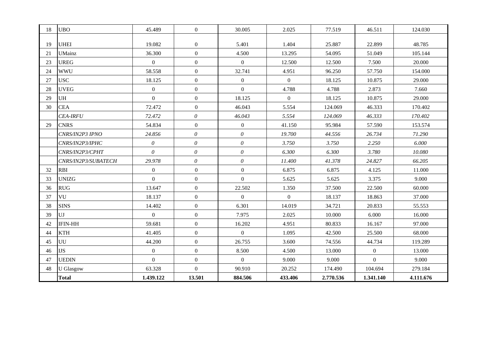| 18 | <b>UBO</b>          | 45.489         | $\overline{0}$        | 30.005         | 2.025          | 77.519    | 46.511         | 124.030   |
|----|---------------------|----------------|-----------------------|----------------|----------------|-----------|----------------|-----------|
|    |                     |                |                       |                |                |           |                |           |
| 19 | <b>UHEI</b>         | 19.082         | $\overline{0}$        | 5.401          | 1.404          | 25.887    | 22.899         | 48.785    |
| 21 | <b>UMainz</b>       | 36.300         | $\overline{0}$        | 4.500          | 13.295         | 54.095    | 51.049         | 105.144   |
| 23 | <b>UREG</b>         | $\overline{0}$ | $\boldsymbol{0}$      | $\overline{0}$ | 12.500         | 12.500    | 7.500          | 20.000    |
| 24 | <b>WWU</b>          | 58.558         | $\overline{0}$        | 32.741         | 4.951          | 96.250    | 57.750         | 154.000   |
| 27 | <b>USC</b>          | 18.125         | $\overline{0}$        | $\overline{0}$ | $\overline{0}$ | 18.125    | 10.875         | 29.000    |
| 28 | <b>UVEG</b>         | $\overline{0}$ | $\overline{0}$        | $\overline{0}$ | 4.788          | 4.788     | 2.873          | 7.660     |
| 29 | UH                  | $\overline{0}$ | $\boldsymbol{0}$      | 18.125         | $\overline{0}$ | 18.125    | 10.875         | 29.000    |
| 30 | <b>CEA</b>          | 72.472         | $\boldsymbol{0}$      | 46.043         | 5.554          | 124.069   | 46.333         | 170.402   |
|    | <b>CEA-IRFU</b>     | 72.472         | $\theta$              | 46.043         | 5.554          | 124.069   | 46.333         | 170.402   |
| 29 | <b>CNRS</b>         | 54.834         | $\mathbf{0}$          | $\overline{0}$ | 41.150         | 95.984    | 57.590         | 153.574   |
|    | CNRS/IN2P3 IPNO     | 24.856         | $\boldsymbol{\theta}$ | $\theta$       | 19.700         | 44.556    | 26.734         | 71.290    |
|    | CNRS/IN2P3/IPHC     | $\theta$       | $\theta$              | $\theta$       | 3.750          | 3.750     | 2.250          | 6.000     |
|    | CNRS/IN2P3/CPHT     | $\theta$       | $\boldsymbol{\theta}$ | $\theta$       | 6.300          | 6.300     | 3.780          | 10.080    |
|    | CNRS/IN2P3/SUBATECH | 29.978         | $\theta$              | $\theta$       | 11.400         | 41.378    | 24.827         | 66.205    |
| 32 | <b>RBI</b>          | $\overline{0}$ | $\boldsymbol{0}$      | $\overline{0}$ | 6.875          | 6.875     | 4.125          | 11.000    |
| 33 | <b>UNIZG</b>        | $\overline{0}$ | $\overline{0}$        | $\overline{0}$ | 5.625          | 5.625     | 3.375          | 9.000     |
| 36 | <b>RUG</b>          | 13.647         | $\overline{0}$        | 22.502         | 1.350          | 37.500    | 22.500         | 60.000    |
| 37 | VU                  | 18.137         | $\overline{0}$        | $\overline{0}$ | $\overline{0}$ | 18.137    | 18.863         | 37.000    |
| 38 | <b>SINS</b>         | 14.402         | $\overline{0}$        | 6.301          | 14.019         | 34.721    | 20.833         | 55.553    |
| 39 | UJ                  | $\overline{0}$ | $\boldsymbol{0}$      | 7.975          | 2.025          | 10.000    | 6.000          | 16.000    |
| 42 | <b>IFIN-HH</b>      | 59.681         | $\mathbf{0}$          | 16.202         | 4.951          | 80.833    | 16.167         | 97.000    |
| 44 | <b>KTH</b>          | 41.405         | $\mathbf{0}$          | $\overline{0}$ | 1.095          | 42.500    | 25.500         | 68.000    |
| 45 | UU                  | 44.200         | $\mathbf{0}$          | 26.755         | 3.600          | 74.556    | 44.734         | 119.289   |
| 46 | <b>IJS</b>          | $\overline{0}$ | $\boldsymbol{0}$      | 8.500          | 4.500          | 13.000    | $\overline{0}$ | 13.000    |
| 47 | <b>UEDIN</b>        | $\overline{0}$ | $\overline{0}$        | $\overline{0}$ | 9.000          | 9.000     | $\overline{0}$ | 9.000     |
| 48 | <b>U</b> Glasgow    | 63.328         | $\overline{0}$        | 90.910         | 20.252         | 174.490   | 104.694        | 279.184   |
|    | <b>Total</b>        | 1.439.122      | 13.501                | 884.506        | 433.406        | 2.770.536 | 1.341.140      | 4.111.676 |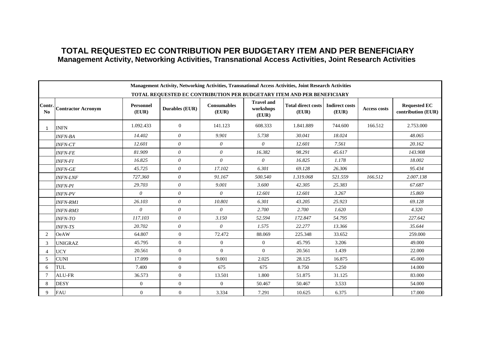#### **TOTAL REQUESTED EC CONTRIBUTION PER BUDGETARY ITEM AND PER BENEFICIARY Management Activity, Networking Activities, Transnational Access Activities, Joint Research Activities**

|              |                           |                           | Management Activity, Networking Activities, Transnational Access Activities, Joint Research Activities |                             |                                         |                                    |                                |                     |                                           |
|--------------|---------------------------|---------------------------|--------------------------------------------------------------------------------------------------------|-----------------------------|-----------------------------------------|------------------------------------|--------------------------------|---------------------|-------------------------------------------|
|              |                           |                           | TOTAL REQUESTED EC CONTRIBUTION PER BUDGETARY ITEM AND PER BENEFICIARY                                 |                             |                                         |                                    |                                |                     |                                           |
| Contr.<br>No | <b>Contractor Acronym</b> | <b>Personnel</b><br>(EUR) | Durables (EUR)                                                                                         | <b>Consumables</b><br>(EUR) | <b>Travel and</b><br>workshops<br>(EUR) | <b>Total direct costs</b><br>(EUR) | <b>Indirect costs</b><br>(EUR) | <b>Access costs</b> | <b>Requested EC</b><br>contribution (EUR) |
| 1            | <b>INFN</b>               | 1.092.433                 | $\overline{0}$                                                                                         | 141.123                     | 608.333                                 | 1.841.889                          | 744.600                        | 166.512             | 2.753.000                                 |
|              | <b>INFN-BA</b>            | 14.402                    | $\theta$                                                                                               | 9.901                       | 5.738                                   | 30.041                             | 18.024                         |                     | 48.065                                    |
|              | <b>INFN-CT</b>            | 12.601                    | $\theta$                                                                                               | $\theta$                    | $\theta$                                | 12.601                             | 7.561                          |                     | 20.162                                    |
|              | <b>INFN-FE</b>            | 81.909                    | $\theta$                                                                                               | $\theta$                    | 16.382                                  | 98.291                             | 45.617                         |                     | 143.908                                   |
|              | <b>INFN-FI</b>            | 16.825                    | $\theta$                                                                                               | $\theta$                    | $\theta$                                | 16.825                             | 1.178                          |                     | 18.002                                    |
|              | <b>INFN-GE</b>            | 45.725                    | $\theta$                                                                                               | 17.102                      | 6.301                                   | 69.128                             | 26.306                         |                     | 95.434                                    |
|              | <b>INFN-LNF</b>           | 727.360                   | $\theta$                                                                                               | 91.167                      | 500.540                                 | 1.319.068                          | 521.559                        | 166.512             | 2.007.138                                 |
|              | <b>INFN-PI</b>            | 29.703                    | $\theta$                                                                                               | 9.001                       | 3.600                                   | 42.305                             | 25.383                         |                     | 67.687                                    |
|              | <b>INFN-PV</b>            | $\theta$                  | $\theta$                                                                                               | $\theta$                    | 12.601                                  | 12.601                             | 3.267                          |                     | 15.869                                    |
|              | <b>INFN-RM1</b>           | 26.103                    | $\theta$                                                                                               | 10.801                      | 6.301                                   | 43.205                             | 25.923                         |                     | 69.128                                    |
|              | <b>INFN-RM3</b>           | $\theta$                  | $\theta$                                                                                               | $\theta$                    | 2.700                                   | 2.700                              | 1.620                          |                     | 4.320                                     |
|              | <b>INFN-TO</b>            | 117.103                   | $\theta$                                                                                               | 3.150                       | 52.594                                  | 172.847                            | 54.795                         |                     | 227.642                                   |
|              | <b>INFN-TS</b>            | 20.702                    | $\theta$                                                                                               | $\theta$                    | 1.575                                   | 22.277                             | 13.366                         |                     | 35.644                                    |
| 2            | <b>OeAW</b>               | 64.807                    | $\mathbf{0}$                                                                                           | 72.472                      | 88.069                                  | 225.348                            | 33.652                         |                     | 259.000                                   |
| 3            | <b>UNIGRAZ</b>            | 45.795                    | $\overline{0}$                                                                                         | $\overline{0}$              | $\overline{0}$                          | 45.795                             | 3.206                          |                     | 49.000                                    |
|              | <b>UCY</b>                | 20.561                    | $\overline{0}$                                                                                         | $\Omega$                    | $\Omega$                                | 20.561                             | 1.439                          |                     | 22.000                                    |
| 5            | <b>CUNI</b>               | 17.099                    | $\overline{0}$                                                                                         | 9.001                       | 2.025                                   | 28.125                             | 16.875                         |                     | 45.000                                    |
| 6            | <b>TUL</b>                | 7.400                     | $\mathbf{0}$                                                                                           | 675                         | 675                                     | 8.750                              | 5.250                          |                     | 14.000                                    |
|              | ALU-FR                    | 36.573                    | $\mathbf{0}$                                                                                           | 13.501                      | 1.800                                   | 51.875                             | 31.125                         |                     | 83.000                                    |
| 8            | <b>DESY</b>               | $\overline{0}$            | $\overline{0}$                                                                                         | $\Omega$                    | 50.467                                  | 50.467                             | 3.533                          |                     | 54.000                                    |
| 9            | <b>FAU</b>                | $\mathbf{0}$              | $\boldsymbol{0}$                                                                                       | 3.334                       | 7.291                                   | 10.625                             | 6.375                          |                     | 17.000                                    |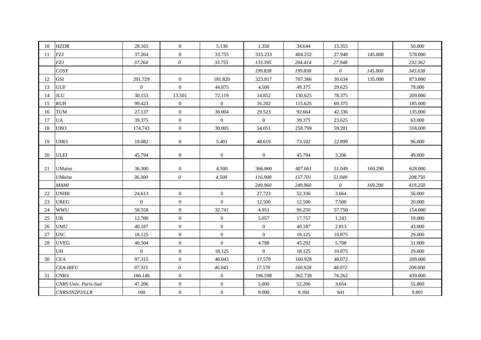| 10 | <b>HZDR</b>          | 28.165         | $\overline{0}$   | 5.130            | 1.350          | 34.644  | 15.355   |         | 50.000  |
|----|----------------------|----------------|------------------|------------------|----------------|---------|----------|---------|---------|
| 11 | FZJ                  | 37.264         | $\overline{0}$   | 33.755           | 333.233        | 404.252 | 27.948   | 145.800 | 578.000 |
|    | <b>FZJ</b>           | 37.264         | $\theta$         | 33.755           | 133.395        | 204.414 | 27.948   |         | 232.362 |
|    | COSY                 |                |                  |                  | 199.838        | 199.838 | $\theta$ | 145.800 | 345.638 |
| 12 | <b>GSI</b>           | 201.729        | $\overline{0}$   | 181.820          | 323.817        | 707.366 | 30.634   | 135.000 | 873.000 |
| 13 | <b>GUF</b>           | $\overline{0}$ | $\overline{0}$   | 44.875           | 4.500          | 49.375  | 29.625   |         | 79.000  |
| 14 | <b>JLU</b>           | 30.153         | 13.501           | 72.119           | 14.852         | 130.625 | 78.375   |         | 209.000 |
| 15 | <b>RUB</b>           | 99.423         | $\overline{0}$   | $\overline{0}$   | 16.202         | 115.625 | 69.375   |         | 185.000 |
| 16 | TUM                  | 27.137         | $\overline{0}$   | 36.004           | 29.523         | 92.664  | 42.336   |         | 135.000 |
| 17 | <b>UA</b>            | 39.375         | $\overline{0}$   | $\overline{0}$   | $\overline{0}$ | 39.375  | 23.625   |         | 63.000  |
| 18 | <b>UBO</b>           | 174.743        | $\overline{0}$   | 30.005           | 54.051         | 258.799 | 59.201   |         | 318.000 |
| 19 | <b>UHEI</b>          | 19.082         | $\overline{0}$   | 5.401            | 48.619         | 73.102  | 22.899   |         | 96.000  |
| 20 | <b>ULEI</b>          | 45.794         | $\boldsymbol{0}$ | $\overline{0}$   | $\overline{0}$ | 45.794  | 3.206    |         | 49.000  |
| 21 | <b>UMainz</b>        | 36.300         | $\overline{0}$   | 4.500            | 366.860        | 407.661 | 51.049   | 169.290 | 628.000 |
|    | <b>UMainz</b>        | 36.300         | $\theta$         | 4.500            | 116.900        | 157.701 | 51.049   |         | 208.750 |
|    | <b>MAMI</b>          |                |                  |                  | 249.960        | 249.960 | $\theta$ | 169.290 | 419.250 |
| 22 | <b>UNIBI</b>         | 24.613         | $\overline{0}$   | $\overline{0}$   | 27.723         | 52.336  | 3.664    |         | 56.000  |
| 23 | <b>UREG</b>          | $\mathbf{0}$   | $\overline{0}$   | $\overline{0}$   | 12.500         | 12.500  | 7.500    |         | 20.000  |
| 24 | <b>WWU</b>           | 58.558         | $\overline{0}$   | 32.741           | 4.951          | 96.250  | 57.750   |         | 154.000 |
| 25 | <b>UB</b>            | 12.700         | $\overline{0}$   | $\overline{0}$   | 5.057          | 17.757  | 1.243    |         | 19.000  |
| 26 | <b>UMU</b>           | 40.187         | $\overline{0}$   | $\overline{0}$   | $\overline{0}$ | 40.187  | 2.813    |         | 43.000  |
| 27 | <b>USC</b>           | 18.125         | $\overline{0}$   | $\overline{0}$   | $\overline{0}$ | 18.125  | 10.875   |         | 29.000  |
| 28 | <b>UVEG</b>          | 40.504         | $\overline{0}$   | $\overline{0}$   | 4.788          | 45.292  | 5.708    |         | 51.000  |
|    | <b>UH</b>            | $\mathbf{0}$   | $\overline{0}$   | 18.125           | $\overline{0}$ | 18.125  | 10.875   |         | 29.000  |
| 30 | <b>CEA</b>           | 97.315         | $\overline{0}$   | 46.043           | 17.570         | 160.928 | 48.072   |         | 209.000 |
|    | <b>CEA-IRFU</b>      | 97.315         | $\theta$         | 46.043           | 17.570         | 160.928 | 48.072   |         | 209.000 |
| 31 | <b>CNRS</b>          | 166.140        | $\overline{0}$   | $\overline{0}$   | 196.598        | 362.738 | 76.262   |         | 439.000 |
|    | CNRS Univ. Paris-Sud | 47.206         | $\boldsymbol{0}$ | $\boldsymbol{0}$ | 5.000          | 52.206  | 3.654    |         | 55.860  |
|    | CNRS/IN2P3/LLR       | 160            | $\overline{0}$   | $\boldsymbol{0}$ | 9.000          | 9.160   | 641      |         | 9.801   |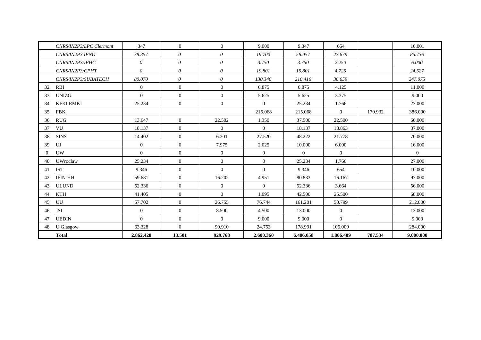|          | CNRS/IN2P3/LPC Clermont | 347            | $\overline{0}$ | $\overline{0}$ | 9.000          | 9.347          | 654            |         | 10.001         |
|----------|-------------------------|----------------|----------------|----------------|----------------|----------------|----------------|---------|----------------|
|          | CNRS/IN2P3 IPNO         | 38.357         | $\theta$       | $\theta$       | 19.700         | 58.057         | 27.679         |         | 85.736         |
|          | CNRS/IN2P3/IPHC         | $\theta$       | $\theta$       | $\theta$       | 3.750          | 3.750          | 2.250          |         | 6.000          |
|          | CNRS/IN2P3/CPHT         | $\theta$       | $\theta$       | $\theta$       | 19.801         | 19.801         | 4.725          |         | 24.527         |
|          | CNRS/IN2P3/SUBATECH     | 80.070         | $\theta$       | $\theta$       | 130.346        | 210.416        | 36.659         |         | 247.075        |
| 32       | <b>RBI</b>              | $\overline{0}$ | $\overline{0}$ | $\overline{0}$ | 6.875          | 6.875          | 4.125          |         | 11.000         |
| 33       | <b>UNIZG</b>            | $\mathbf{0}$   | $\overline{0}$ | $\overline{0}$ | 5.625          | 5.625          | 3.375          |         | 9.000          |
| 34       | <b>KFKI RMKI</b>        | 25.234         | $\overline{0}$ | $\overline{0}$ | $\overline{0}$ | 25.234         | 1.766          |         | 27.000         |
| 35       | <b>FBK</b>              |                |                |                | 215.068        | 215.068        | $\overline{0}$ | 170.932 | 386.000        |
| 36       | <b>RUG</b>              | 13.647         | $\overline{0}$ | 22.502         | 1.350          | 37.500         | 22.500         |         | 60.000         |
| 37       | VU                      | 18.137         | $\overline{0}$ | $\overline{0}$ | $\overline{0}$ | 18.137         | 18.863         |         | 37.000         |
| 38       | <b>SINS</b>             | 14.402         | $\overline{0}$ | 6.301          | 27.520         | 48.222         | 21.778         |         | 70.000         |
| 39       | UJ                      | $\overline{0}$ | $\overline{0}$ | 7.975          | 2.025          | 10.000         | 6.000          |         | 16.000         |
| $\Omega$ | <b>UW</b>               | $\overline{0}$ | $\overline{0}$ | $\overline{0}$ | $\overline{0}$ | $\overline{0}$ | $\overline{0}$ |         | $\overline{0}$ |
| 40       | <b>UWroclaw</b>         | 25.234         | $\overline{0}$ | $\overline{0}$ | $\overline{0}$ | 25.234         | 1.766          |         | 27.000         |
| 41       | <b>IST</b>              | 9.346          | $\overline{0}$ | $\Omega$       | $\Omega$       | 9.346          | 654            |         | 10.000         |
| 42       | <b>IFIN-HH</b>          | 59.681         | $\overline{0}$ | 16.202         | 4.951          | 80.833         | 16.167         |         | 97.000         |
| 43       | <b>ULUND</b>            | 52.336         | $\overline{0}$ | $\overline{0}$ | $\theta$       | 52.336         | 3.664          |         | 56.000         |
| 44       | <b>KTH</b>              | 41.405         | $\overline{0}$ | $\overline{0}$ | 1.095          | 42.500         | 25.500         |         | 68.000         |
| 45       | UU                      | 57.702         | $\overline{0}$ | 26.755         | 76.744         | 161.201        | 50.799         |         | 212.000        |
| 46       | <b>JSI</b>              | $\overline{0}$ | $\overline{0}$ | 8.500          | 4.500          | 13.000         | $\overline{0}$ |         | 13.000         |
| 47       | <b>UEDIN</b>            | $\Omega$       | $\overline{0}$ | $\Omega$       | 9.000          | 9.000          | $\overline{0}$ |         | 9.000          |
| 48       | <b>U</b> Glasgow        | 63.328         | $\overline{0}$ | 90.910         | 24.753         | 178.991        | 105.009        |         | 284.000        |
|          | <b>Total</b>            | 2.862.428      | 13.501         | 929.768        | 2.600.360      | 6.406.058      | 1.806.409      | 787.534 | 9.000.000      |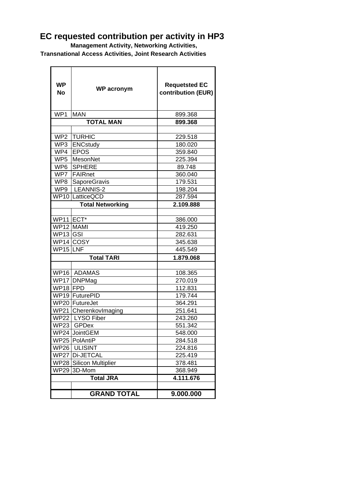### **EC requested contribution per activity in HP3**

 **Management Activity, Networking Activities,**

 **Transnational Access Activities, Joint Research Activities**

| <b>WP</b><br><b>No</b> | <b>WP</b> acronym         | <b>Requetsted EC</b><br>contribution (EUR) |  |  |  |  |
|------------------------|---------------------------|--------------------------------------------|--|--|--|--|
| WP1                    | <b>MAN</b>                | 899.368                                    |  |  |  |  |
|                        | <b>TOTAL MAN</b>          | 899.368                                    |  |  |  |  |
|                        |                           |                                            |  |  |  |  |
| WP2                    | <b>ITURHIC</b>            | 229.518                                    |  |  |  |  |
|                        | WP3 ENCstudy              | 180.020                                    |  |  |  |  |
|                        | WP4 EPOS                  | 359.840                                    |  |  |  |  |
| WP5                    | MesonNet                  | 225.394                                    |  |  |  |  |
| WP <sub>6</sub>        | <b>SPHERE</b>             | 89.748                                     |  |  |  |  |
| WP7                    | <b>FAIRnet</b>            | 360.040                                    |  |  |  |  |
| WP8                    | SaporeGravis              | 179.531                                    |  |  |  |  |
| WP9                    | LEANNIS-2                 | 198.204                                    |  |  |  |  |
|                        | WP10 LatticeQCD           | 287.594                                    |  |  |  |  |
|                        | <b>Total Networking</b>   | 2.109.888                                  |  |  |  |  |
|                        |                           |                                            |  |  |  |  |
| WP11 ECT*              |                           | 386.000                                    |  |  |  |  |
| WP12 MAMI              |                           | 419.250                                    |  |  |  |  |
| WP <sub>13</sub> GSI   |                           | 282.631                                    |  |  |  |  |
|                        | WP14 COSY                 | 345.638                                    |  |  |  |  |
| WP15 LNF               |                           | 445.549                                    |  |  |  |  |
|                        | <b>Total TARI</b>         | 1.879.068                                  |  |  |  |  |
|                        |                           |                                            |  |  |  |  |
|                        | WP16 ADAMAS               | 108.365                                    |  |  |  |  |
|                        | WP17 DNPMag               | 270.019                                    |  |  |  |  |
| WP18 FPD               |                           | 112.831                                    |  |  |  |  |
|                        | WP19 FuturePID            | 179.744                                    |  |  |  |  |
|                        | WP20 FutureJet            | 364.291                                    |  |  |  |  |
|                        | WP21 CherenkovImaging     | 251.641                                    |  |  |  |  |
|                        | WP22   LYSO Fiber         | 243.260                                    |  |  |  |  |
| <b>WP23</b>            | GPD <sub>ex</sub>         | 551.342                                    |  |  |  |  |
|                        | WP24 JointGEM             | 548.000                                    |  |  |  |  |
|                        | WP25 PolAntiP             | 284.518                                    |  |  |  |  |
| <b>WP26</b>            | <b>ULISINT</b>            | 224.816                                    |  |  |  |  |
| <b>WP27</b>            | Di-JETCAL                 | 225.419                                    |  |  |  |  |
| <b>WP28</b>            | <b>Silicon Multiplier</b> | 378.481                                    |  |  |  |  |
| <b>WP29</b>            | 3D-Mom                    | 368.949                                    |  |  |  |  |
|                        | <b>Total JRA</b>          | 4.111.676                                  |  |  |  |  |
|                        |                           |                                            |  |  |  |  |
|                        | <b>GRAND TOTAL</b>        | 9.000.000                                  |  |  |  |  |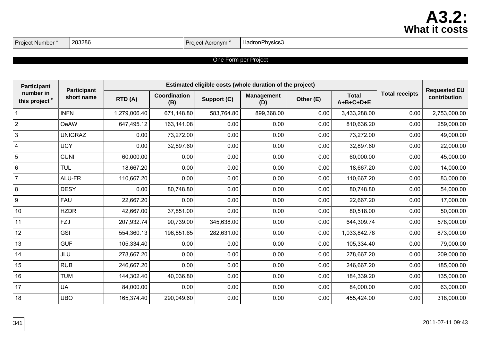## **A3.2: What it costs**

| Proiect I<br>. .<br>Number | 283286 | * Acronvm<br>Project | HadronPhysics3 |
|----------------------------|--------|----------------------|----------------|
|                            |        |                      |                |

#### One Form per Project

| <b>Participant</b>                     | <b>Participant</b> | Estimated eligible costs (whole duration of the project) |                     |             |                          |           |                             |                       | <b>Requested EU</b> |
|----------------------------------------|--------------------|----------------------------------------------------------|---------------------|-------------|--------------------------|-----------|-----------------------------|-----------------------|---------------------|
| number in<br>this project <sup>9</sup> | short name         | RTD (A)                                                  | Coordination<br>(B) | Support (C) | <b>Management</b><br>(D) | Other (E) | <b>Total</b><br>$A+B+C+D+E$ | <b>Total receipts</b> | contribution        |
| $\mathbf{1}$                           | <b>INFN</b>        | 1,279,006.40                                             | 671,148.80          | 583,764.80  | 899,368.00               | 0.00      | 3,433,288.00                | 0.00                  | 2,753,000.00        |
| $\overline{2}$                         | <b>OeAW</b>        | 647,495.12                                               | 163,141.08          | 0.00        | 0.00                     | 0.00      | 810,636.20                  | 0.00                  | 259,000.00          |
| $\mathbf{3}$                           | <b>UNIGRAZ</b>     | 0.00                                                     | 73,272.00           | 0.00        | 0.00                     | 0.00      | 73,272.00                   | 0.00                  | 49,000.00           |
| $\overline{4}$                         | <b>UCY</b>         | 0.00                                                     | 32,897.60           | 0.00        | 0.00                     | 0.00      | 32,897.60                   | 0.00                  | 22,000.00           |
| $\overline{5}$                         | <b>CUNI</b>        | 60,000.00                                                | 0.00                | 0.00        | 0.00                     | 0.00      | 60,000.00                   | 0.00                  | 45,000.00           |
| $\,6\,$                                | <b>TUL</b>         | 18,667.20                                                | 0.00                | 0.00        | 0.00                     | 0.00      | 18,667.20                   | 0.00                  | 14,000.00           |
| $\overline{7}$                         | ALU-FR             | 110,667.20                                               | 0.00                | 0.00        | 0.00                     | 0.00      | 110,667.20                  | 0.00                  | 83,000.00           |
| $\bf 8$                                | <b>DESY</b>        | 0.00                                                     | 80,748.80           | 0.00        | 0.00                     | 0.00      | 80,748.80                   | 0.00                  | 54,000.00           |
| $\boldsymbol{9}$                       | <b>FAU</b>         | 22,667.20                                                | 0.00                | 0.00        | 0.00                     | 0.00      | 22,667.20                   | 0.00                  | 17,000.00           |
| 10                                     | <b>HZDR</b>        | 42,667.00                                                | 37,851.00           | 0.00        | 0.00                     | 0.00      | 80,518.00                   | 0.00                  | 50,000.00           |
| 11                                     | FZJ                | 207,932.74                                               | 90,739.00           | 345,638.00  | 0.00                     | 0.00      | 644,309.74                  | 0.00                  | 578,000.00          |
| 12                                     | <b>GSI</b>         | 554,360.13                                               | 196,851.65          | 282,631.00  | 0.00                     | 0.00      | 1,033,842.78                | 0.00                  | 873,000.00          |
| 13                                     | <b>GUF</b>         | 105,334.40                                               | 0.00                | 0.00        | 0.00                     | 0.00      | 105,334.40                  | 0.00                  | 79,000.00           |
| 14                                     | JLU                | 278,667.20                                               | 0.00                | 0.00        | 0.00                     | 0.00      | 278,667.20                  | 0.00                  | 209,000.00          |
| 15                                     | <b>RUB</b>         | 246,667.20                                               | 0.00                | 0.00        | 0.00                     | 0.00      | 246,667.20                  | 0.00                  | 185,000.00          |
| 16                                     | <b>TUM</b>         | 144,302.40                                               | 40,036.80           | 0.00        | 0.00                     | 0.00      | 184,339.20                  | 0.00                  | 135,000.00          |
| 17                                     | <b>UA</b>          | 84,000.00                                                | 0.00                | 0.00        | 0.00                     | 0.00      | 84,000.00                   | 0.00                  | 63,000.00           |
| 18                                     | <b>UBO</b>         | 165,374.40                                               | 290,049.60          | 0.00        | 0.00                     | 0.00      | 455,424.00                  | 0.00                  | 318,000.00          |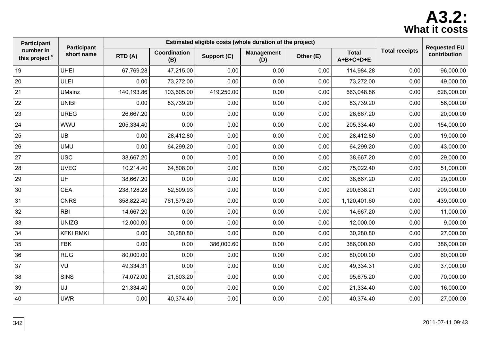## **A3.2: What it costs**

| Participant                            |                           | Estimated eligible costs (whole duration of the project) |                     |             |                          |           |                             |                       | <b>Requested EU</b> |
|----------------------------------------|---------------------------|----------------------------------------------------------|---------------------|-------------|--------------------------|-----------|-----------------------------|-----------------------|---------------------|
| number in<br>this project <sup>9</sup> | Participant<br>short name | RTD (A)                                                  | Coordination<br>(B) | Support (C) | <b>Management</b><br>(D) | Other (E) | <b>Total</b><br>$A+B+C+D+E$ | <b>Total receipts</b> | contribution        |
| 19                                     | <b>UHEI</b>               | 67,769.28                                                | 47,215.00           | 0.00        | 0.00                     | 0.00      | 114,984.28                  | 0.00                  | 96,000.00           |
| 20                                     | ULEI                      | 0.00                                                     | 73,272.00           | 0.00        | 0.00                     | 0.00      | 73,272.00                   | 0.00                  | 49,000.00           |
| 21                                     | <b>UMainz</b>             | 140,193.86                                               | 103,605.00          | 419,250.00  | 0.00                     | 0.00      | 663,048.86                  | 0.00                  | 628,000.00          |
| 22                                     | <b>UNIBI</b>              | 0.00                                                     | 83,739.20           | 0.00        | 0.00                     | 0.00      | 83,739.20                   | 0.00                  | 56,000.00           |
| 23                                     | <b>UREG</b>               | 26,667.20                                                | 0.00                | 0.00        | 0.00                     | 0.00      | 26,667.20                   | 0.00                  | 20,000.00           |
| 24                                     | <b>WWU</b>                | 205,334.40                                               | 0.00                | 0.00        | 0.00                     | 0.00      | 205,334.40                  | 0.00                  | 154,000.00          |
| 25                                     | UB                        | 0.00                                                     | 28,412.80           | 0.00        | 0.00                     | 0.00      | 28,412.80                   | 0.00                  | 19,000.00           |
| 26                                     | <b>UMU</b>                | 0.00                                                     | 64,299.20           | 0.00        | 0.00                     | 0.00      | 64,299.20                   | 0.00                  | 43,000.00           |
| 27                                     | <b>USC</b>                | 38,667.20                                                | 0.00                | 0.00        | 0.00                     | 0.00      | 38,667.20                   | 0.00                  | 29,000.00           |
| 28                                     | <b>UVEG</b>               | 10,214.40                                                | 64,808.00           | 0.00        | 0.00                     | 0.00      | 75,022.40                   | 0.00                  | 51,000.00           |
| 29                                     | <b>UH</b>                 | 38,667.20                                                | 0.00                | 0.00        | 0.00                     | 0.00      | 38,667.20                   | 0.00                  | 29,000.00           |
| 30                                     | <b>CEA</b>                | 238,128.28                                               | 52,509.93           | 0.00        | 0.00                     | 0.00      | 290,638.21                  | 0.00                  | 209,000.00          |
| 31                                     | <b>CNRS</b>               | 358,822.40                                               | 761,579.20          | 0.00        | 0.00                     | 0.00      | 1,120,401.60                | 0.00                  | 439,000.00          |
| 32                                     | <b>RBI</b>                | 14,667.20                                                | 0.00                | 0.00        | 0.00                     | 0.00      | 14,667.20                   | 0.00                  | 11,000.00           |
| 33                                     | <b>UNIZG</b>              | 12,000.00                                                | 0.00                | 0.00        | 0.00                     | 0.00      | 12,000.00                   | 0.00                  | 9,000.00            |
| 34                                     | <b>KFKI RMKI</b>          | 0.00                                                     | 30,280.80           | 0.00        | 0.00                     | 0.00      | 30,280.80                   | 0.00                  | 27,000.00           |
| 35                                     | <b>FBK</b>                | 0.00                                                     | 0.00                | 386,000.60  | 0.00                     | 0.00      | 386,000.60                  | 0.00                  | 386,000.00          |
| 36                                     | <b>RUG</b>                | 80,000.00                                                | 0.00                | 0.00        | 0.00                     | 0.00      | 80,000.00                   | 0.00                  | 60,000.00           |
| 37                                     | VU                        | 49,334.31                                                | 0.00                | 0.00        | 0.00                     | 0.00      | 49,334.31                   | 0.00                  | 37,000.00           |
| 38                                     | <b>SINS</b>               | 74,072.00                                                | 21,603.20           | 0.00        | 0.00                     | 0.00      | 95,675.20                   | 0.00                  | 70,000.00           |
| 39                                     | UJ                        | 21,334.40                                                | 0.00                | 0.00        | 0.00                     | 0.00      | 21,334.40                   | 0.00                  | 16,000.00           |
| 40                                     | <b>UWR</b>                | 0.00                                                     | 40,374.40           | 0.00        | 0.00                     | 0.00      | 40,374.40                   | 0.00                  | 27,000.00           |
|                                        |                           |                                                          |                     |             |                          |           |                             |                       |                     |